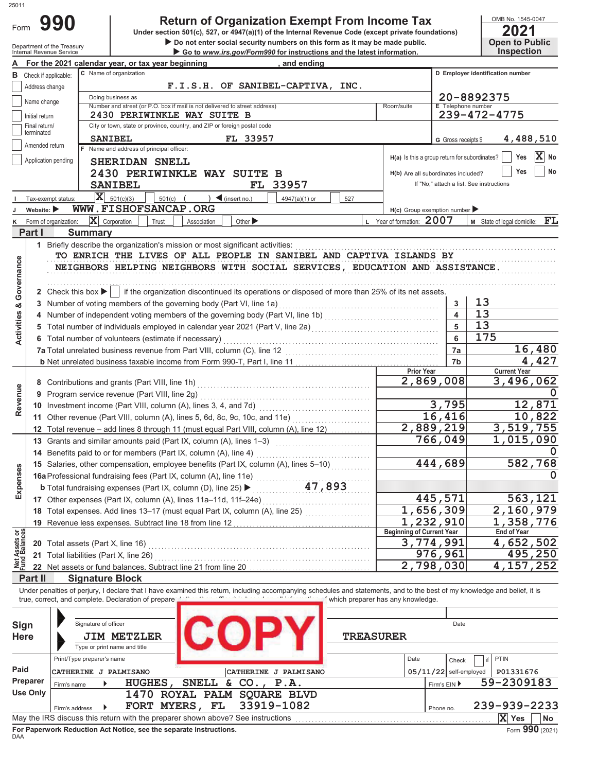| 25011<br>Form                         | 990<br>Department of the Treasury<br>Internal Revenue Service |                                        |                                                                                                                                                                         | Do not enter social security numbers on this form as it may be made public.<br>Go to www.irs.gov/Form990 for instructions and the latest information. |                             |                       |     | <b>Return of Organization Exempt From Income Tax</b><br>Under section 501(c), 527, or 4947(a)(1) of the Internal Revenue Code (except private foundations) |                           | OMB No. 1545-0047<br>2021<br><b>Open to Public</b><br><b>Inspection</b>                                                                                                    |
|---------------------------------------|---------------------------------------------------------------|----------------------------------------|-------------------------------------------------------------------------------------------------------------------------------------------------------------------------|-------------------------------------------------------------------------------------------------------------------------------------------------------|-----------------------------|-----------------------|-----|------------------------------------------------------------------------------------------------------------------------------------------------------------|---------------------------|----------------------------------------------------------------------------------------------------------------------------------------------------------------------------|
|                                       |                                                               |                                        | For the 2021 calendar year, or tax year beginning                                                                                                                       |                                                                                                                                                       |                             | , and ending          |     |                                                                                                                                                            |                           |                                                                                                                                                                            |
| в                                     | Check if applicable:                                          |                                        | C Name of organization                                                                                                                                                  |                                                                                                                                                       |                             |                       |     |                                                                                                                                                            |                           | D Employer identification number                                                                                                                                           |
|                                       | Address change                                                |                                        |                                                                                                                                                                         | F.I.S.H. OF SANIBEL-CAPTIVA, INC.                                                                                                                     |                             |                       |     |                                                                                                                                                            |                           |                                                                                                                                                                            |
|                                       |                                                               |                                        | Doing business as                                                                                                                                                       |                                                                                                                                                       |                             |                       |     |                                                                                                                                                            |                           | 20-8892375                                                                                                                                                                 |
|                                       | Name change                                                   |                                        | Number and street (or P.O. box if mail is not delivered to street address)                                                                                              |                                                                                                                                                       |                             |                       |     | Room/suite                                                                                                                                                 | <b>E</b> Telephone number |                                                                                                                                                                            |
|                                       | Initial return                                                |                                        | <b>2430 PERIWINKLE WAY SUITE B</b>                                                                                                                                      |                                                                                                                                                       |                             |                       |     |                                                                                                                                                            |                           | 239-472-4775                                                                                                                                                               |
|                                       | Final return/<br>terminated                                   |                                        | City or town, state or province, country, and ZIP or foreign postal code                                                                                                |                                                                                                                                                       |                             |                       |     |                                                                                                                                                            |                           |                                                                                                                                                                            |
|                                       | Amended return                                                |                                        | <b>SANIBEL</b>                                                                                                                                                          |                                                                                                                                                       | FL 33957                    |                       |     |                                                                                                                                                            | G Gross receipts \$       | 4,488,510                                                                                                                                                                  |
|                                       |                                                               |                                        | F Name and address of principal officer:                                                                                                                                |                                                                                                                                                       |                             |                       |     |                                                                                                                                                            |                           | $X$ No                                                                                                                                                                     |
|                                       | Application pending                                           |                                        | SHERIDAN SNELL                                                                                                                                                          |                                                                                                                                                       |                             |                       |     | H(a) Is this a group return for subordinates?                                                                                                              |                           | Yes                                                                                                                                                                        |
|                                       |                                                               |                                        | 2430 PERIWINKLE WAY SUITE B                                                                                                                                             |                                                                                                                                                       |                             |                       |     | H(b) Are all subordinates included?                                                                                                                        |                           | No<br>Yes                                                                                                                                                                  |
|                                       |                                                               |                                        | <b>SANIBEL</b>                                                                                                                                                          |                                                                                                                                                       |                             | FL 33957              |     |                                                                                                                                                            |                           | If "No," attach a list. See instructions                                                                                                                                   |
|                                       | Tax-exempt status:                                            |                                        | $ \mathbf{X} $ 501(c)(3)<br>$501(c)$ (                                                                                                                                  | $\sum$ (insert no.)                                                                                                                                   |                             | 4947(a)(1) or         | 527 |                                                                                                                                                            |                           |                                                                                                                                                                            |
|                                       | Website: $\blacktriangleright$                                |                                        | WWW.FISHOFSANCAP.ORG                                                                                                                                                    |                                                                                                                                                       |                             |                       |     | $H(c)$ Group exemption number                                                                                                                              |                           |                                                                                                                                                                            |
| κ                                     | Form of organization:                                         |                                        | $ \mathbf{X} $ Corporation<br>Trust                                                                                                                                     | Association                                                                                                                                           | Other $\blacktriangleright$ |                       |     | L Year of formation: 2007                                                                                                                                  |                           | $M$ State of legal domicile: $FL$                                                                                                                                          |
|                                       | Part I                                                        | <b>Summary</b>                         |                                                                                                                                                                         |                                                                                                                                                       |                             |                       |     |                                                                                                                                                            |                           |                                                                                                                                                                            |
|                                       |                                                               |                                        | 1 Briefly describe the organization's mission or most significant activities:                                                                                           |                                                                                                                                                       |                             |                       |     |                                                                                                                                                            |                           |                                                                                                                                                                            |
|                                       |                                                               |                                        | TO ENRICH THE LIVES OF ALL PEOPLE IN SANIBEL AND CAPTIVA ISLANDS BY                                                                                                     |                                                                                                                                                       |                             |                       |     |                                                                                                                                                            |                           |                                                                                                                                                                            |
| Governance                            |                                                               |                                        | NEIGHBORS HELPING NEIGHBORS WITH SOCIAL SERVICES, EDUCATION AND ASSISTANCE.                                                                                             |                                                                                                                                                       |                             |                       |     |                                                                                                                                                            |                           |                                                                                                                                                                            |
|                                       |                                                               |                                        |                                                                                                                                                                         |                                                                                                                                                       |                             |                       |     |                                                                                                                                                            |                           |                                                                                                                                                                            |
|                                       |                                                               |                                        |                                                                                                                                                                         |                                                                                                                                                       |                             |                       |     |                                                                                                                                                            |                           |                                                                                                                                                                            |
|                                       |                                                               |                                        | 2 Check this box ▶   if the organization discontinued its operations or disposed of more than 25% of its net assets.                                                    |                                                                                                                                                       |                             |                       |     |                                                                                                                                                            |                           |                                                                                                                                                                            |
| ×ŏ                                    |                                                               |                                        | 3 Number of voting members of the governing body (Part VI, line 1a)                                                                                                     |                                                                                                                                                       |                             |                       |     |                                                                                                                                                            | 3                         | 13                                                                                                                                                                         |
|                                       |                                                               |                                        | 4 Number of independent voting members of the governing body (Part VI, line 1b) [11] [11] Number of independent voting members of the governing body (Part VI, line 1b) |                                                                                                                                                       |                             |                       |     |                                                                                                                                                            | 4                         | 13                                                                                                                                                                         |
| Activities                            |                                                               |                                        |                                                                                                                                                                         |                                                                                                                                                       |                             | 5                     | 13  |                                                                                                                                                            |                           |                                                                                                                                                                            |
|                                       |                                                               |                                        | 6 Total number of volunteers (estimate if necessary)                                                                                                                    |                                                                                                                                                       |                             |                       |     |                                                                                                                                                            | 6                         | 175                                                                                                                                                                        |
|                                       |                                                               |                                        | 7a Total unrelated business revenue from Part VIII, column (C), line 12                                                                                                 |                                                                                                                                                       |                             |                       |     |                                                                                                                                                            | 7a                        | 16,480                                                                                                                                                                     |
|                                       |                                                               |                                        |                                                                                                                                                                         |                                                                                                                                                       |                             |                       |     |                                                                                                                                                            | 7b                        | 4,427                                                                                                                                                                      |
|                                       |                                                               |                                        |                                                                                                                                                                         |                                                                                                                                                       |                             |                       |     | <b>Prior Year</b>                                                                                                                                          |                           | <b>Current Year</b>                                                                                                                                                        |
|                                       |                                                               |                                        | 8 Contributions and grants (Part VIII, line 1h)                                                                                                                         |                                                                                                                                                       |                             |                       |     |                                                                                                                                                            | 2,869,008                 | 3,496,062                                                                                                                                                                  |
|                                       |                                                               |                                        | 9 Program service revenue (Part VIII, line 2g)                                                                                                                          |                                                                                                                                                       |                             |                       |     |                                                                                                                                                            |                           |                                                                                                                                                                            |
| Revenue                               |                                                               |                                        |                                                                                                                                                                         |                                                                                                                                                       |                             |                       |     |                                                                                                                                                            | 3,795                     | 12,871                                                                                                                                                                     |
|                                       |                                                               |                                        | 11 Other revenue (Part VIII, column (A), lines 5, 6d, 8c, 9c, 10c, and 11e)                                                                                             |                                                                                                                                                       |                             |                       |     |                                                                                                                                                            | 16,416                    | 10,822                                                                                                                                                                     |
|                                       |                                                               |                                        | 12 Total revenue - add lines 8 through 11 (must equal Part VIII, column (A), line 12)                                                                                   |                                                                                                                                                       |                             |                       |     |                                                                                                                                                            | 2,889,219                 | 3,519,755                                                                                                                                                                  |
|                                       |                                                               |                                        | 13 Grants and similar amounts paid (Part IX, column (A), lines 1-3)                                                                                                     |                                                                                                                                                       |                             |                       |     |                                                                                                                                                            | 766,049                   | 1,015,090                                                                                                                                                                  |
|                                       |                                                               |                                        | 14 Benefits paid to or for members (Part IX, column (A), line 4)                                                                                                        |                                                                                                                                                       |                             |                       |     |                                                                                                                                                            |                           |                                                                                                                                                                            |
|                                       |                                                               |                                        | 15 Salaries, other compensation, employee benefits (Part IX, column (A), lines 5-10)                                                                                    |                                                                                                                                                       |                             |                       |     |                                                                                                                                                            | 444,689                   | 582,768                                                                                                                                                                    |
|                                       |                                                               |                                        | 16a Professional fundraising fees (Part IX, column (A), line 11e)                                                                                                       |                                                                                                                                                       |                             |                       |     |                                                                                                                                                            |                           | 0                                                                                                                                                                          |
| Expenses                              |                                                               |                                        | <b>b</b> Total fundraising expenses (Part IX, column (D), line 25) ▶                                                                                                    |                                                                                                                                                       |                             | 47,893                |     |                                                                                                                                                            |                           |                                                                                                                                                                            |
|                                       |                                                               |                                        | 17 Other expenses (Part IX, column (A), lines 11a-11d, 11f-24e)                                                                                                         |                                                                                                                                                       |                             |                       |     |                                                                                                                                                            | 445,571                   | 563,121                                                                                                                                                                    |
|                                       |                                                               |                                        | 18 Total expenses. Add lines 13-17 (must equal Part IX, column (A), line 25)                                                                                            |                                                                                                                                                       |                             |                       |     |                                                                                                                                                            | 1,656,309                 | 2, 160, 979                                                                                                                                                                |
|                                       |                                                               |                                        |                                                                                                                                                                         |                                                                                                                                                       |                             |                       |     |                                                                                                                                                            | 1,232,910                 | 1,358,776                                                                                                                                                                  |
|                                       |                                                               |                                        |                                                                                                                                                                         |                                                                                                                                                       |                             |                       |     | <b>Beginning of Current Year</b>                                                                                                                           |                           | <b>End of Year</b>                                                                                                                                                         |
| <b>Net Assets or</b><br>Fund Balances |                                                               | 20 Total assets (Part X, line 16)      |                                                                                                                                                                         |                                                                                                                                                       |                             |                       |     |                                                                                                                                                            | 3,774,991                 | 4,652,502                                                                                                                                                                  |
|                                       |                                                               | 21 Total liabilities (Part X, line 26) |                                                                                                                                                                         |                                                                                                                                                       |                             |                       |     |                                                                                                                                                            | 976,961                   | 495,250                                                                                                                                                                    |
|                                       |                                                               |                                        |                                                                                                                                                                         |                                                                                                                                                       |                             |                       |     |                                                                                                                                                            | 2,798,030                 | 4, 157, 252                                                                                                                                                                |
|                                       | Part II                                                       | <b>Signature Block</b>                 |                                                                                                                                                                         |                                                                                                                                                       |                             |                       |     |                                                                                                                                                            |                           |                                                                                                                                                                            |
|                                       |                                                               |                                        | true, correct, and complete. Declaration of prepare for the complete the contract of the contract                                                                       |                                                                                                                                                       |                             |                       |     | f which preparer has any knowledge.                                                                                                                        | Date                      | Under penalties of perjury, I declare that I have examined this return, including accompanying schedules and statements, and to the best of my knowledge and belief, it is |
| Sign<br><b>Here</b>                   |                                                               |                                        | Signature of officer<br><b>JIM METZLER</b><br><b>TREASURER</b><br>Type or print name and title                                                                          |                                                                                                                                                       |                             |                       |     |                                                                                                                                                            |                           |                                                                                                                                                                            |
|                                       |                                                               | Print/Type preparer's name             |                                                                                                                                                                         |                                                                                                                                                       |                             |                       |     | Date                                                                                                                                                       | Check                     | <b>PTIN</b><br>if                                                                                                                                                          |
| Paid                                  |                                                               | CATHERINE J PALMISANO                  |                                                                                                                                                                         |                                                                                                                                                       |                             | CATHERINE J PALMISANO |     |                                                                                                                                                            | $05/11/22$ self-employed  | P01331676                                                                                                                                                                  |
| Preparer                              |                                                               |                                        | <b>HUGHES,</b>                                                                                                                                                          | SNELL & CO., P.A.                                                                                                                                     |                             |                       |     |                                                                                                                                                            | Firm's EIN ▶              | 59-2309183                                                                                                                                                                 |
| <b>Use Only</b>                       |                                                               | Firm's name                            |                                                                                                                                                                         | 1470 ROYAL PALM SQUARE BLVD                                                                                                                           |                             |                       |     |                                                                                                                                                            |                           |                                                                                                                                                                            |
|                                       |                                                               | Firm's address                         | FORT MYERS, FL                                                                                                                                                          |                                                                                                                                                       |                             | 33919-1082            |     |                                                                                                                                                            | Phone no.                 | 239-939-2233                                                                                                                                                               |
|                                       |                                                               |                                        | May the IRS discuss this return with the preparer shown above? See instructions                                                                                         |                                                                                                                                                       |                             |                       |     |                                                                                                                                                            |                           | X Yes<br>No                                                                                                                                                                |
|                                       |                                                               |                                        |                                                                                                                                                                         |                                                                                                                                                       |                             |                       |     |                                                                                                                                                            |                           |                                                                                                                                                                            |

| TWAY the IRS discuss this return with the preparer shown apove? See Instructions | . | Yes  | <b>NC</b>  |  |
|----------------------------------------------------------------------------------|---|------|------------|--|
| For Paperwork Reduction Act Notice, see the separate instructions.<br>DAA        |   | Form | 990 (2021) |  |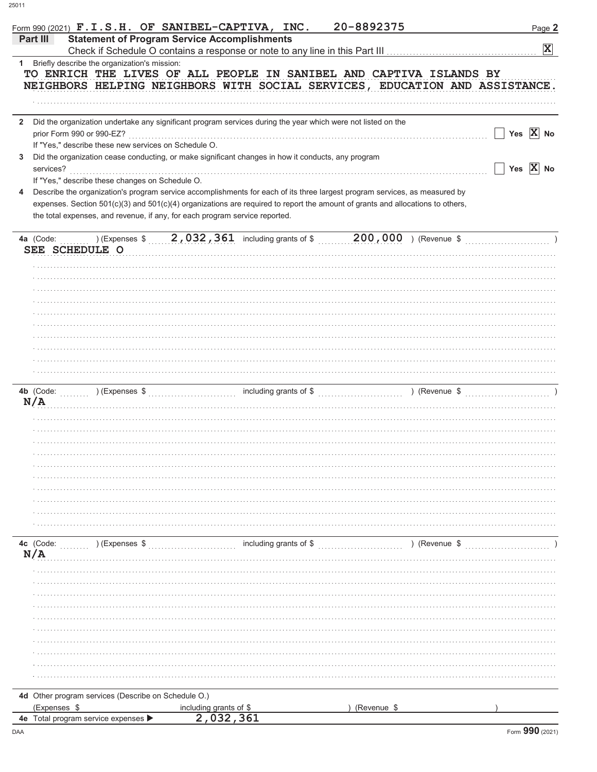|     | Part III                                                                          | <b>Statement of Program Service Accomplishments</b>                                                            |                                                                                                                                                                                                                                                              |                         |
|-----|-----------------------------------------------------------------------------------|----------------------------------------------------------------------------------------------------------------|--------------------------------------------------------------------------------------------------------------------------------------------------------------------------------------------------------------------------------------------------------------|-------------------------|
|     |                                                                                   |                                                                                                                |                                                                                                                                                                                                                                                              | $\overline{\mathbf{x}}$ |
|     | 1 Briefly describe the organization's mission:                                    |                                                                                                                | TO ENRICH THE LIVES OF ALL PEOPLE IN SANIBEL AND CAPTIVA ISLANDS BY<br>NEIGHBORS HELPING NEIGHBORS WITH SOCIAL SERVICES, EDUCATION AND ASSISTANCE.                                                                                                           |                         |
|     | prior Form 990 or 990-EZ?<br>If "Yes," describe these new services on Schedule O. | 2 Did the organization undertake any significant program services during the year which were not listed on the |                                                                                                                                                                                                                                                              | Yes $X$ No              |
| 3   | services?<br>If "Yes," describe these changes on Schedule O.                      | Did the organization cease conducting, or make significant changes in how it conducts, any program             |                                                                                                                                                                                                                                                              | Yes X No                |
|     | the total expenses, and revenue, if any, for each program service reported.       |                                                                                                                | Describe the organization's program service accomplishments for each of its three largest program services, as measured by<br>expenses. Section 501(c)(3) and 501(c)(4) organizations are required to report the amount of grants and allocations to others, |                         |
|     | 4a (Code:<br>SEE SCHEDULE O                                                       |                                                                                                                | ) (Expenses \$ 2,032,361 including grants of \$ 200,000 ) (Revenue \$                                                                                                                                                                                        |                         |
|     |                                                                                   |                                                                                                                |                                                                                                                                                                                                                                                              |                         |
|     |                                                                                   |                                                                                                                |                                                                                                                                                                                                                                                              |                         |
| N/A | 4b (Code:<br>) (Expenses \$                                                       | including grants of \$                                                                                         | ) (Revenue \$                                                                                                                                                                                                                                                |                         |
|     |                                                                                   |                                                                                                                |                                                                                                                                                                                                                                                              |                         |
|     |                                                                                   |                                                                                                                |                                                                                                                                                                                                                                                              |                         |
|     |                                                                                   |                                                                                                                |                                                                                                                                                                                                                                                              |                         |
| N/A | 4c (Code:<br>) (Expenses \$                                                       | including grants of \$                                                                                         | ) (Revenue \$                                                                                                                                                                                                                                                |                         |
|     |                                                                                   |                                                                                                                |                                                                                                                                                                                                                                                              |                         |
|     |                                                                                   |                                                                                                                |                                                                                                                                                                                                                                                              |                         |
|     |                                                                                   |                                                                                                                |                                                                                                                                                                                                                                                              |                         |
|     | 4d Other program services (Describe on Schedule O.)                               |                                                                                                                |                                                                                                                                                                                                                                                              |                         |
| 4e  | (Expenses \$<br>Total program service expenses ▶                                  | including grants of \$<br>2,032,361                                                                            | (Revenue \$                                                                                                                                                                                                                                                  |                         |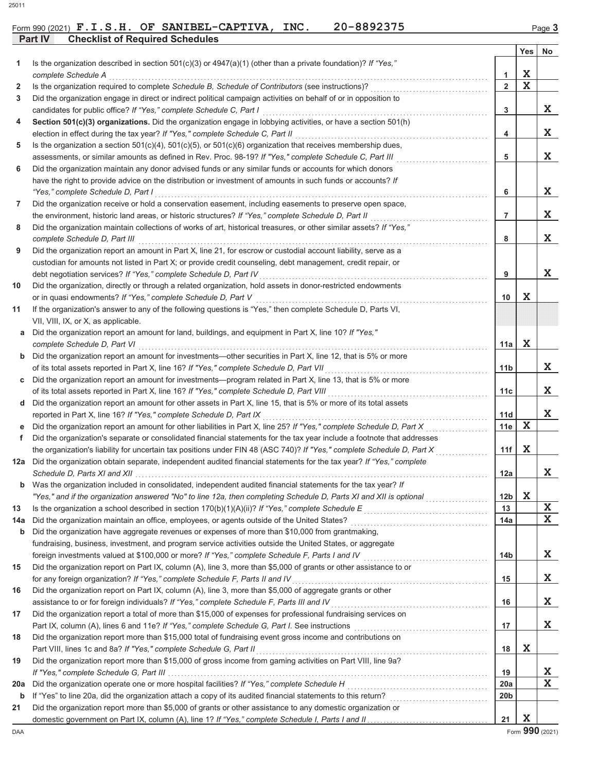### Form 990 (2021) **F.I.S.H. OF SANIBEL-CAPTIVA, INC.** 20-8892375 Page 3

|     | Part IV<br><b>Checklist of Required Schedules</b>                                                                                                                                                        |                 |             |             |
|-----|----------------------------------------------------------------------------------------------------------------------------------------------------------------------------------------------------------|-----------------|-------------|-------------|
|     |                                                                                                                                                                                                          |                 | Yes         | No          |
| 1   | Is the organization described in section $501(c)(3)$ or $4947(a)(1)$ (other than a private foundation)? If "Yes,"                                                                                        |                 |             |             |
|     | complete Schedule A                                                                                                                                                                                      | 1               | X           |             |
| 2   | Is the organization required to complete Schedule B, Schedule of Contributors (see instructions)?                                                                                                        | $\overline{2}$  | $\mathbf x$ |             |
| 3   | Did the organization engage in direct or indirect political campaign activities on behalf of or in opposition to                                                                                         |                 |             |             |
|     | candidates for public office? If "Yes," complete Schedule C, Part I                                                                                                                                      | 3               |             | X           |
| 4   | Section 501(c)(3) organizations. Did the organization engage in lobbying activities, or have a section 501(h)                                                                                            |                 |             |             |
|     | election in effect during the tax year? If "Yes," complete Schedule C, Part II                                                                                                                           | 4               |             | X           |
| 5   | Is the organization a section $501(c)(4)$ , $501(c)(5)$ , or $501(c)(6)$ organization that receives membership dues,                                                                                     |                 |             |             |
|     | assessments, or similar amounts as defined in Rev. Proc. 98-19? If "Yes," complete Schedule C, Part III                                                                                                  | 5               |             | X           |
| 6   | Did the organization maintain any donor advised funds or any similar funds or accounts for which donors                                                                                                  |                 |             |             |
|     | have the right to provide advice on the distribution or investment of amounts in such funds or accounts? If                                                                                              |                 |             |             |
|     | "Yes," complete Schedule D, Part I                                                                                                                                                                       | 6               |             | X           |
| 7   | Did the organization receive or hold a conservation easement, including easements to preserve open space,                                                                                                |                 |             |             |
|     | the environment, historic land areas, or historic structures? If "Yes," complete Schedule D, Part II                                                                                                     | $\overline{7}$  |             | X           |
| 8   | Did the organization maintain collections of works of art, historical treasures, or other similar assets? If "Yes,"                                                                                      |                 |             |             |
|     | complete Schedule D, Part III                                                                                                                                                                            | 8               |             | X           |
| 9   | Did the organization report an amount in Part X, line 21, for escrow or custodial account liability, serve as a                                                                                          |                 |             |             |
|     | custodian for amounts not listed in Part X; or provide credit counseling, debt management, credit repair, or                                                                                             |                 |             |             |
|     | debt negotiation services? If "Yes," complete Schedule D, Part IV                                                                                                                                        | 9               |             | X           |
| 10  | Did the organization, directly or through a related organization, hold assets in donor-restricted endowments                                                                                             |                 |             |             |
|     | or in quasi endowments? If "Yes," complete Schedule D, Part V                                                                                                                                            | 10              | X           |             |
| 11  | If the organization's answer to any of the following questions is "Yes," then complete Schedule D, Parts VI,                                                                                             |                 |             |             |
|     | VII, VIII, IX, or X, as applicable.                                                                                                                                                                      |                 |             |             |
| a   | Did the organization report an amount for land, buildings, and equipment in Part X, line 10? If "Yes,"                                                                                                   |                 |             |             |
|     | complete Schedule D, Part VI                                                                                                                                                                             | 11a             | $\mathbf X$ |             |
|     | Did the organization report an amount for investments—other securities in Part X, line 12, that is 5% or more                                                                                            |                 |             |             |
| b   |                                                                                                                                                                                                          | 11 <sub>b</sub> |             | X.          |
|     | of its total assets reported in Part X, line 16? If "Yes," complete Schedule D, Part VII<br>Did the organization report an amount for investments—program related in Part X, line 13, that is 5% or more |                 |             |             |
| С   |                                                                                                                                                                                                          |                 |             | X.          |
|     | of its total assets reported in Part X, line 16? If "Yes," complete Schedule D, Part VIII                                                                                                                | 11c             |             |             |
| d   | Did the organization report an amount for other assets in Part X, line 15, that is 5% or more of its total assets                                                                                        |                 |             |             |
|     | reported in Part X, line 16? If "Yes," complete Schedule D, Part IX                                                                                                                                      | 11d             | $\mathbf x$ | X           |
| е   | Did the organization report an amount for other liabilities in Part X, line 25? If "Yes," complete Schedule D, Part X                                                                                    | 11e             |             |             |
| f   | Did the organization's separate or consolidated financial statements for the tax year include a footnote that addresses                                                                                  |                 |             |             |
|     | the organization's liability for uncertain tax positions under FIN 48 (ASC 740)? If "Yes," complete Schedule D, Part X                                                                                   | 11f             | X           |             |
|     | 12a Did the organization obtain separate, independent audited financial statements for the tax year? If "Yes," complete                                                                                  |                 |             |             |
|     |                                                                                                                                                                                                          | 12a             |             | A           |
| b   | Was the organization included in consolidated, independent audited financial statements for the tax year? If                                                                                             |                 |             |             |
|     | "Yes," and if the organization answered "No" to line 12a, then completing Schedule D, Parts XI and XII is optional                                                                                       | 12 <sub>b</sub> | $\mathbf X$ |             |
| 13  |                                                                                                                                                                                                          | 13              |             | X           |
| 14a | Did the organization maintain an office, employees, or agents outside of the United States?                                                                                                              | 14a             |             | $\mathbf x$ |
| b   | Did the organization have aggregate revenues or expenses of more than \$10,000 from grantmaking,                                                                                                         |                 |             |             |
|     | fundraising, business, investment, and program service activities outside the United States, or aggregate                                                                                                |                 |             |             |
|     | foreign investments valued at \$100,000 or more? If "Yes," complete Schedule F, Parts I and IV                                                                                                           | 14 <sub>b</sub> |             | X           |
| 15  | Did the organization report on Part IX, column (A), line 3, more than \$5,000 of grants or other assistance to or                                                                                        |                 |             |             |
|     | for any foreign organization? If "Yes," complete Schedule F, Parts II and IV                                                                                                                             | 15              |             | X           |
| 16  | Did the organization report on Part IX, column (A), line 3, more than \$5,000 of aggregate grants or other                                                                                               |                 |             |             |
|     | assistance to or for foreign individuals? If "Yes," complete Schedule F, Parts III and IV                                                                                                                | 16              |             | X           |
| 17  | Did the organization report a total of more than \$15,000 of expenses for professional fundraising services on                                                                                           |                 |             |             |
|     | Part IX, column (A), lines 6 and 11e? If "Yes," complete Schedule G, Part I. See instructions                                                                                                            | 17              |             | X           |
| 18  | Did the organization report more than \$15,000 total of fundraising event gross income and contributions on                                                                                              |                 |             |             |
|     | Part VIII, lines 1c and 8a? If "Yes," complete Schedule G, Part II                                                                                                                                       | 18              | X           |             |
| 19  | Did the organization report more than \$15,000 of gross income from gaming activities on Part VIII, line 9a?                                                                                             |                 |             |             |
|     |                                                                                                                                                                                                          | 19              |             | X           |
| 20a | Did the organization operate one or more hospital facilities? If "Yes," complete Schedule H                                                                                                              | 20a             |             | $\mathbf x$ |
| b   | If "Yes" to line 20a, did the organization attach a copy of its audited financial statements to this return?                                                                                             | 20 <sub>b</sub> |             |             |
| 21  | Did the organization report more than \$5,000 of grants or other assistance to any domestic organization or                                                                                              |                 |             |             |
|     |                                                                                                                                                                                                          | 21              | X           |             |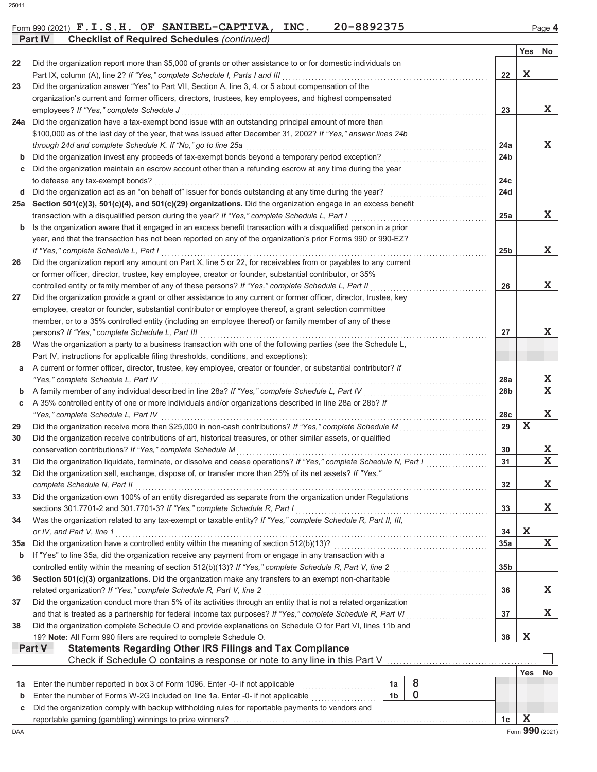#### Form 990 (2021) **F.I.S.H. OF SANIBEL-CAPTIVA, INC.** 20-8892375 Page 4 **F.I.S.H. OF SANIBEL-CAPTIVA, INC. 20-8892375**

|     | <b>Checklist of Required Schedules (continued)</b><br>Part IV                                                                                                                   |                 |             |                   |  |  |  |  |  |
|-----|---------------------------------------------------------------------------------------------------------------------------------------------------------------------------------|-----------------|-------------|-------------------|--|--|--|--|--|
|     |                                                                                                                                                                                 |                 | <b>Yes</b>  | No                |  |  |  |  |  |
| 22  | Did the organization report more than \$5,000 of grants or other assistance to or for domestic individuals on                                                                   |                 |             |                   |  |  |  |  |  |
|     | Part IX, column (A), line 2? If "Yes," complete Schedule I, Parts I and III                                                                                                     | 22              | X           |                   |  |  |  |  |  |
| 23  | Did the organization answer "Yes" to Part VII, Section A, line 3, 4, or 5 about compensation of the                                                                             |                 |             |                   |  |  |  |  |  |
|     | organization's current and former officers, directors, trustees, key employees, and highest compensated                                                                         |                 |             |                   |  |  |  |  |  |
|     | employees? If "Yes," complete Schedule J                                                                                                                                        | 23              |             | X                 |  |  |  |  |  |
|     | 24a Did the organization have a tax-exempt bond issue with an outstanding principal amount of more than                                                                         |                 |             |                   |  |  |  |  |  |
|     | \$100,000 as of the last day of the year, that was issued after December 31, 2002? If "Yes," answer lines 24b                                                                   |                 |             |                   |  |  |  |  |  |
|     | through 24d and complete Schedule K. If "No," go to line 25a                                                                                                                    | 24a             |             | X                 |  |  |  |  |  |
| b   | Did the organization invest any proceeds of tax-exempt bonds beyond a temporary period exception?                                                                               | 24b             |             |                   |  |  |  |  |  |
| С   | Did the organization maintain an escrow account other than a refunding escrow at any time during the year                                                                       |                 |             |                   |  |  |  |  |  |
|     | to defease any tax-exempt bonds?<br>Did the organization act as an "on behalf of" issuer for bonds outstanding at any time during the year?                                     | 24c<br>24d      |             |                   |  |  |  |  |  |
| d   | 25a Section 501(c)(3), 501(c)(4), and 501(c)(29) organizations. Did the organization engage in an excess benefit                                                                |                 |             |                   |  |  |  |  |  |
|     | transaction with a disqualified person during the year? If "Yes," complete Schedule L, Part I                                                                                   | 25a             |             | X                 |  |  |  |  |  |
| b   | Is the organization aware that it engaged in an excess benefit transaction with a disqualified person in a prior                                                                |                 |             |                   |  |  |  |  |  |
|     | year, and that the transaction has not been reported on any of the organization's prior Forms 990 or 990-EZ?                                                                    |                 |             |                   |  |  |  |  |  |
|     | If "Yes," complete Schedule L, Part I                                                                                                                                           | 25 <sub>b</sub> |             | X                 |  |  |  |  |  |
| 26  | Did the organization report any amount on Part X, line 5 or 22, for receivables from or payables to any current                                                                 |                 |             |                   |  |  |  |  |  |
|     | or former officer, director, trustee, key employee, creator or founder, substantial contributor, or 35%                                                                         |                 |             |                   |  |  |  |  |  |
|     | controlled entity or family member of any of these persons? If "Yes," complete Schedule L, Part II                                                                              | 26              |             | X                 |  |  |  |  |  |
| 27  | Did the organization provide a grant or other assistance to any current or former officer, director, trustee, key                                                               |                 |             |                   |  |  |  |  |  |
|     | employee, creator or founder, substantial contributor or employee thereof, a grant selection committee                                                                          |                 |             |                   |  |  |  |  |  |
|     | member, or to a 35% controlled entity (including an employee thereof) or family member of any of these                                                                          |                 |             |                   |  |  |  |  |  |
|     | persons? If "Yes," complete Schedule L, Part III                                                                                                                                | 27              |             | $\mathbf x$       |  |  |  |  |  |
| 28  | Was the organization a party to a business transaction with one of the following parties (see the Schedule L,                                                                   |                 |             |                   |  |  |  |  |  |
|     | Part IV, instructions for applicable filing thresholds, conditions, and exceptions):                                                                                            |                 |             |                   |  |  |  |  |  |
| а   | A current or former officer, director, trustee, key employee, creator or founder, or substantial contributor? If                                                                |                 |             |                   |  |  |  |  |  |
|     | "Yes," complete Schedule L, Part IV                                                                                                                                             | 28a             |             | X                 |  |  |  |  |  |
| b   | A family member of any individual described in line 28a? If "Yes," complete Schedule L, Part IV                                                                                 | 28b             |             | $\mathbf x$       |  |  |  |  |  |
| c   | A 35% controlled entity of one or more individuals and/or organizations described in line 28a or 28b? If                                                                        |                 |             |                   |  |  |  |  |  |
|     | "Yes," complete Schedule L, Part IV                                                                                                                                             | 28c             |             | X                 |  |  |  |  |  |
| 29  | Did the organization receive more than \$25,000 in non-cash contributions? If "Yes," complete Schedule M                                                                        | 29              | $\mathbf x$ |                   |  |  |  |  |  |
| 30  | Did the organization receive contributions of art, historical treasures, or other similar assets, or qualified                                                                  |                 |             |                   |  |  |  |  |  |
|     | conservation contributions? If "Yes," complete Schedule M<br>Did the organization liquidate, terminate, or dissolve and cease operations? If "Yes," complete Schedule N, Part I | 30<br>31        |             | X<br>$\mathbf{x}$ |  |  |  |  |  |
| 31  | Did the organization sell, exchange, dispose of, or transfer more than 25% of its net assets? If "Yes,"                                                                         |                 |             |                   |  |  |  |  |  |
|     | complete Schedule N, Part II                                                                                                                                                    | 32              |             | X                 |  |  |  |  |  |
| 33  | Did the organization own 100% of an entity disregarded as separate from the organization under Regulations                                                                      |                 |             |                   |  |  |  |  |  |
|     | sections 301.7701-2 and 301.7701-3? If "Yes," complete Schedule R, Part I                                                                                                       | 33              |             | X                 |  |  |  |  |  |
| 34  | Was the organization related to any tax-exempt or taxable entity? If "Yes," complete Schedule R, Part II, III,                                                                  |                 |             |                   |  |  |  |  |  |
|     | or IV, and Part V, line 1                                                                                                                                                       | 34              | $\mathbf x$ |                   |  |  |  |  |  |
| 35a | Did the organization have a controlled entity within the meaning of section 512(b)(13)?                                                                                         | 35a             |             | $\mathbf x$       |  |  |  |  |  |
| b   | If "Yes" to line 35a, did the organization receive any payment from or engage in any transaction with a                                                                         |                 |             |                   |  |  |  |  |  |
|     | controlled entity within the meaning of section 512(b)(13)? If "Yes," complete Schedule R, Part V, line 2                                                                       | 35 <sub>b</sub> |             |                   |  |  |  |  |  |
| 36  | Section 501(c)(3) organizations. Did the organization make any transfers to an exempt non-charitable                                                                            |                 |             |                   |  |  |  |  |  |
|     | related organization? If "Yes," complete Schedule R, Part V, line 2                                                                                                             | 36              |             | X                 |  |  |  |  |  |
| 37  | Did the organization conduct more than 5% of its activities through an entity that is not a related organization                                                                |                 |             |                   |  |  |  |  |  |
|     | and that is treated as a partnership for federal income tax purposes? If "Yes," complete Schedule R, Part VI                                                                    | 37              |             | X                 |  |  |  |  |  |
| 38  | Did the organization complete Schedule O and provide explanations on Schedule O for Part VI, lines 11b and                                                                      |                 |             |                   |  |  |  |  |  |
|     | 19? Note: All Form 990 filers are required to complete Schedule O.                                                                                                              | 38              | X           |                   |  |  |  |  |  |
|     | Part V<br><b>Statements Regarding Other IRS Filings and Tax Compliance</b>                                                                                                      |                 |             |                   |  |  |  |  |  |
|     | Check if Schedule O contains a response or note to any line in this Part V                                                                                                      |                 |             |                   |  |  |  |  |  |
|     |                                                                                                                                                                                 |                 | Yes         | No                |  |  |  |  |  |
| 1a  | 8<br>Enter the number reported in box 3 of Form 1096. Enter -0- if not applicable<br>1a<br>$\mathbf 0$                                                                          |                 |             |                   |  |  |  |  |  |
| b   | Enter the number of Forms W-2G included on line 1a. Enter -0- if not applicable<br>1 <sub>b</sub>                                                                               |                 |             |                   |  |  |  |  |  |
| c   | Did the organization comply with backup withholding rules for reportable payments to vendors and                                                                                | 1c              | $\mathbf X$ |                   |  |  |  |  |  |
|     |                                                                                                                                                                                 |                 |             |                   |  |  |  |  |  |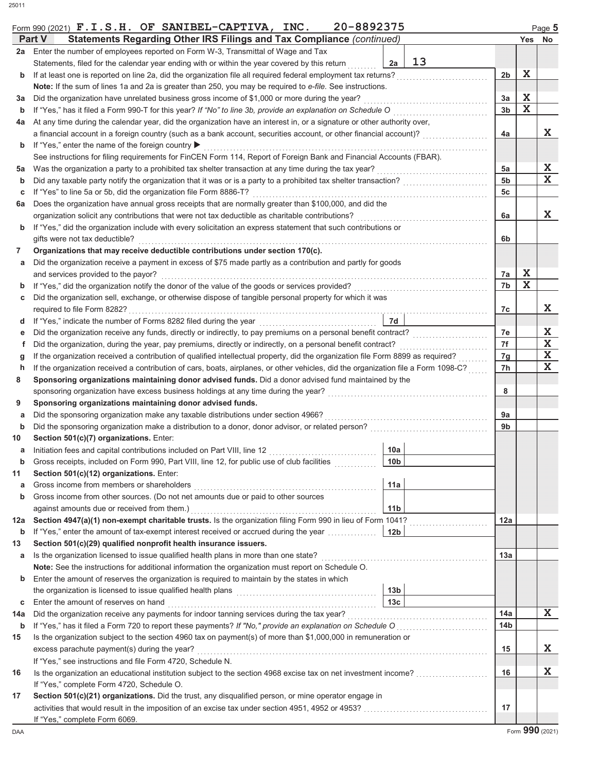|     | 20-8892375<br>Form 990 (2021) F.I.S.H. OF SANIBEL-CAPTIVA, INC.                                                                    |                 |    |                      |             | Page 5                              |  |  |  |  |  |  |
|-----|------------------------------------------------------------------------------------------------------------------------------------|-----------------|----|----------------------|-------------|-------------------------------------|--|--|--|--|--|--|
|     | Statements Regarding Other IRS Filings and Tax Compliance (continued)<br>Part V                                                    |                 |    |                      |             | Yes No                              |  |  |  |  |  |  |
| 2a  | Enter the number of employees reported on Form W-3, Transmittal of Wage and Tax                                                    |                 |    |                      |             |                                     |  |  |  |  |  |  |
|     | Statements, filed for the calendar year ending with or within the year covered by this return                                      | 2a              | 13 |                      |             |                                     |  |  |  |  |  |  |
| b   | If at least one is reported on line 2a, did the organization file all required federal employment tax returns?                     |                 |    | 2 <sub>b</sub>       | $\mathbf X$ |                                     |  |  |  |  |  |  |
|     | Note: If the sum of lines 1a and 2a is greater than 250, you may be required to e-file. See instructions.                          |                 |    |                      |             |                                     |  |  |  |  |  |  |
| За  | Did the organization have unrelated business gross income of \$1,000 or more during the year?                                      |                 |    | 3a                   | X           |                                     |  |  |  |  |  |  |
| b   | If "Yes," has it filed a Form 990-T for this year? If "No" to line 3b, provide an explanation on Schedule O                        |                 |    | 3 <sub>b</sub>       | $\mathbf x$ |                                     |  |  |  |  |  |  |
| 4a  | At any time during the calendar year, did the organization have an interest in, or a signature or other authority over,            |                 |    |                      |             |                                     |  |  |  |  |  |  |
|     | a financial account in a foreign country (such as a bank account, securities account, or other financial account)?                 |                 |    | 4a                   |             | X                                   |  |  |  |  |  |  |
| b   | If "Yes," enter the name of the foreign country ▶                                                                                  |                 |    |                      |             |                                     |  |  |  |  |  |  |
|     | See instructions for filing requirements for FinCEN Form 114, Report of Foreign Bank and Financial Accounts (FBAR).                |                 |    |                      |             |                                     |  |  |  |  |  |  |
| 5a  |                                                                                                                                    |                 |    | 5a<br>5 <sub>b</sub> |             | <u>x</u><br>$\overline{\mathbf{x}}$ |  |  |  |  |  |  |
| b   | Did any taxable party notify the organization that it was or is a party to a prohibited tax shelter transaction?                   |                 |    |                      |             |                                     |  |  |  |  |  |  |
| С   | If "Yes" to line 5a or 5b, did the organization file Form 8886-T?                                                                  |                 |    | 5c                   |             |                                     |  |  |  |  |  |  |
| 6а  | Does the organization have annual gross receipts that are normally greater than \$100,000, and did the                             |                 |    |                      |             |                                     |  |  |  |  |  |  |
|     | organization solicit any contributions that were not tax deductible as charitable contributions?                                   |                 |    | 6a                   |             | X                                   |  |  |  |  |  |  |
| b   | If "Yes," did the organization include with every solicitation an express statement that such contributions or                     |                 |    |                      |             |                                     |  |  |  |  |  |  |
|     | gifts were not tax deductible?                                                                                                     |                 |    | 6b                   |             |                                     |  |  |  |  |  |  |
| 7   | Organizations that may receive deductible contributions under section 170(c).                                                      |                 |    |                      |             |                                     |  |  |  |  |  |  |
| а   | Did the organization receive a payment in excess of \$75 made partly as a contribution and partly for goods                        |                 |    |                      |             |                                     |  |  |  |  |  |  |
|     | and services provided to the payor?                                                                                                |                 |    | 7a                   | X           |                                     |  |  |  |  |  |  |
| b   |                                                                                                                                    |                 |    | 7b                   | $\mathbf x$ |                                     |  |  |  |  |  |  |
| С   | Did the organization sell, exchange, or otherwise dispose of tangible personal property for which it was                           |                 |    |                      |             |                                     |  |  |  |  |  |  |
|     | required to file Form 8282?                                                                                                        |                 |    | 7c                   |             | X                                   |  |  |  |  |  |  |
| d   |                                                                                                                                    | 7d              |    |                      |             |                                     |  |  |  |  |  |  |
| е   |                                                                                                                                    |                 |    | 7e                   |             | X                                   |  |  |  |  |  |  |
| f   | Did the organization, during the year, pay premiums, directly or indirectly, on a personal benefit contract?                       |                 |    | 7f                   |             | $\mathbf X$                         |  |  |  |  |  |  |
| g   | If the organization received a contribution of qualified intellectual property, did the organization file Form 8899 as required?   |                 |    | 7g                   |             | $\mathbf x$                         |  |  |  |  |  |  |
| h   | If the organization received a contribution of cars, boats, airplanes, or other vehicles, did the organization file a Form 1098-C? |                 |    | 7 <sub>h</sub>       |             | $\mathbf X$                         |  |  |  |  |  |  |
| 8   | Sponsoring organizations maintaining donor advised funds. Did a donor advised fund maintained by the                               |                 |    |                      |             |                                     |  |  |  |  |  |  |
|     |                                                                                                                                    |                 |    | 8                    |             |                                     |  |  |  |  |  |  |
| 9   | Sponsoring organizations maintaining donor advised funds.                                                                          |                 |    |                      |             |                                     |  |  |  |  |  |  |
| а   | Did the sponsoring organization make any taxable distributions under section 4966?                                                 |                 |    | 9a                   |             |                                     |  |  |  |  |  |  |
| b   |                                                                                                                                    |                 |    | 9b                   |             |                                     |  |  |  |  |  |  |
| 10  | Section 501(c)(7) organizations. Enter:                                                                                            |                 |    |                      |             |                                     |  |  |  |  |  |  |
| а   | Initiation fees and capital contributions included on Part VIII, line 12 [11] [11] [12] [11] [12] [11] [12] [1                     | 10a             |    |                      |             |                                     |  |  |  |  |  |  |
| b   | Gross receipts, included on Form 990, Part VIII, line 12, for public use of club facilities                                        | 10 <sub>b</sub> |    |                      |             |                                     |  |  |  |  |  |  |
| 11  | Section 501(c)(12) organizations. Enter:                                                                                           |                 |    |                      |             |                                     |  |  |  |  |  |  |
| a   |                                                                                                                                    | 11a             |    |                      |             |                                     |  |  |  |  |  |  |
| b   | Gross income from other sources. (Do not net amounts due or paid to other sources                                                  |                 |    |                      |             |                                     |  |  |  |  |  |  |
|     |                                                                                                                                    | 11 <sub>b</sub> |    |                      |             |                                     |  |  |  |  |  |  |
| 12a | Section 4947(a)(1) non-exempt charitable trusts. Is the organization filing Form 990 in lieu of Form 1041?                         |                 |    | 12a                  |             |                                     |  |  |  |  |  |  |
| b   | If "Yes," enter the amount of tax-exempt interest received or accrued during the year                                              | 12 <sub>b</sub> |    |                      |             |                                     |  |  |  |  |  |  |
| 13  | Section 501(c)(29) qualified nonprofit health insurance issuers.                                                                   |                 |    |                      |             |                                     |  |  |  |  |  |  |
| а   | Is the organization licensed to issue qualified health plans in more than one state?                                               |                 |    | 13a                  |             |                                     |  |  |  |  |  |  |
|     | Note: See the instructions for additional information the organization must report on Schedule O.                                  |                 |    |                      |             |                                     |  |  |  |  |  |  |
| b   | Enter the amount of reserves the organization is required to maintain by the states in which                                       |                 |    |                      |             |                                     |  |  |  |  |  |  |
|     |                                                                                                                                    | 13 <sub>b</sub> |    |                      |             |                                     |  |  |  |  |  |  |
| с   | Enter the amount of reserves on hand                                                                                               | 13 <sub>c</sub> |    |                      |             |                                     |  |  |  |  |  |  |
| 14a |                                                                                                                                    |                 |    | 14a                  |             | $\mathbf{x}$                        |  |  |  |  |  |  |
| b   |                                                                                                                                    |                 |    | 14 <sub>b</sub>      |             |                                     |  |  |  |  |  |  |
| 15  | Is the organization subject to the section 4960 tax on payment(s) of more than \$1,000,000 in remuneration or                      |                 |    |                      |             |                                     |  |  |  |  |  |  |
|     | excess parachute payment(s) during the year?                                                                                       |                 |    | 15                   |             | X                                   |  |  |  |  |  |  |
|     | If "Yes," see instructions and file Form 4720, Schedule N.                                                                         |                 |    |                      |             |                                     |  |  |  |  |  |  |
| 16  | Is the organization an educational institution subject to the section 4968 excise tax on net investment income?                    |                 |    | 16                   |             | X                                   |  |  |  |  |  |  |
|     | If "Yes," complete Form 4720, Schedule O.                                                                                          |                 |    |                      |             |                                     |  |  |  |  |  |  |
| 17  | Section 501(c)(21) organizations. Did the trust, any disqualified person, or mine operator engage in                               |                 |    |                      |             |                                     |  |  |  |  |  |  |
|     |                                                                                                                                    |                 |    | 17                   |             |                                     |  |  |  |  |  |  |
|     | If "Yes," complete Form 6069.                                                                                                      |                 |    |                      |             |                                     |  |  |  |  |  |  |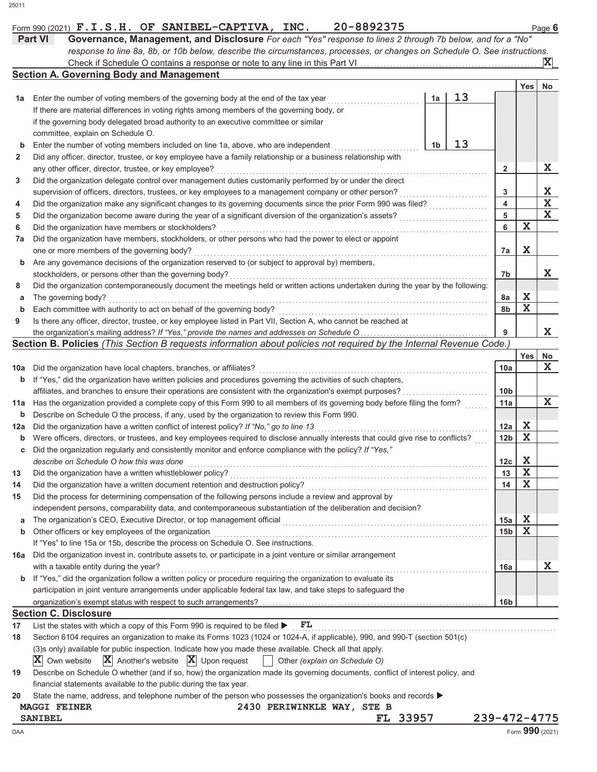|     | 20-8892375<br>Form 990 (2021) $\mathbf{F} \cdot \mathbf{I} \cdot \mathbf{S} \cdot \mathbf{H}$ . OF SANIBEL-CAPTIVA, INC.<br>Governance, Management, and Disclosure For each "Yes" response to lines 2 through 7b below, and for a "No"<br><b>Part VI</b> |    |    |                 |             | Page 6          |
|-----|----------------------------------------------------------------------------------------------------------------------------------------------------------------------------------------------------------------------------------------------------------|----|----|-----------------|-------------|-----------------|
|     | response to line 8a, 8b, or 10b below, describe the circumstances, processes, or changes on Schedule O. See instructions.                                                                                                                                |    |    |                 |             |                 |
|     |                                                                                                                                                                                                                                                          |    |    |                 |             | $\mathbf{x}$    |
|     | <b>Section A. Governing Body and Management</b>                                                                                                                                                                                                          |    |    |                 |             |                 |
|     |                                                                                                                                                                                                                                                          |    | 13 |                 | Yes         | No.             |
| 1а  | Enter the number of voting members of the governing body at the end of the tax year                                                                                                                                                                      | 1a |    |                 |             |                 |
|     | If there are material differences in voting rights among members of the governing body, or                                                                                                                                                               |    |    |                 |             |                 |
|     | if the governing body delegated broad authority to an executive committee or similar                                                                                                                                                                     |    |    |                 |             |                 |
|     | committee, explain on Schedule O.                                                                                                                                                                                                                        |    |    |                 |             |                 |
| b   | Enter the number of voting members included on line 1a, above, who are independent                                                                                                                                                                       | 1b | 13 |                 |             |                 |
| 2   | Did any officer, director, trustee, or key employee have a family relationship or a business relationship with                                                                                                                                           |    |    |                 |             |                 |
|     | any other officer, director, trustee, or key employee?                                                                                                                                                                                                   |    |    | 2               |             | X               |
| 3   | Did the organization delegate control over management duties customarily performed by or under the direct                                                                                                                                                |    |    |                 |             |                 |
|     | supervision of officers, directors, trustees, or key employees to a management company or other person?                                                                                                                                                  |    |    | 3               |             | X               |
| 4   | Did the organization make any significant changes to its governing documents since the prior Form 990 was filed?                                                                                                                                         |    |    | 4               |             | $\mathbf X$     |
| 5   | Did the organization become aware during the year of a significant diversion of the organization's assets?                                                                                                                                               |    |    | 5               |             | $\mathbf x$     |
| 6   | Did the organization have members or stockholders?                                                                                                                                                                                                       |    |    | 6               | X           |                 |
| 7a  | Did the organization have members, stockholders, or other persons who had the power to elect or appoint                                                                                                                                                  |    |    |                 |             |                 |
|     | one or more members of the governing body?                                                                                                                                                                                                               |    |    | 7a              | X           |                 |
| b   | Are any governance decisions of the organization reserved to (or subject to approval by) members,                                                                                                                                                        |    |    |                 |             |                 |
|     | stockholders, or persons other than the governing body?                                                                                                                                                                                                  |    |    | 7b              |             | X               |
| 8   | Did the organization contemporaneously document the meetings held or written actions undertaken during the year by the following:                                                                                                                        |    |    |                 |             |                 |
| а   | The governing body?                                                                                                                                                                                                                                      |    |    | 8a              | $\mathbf x$ |                 |
| b   | Each committee with authority to act on behalf of the governing body?                                                                                                                                                                                    |    |    | 8b              | $\mathbf X$ |                 |
| 9   | Is there any officer, director, trustee, or key employee listed in Part VII, Section A, who cannot be reached at                                                                                                                                         |    |    |                 |             |                 |
|     |                                                                                                                                                                                                                                                          |    |    | 9               |             | $\mathbf{x}$    |
|     | Section B. Policies (This Section B requests information about policies not required by the Internal Revenue Code.)                                                                                                                                      |    |    |                 |             |                 |
|     |                                                                                                                                                                                                                                                          |    |    |                 | Yes         | No              |
| 10a | Did the organization have local chapters, branches, or affiliates?                                                                                                                                                                                       |    |    | 10a             |             | X               |
| b   | If "Yes," did the organization have written policies and procedures governing the activities of such chapters,                                                                                                                                           |    |    |                 |             |                 |
|     | affiliates, and branches to ensure their operations are consistent with the organization's exempt purposes?                                                                                                                                              |    |    | 10 <sub>b</sub> |             |                 |
| 11a | Has the organization provided a complete copy of this Form 990 to all members of its governing body before filing the form?                                                                                                                              |    |    | 11a             |             | X               |
| b   | Describe on Schedule O the process, if any, used by the organization to review this Form 990.                                                                                                                                                            |    |    |                 |             |                 |
| 12a | Did the organization have a written conflict of interest policy? If "No," go to line 13                                                                                                                                                                  |    |    | 12a             | X           |                 |
| b   | Were officers, directors, or trustees, and key employees required to disclose annually interests that could give rise to conflicts?                                                                                                                      |    |    | 12 <sub>b</sub> | $\mathbf X$ |                 |
| С   | Did the organization regularly and consistently monitor and enforce compliance with the policy? If "Yes,"                                                                                                                                                |    |    |                 |             |                 |
|     | describe on Schedule O how this was done                                                                                                                                                                                                                 |    |    | 12c             | X           |                 |
| 13  | Did the organization have a written whistleblower policy?                                                                                                                                                                                                |    |    | 13              | X           |                 |
| 14  | Did the organization have a written document retention and destruction policy?                                                                                                                                                                           |    |    | 14              | $\mathbf x$ |                 |
| 15  | Did the process for determining compensation of the following persons include a review and approval by                                                                                                                                                   |    |    |                 |             |                 |
|     | independent persons, comparability data, and contemporaneous substantiation of the deliberation and decision?                                                                                                                                            |    |    |                 |             |                 |
| a   |                                                                                                                                                                                                                                                          |    |    | 15a             | $\mathbf X$ |                 |
| b   | Other officers or key employees of the organization                                                                                                                                                                                                      |    |    | 15 <sub>b</sub> | X           |                 |
|     | If "Yes" to line 15a or 15b, describe the process on Schedule O. See instructions.                                                                                                                                                                       |    |    |                 |             |                 |
| 16a | Did the organization invest in, contribute assets to, or participate in a joint venture or similar arrangement                                                                                                                                           |    |    |                 |             |                 |
|     | with a taxable entity during the year?                                                                                                                                                                                                                   |    |    | 16a             |             | X               |
| b   | If "Yes," did the organization follow a written policy or procedure requiring the organization to evaluate its                                                                                                                                           |    |    |                 |             |                 |
|     | participation in joint venture arrangements under applicable federal tax law, and take steps to safeguard the                                                                                                                                            |    |    |                 |             |                 |
|     |                                                                                                                                                                                                                                                          |    |    | 16b             |             |                 |
|     | <b>Section C. Disclosure</b>                                                                                                                                                                                                                             |    |    |                 |             |                 |
| 17  | List the states with which a copy of this Form 990 is required to be filed $\blacktriangleright$ $\blacktriangleright$ $\blacktriangleright$ $\blacktriangleright$ $\blacktriangleright$                                                                 |    |    |                 |             |                 |
| 18  | Section 6104 requires an organization to make its Forms 1023 (1024 or 1024-A, if applicable), 990, and 990-T (section 501(c)                                                                                                                             |    |    |                 |             |                 |
|     | (3)s only) available for public inspection. Indicate how you made these available. Check all that apply.                                                                                                                                                 |    |    |                 |             |                 |
|     | $\mathbf{X}$ Another's website $\mathbf{X}$ Upon request $\Box$ Other (explain on Schedule O)<br>$ \mathbf{X} $ Own website                                                                                                                              |    |    |                 |             |                 |
| 19  | Describe on Schedule O whether (and if so, how) the organization made its governing documents, conflict of interest policy, and                                                                                                                          |    |    |                 |             |                 |
|     | financial statements available to the public during the tax year.                                                                                                                                                                                        |    |    |                 |             |                 |
| 20  | State the name, address, and telephone number of the person who possesses the organization's books and records $\blacktriangleright$                                                                                                                     |    |    |                 |             |                 |
|     | <b>MAGGI FEINER</b><br>2430 PERIWINKLE WAY, STE B                                                                                                                                                                                                        |    |    |                 |             |                 |
|     | FL 33957<br><b>SANIBEL</b>                                                                                                                                                                                                                               |    |    | 239-472-4775    |             |                 |
| DAA |                                                                                                                                                                                                                                                          |    |    |                 |             | Form 990 (2021) |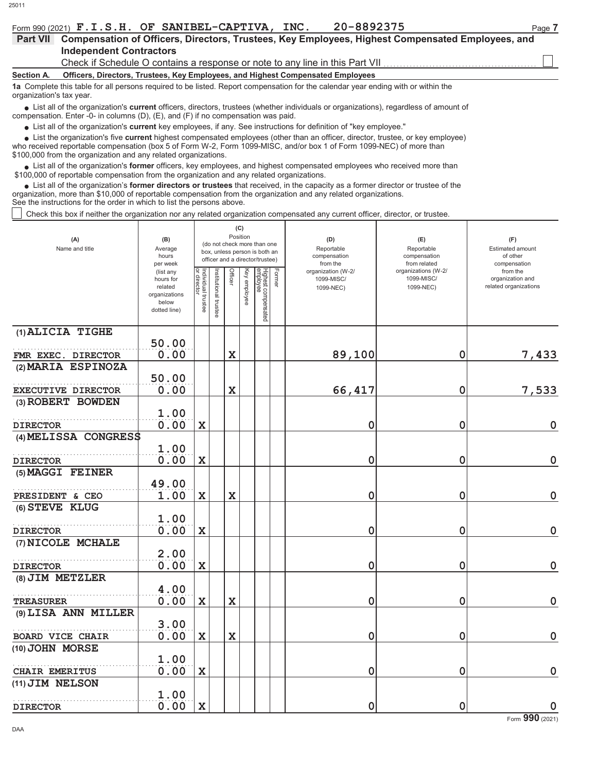| Form 990 (2021) $\mathbf{F}.\mathbf{I}.\mathbf{S}.\mathbf{H}.\mathbf{OF}$ SANIBEL-CAPTIVA, INC. | 20-8892375<br>Page $\prime$ |
|-------------------------------------------------------------------------------------------------|-----------------------------|
|-------------------------------------------------------------------------------------------------|-----------------------------|

**Part VII Compensation of Officers, Directors, Trustees, Key Employees, Highest Compensated Employees, and**

| <b>Independent Contractors</b><br>Check if Schedule O contains a response or note to any line in this Part VII.                                                                                                                                                                                                                   |                        |                                   |                      |             |              |                                                              |        |                                  |                                   |                              |  |  |  |
|-----------------------------------------------------------------------------------------------------------------------------------------------------------------------------------------------------------------------------------------------------------------------------------------------------------------------------------|------------------------|-----------------------------------|----------------------|-------------|--------------|--------------------------------------------------------------|--------|----------------------------------|-----------------------------------|------------------------------|--|--|--|
| Officers, Directors, Trustees, Key Employees, and Highest Compensated Employees<br><b>Section A.</b>                                                                                                                                                                                                                              |                        |                                   |                      |             |              |                                                              |        |                                  |                                   |                              |  |  |  |
| 1a Complete this table for all persons required to be listed. Report compensation for the calendar year ending with or within the<br>organization's tax year.                                                                                                                                                                     |                        |                                   |                      |             |              |                                                              |        |                                  |                                   |                              |  |  |  |
| • List all of the organization's current officers, directors, trustees (whether individuals or organizations), regardless of amount of<br>compensation. Enter -0- in columns (D), (E), and (F) if no compensation was paid.                                                                                                       |                        |                                   |                      |             |              |                                                              |        |                                  |                                   |                              |  |  |  |
| • List all of the organization's current key employees, if any. See instructions for definition of "key employee."                                                                                                                                                                                                                |                        |                                   |                      |             |              |                                                              |        |                                  |                                   |                              |  |  |  |
| • List the organization's five current highest compensated employees (other than an officer, director, trustee, or key employee)<br>who received reportable compensation (box 5 of Form W-2, Form 1099-MISC, and/or box 1 of Form 1099-NEC) of more than<br>\$100,000 from the organization and any related organizations.        |                        |                                   |                      |             |              |                                                              |        |                                  |                                   |                              |  |  |  |
| List all of the organization's former officers, key employees, and highest compensated employees who received more than<br>\$100,000 of reportable compensation from the organization and any related organizations.                                                                                                              |                        |                                   |                      |             |              |                                                              |        |                                  |                                   |                              |  |  |  |
| • List all of the organization's former directors or trustees that received, in the capacity as a former director or trustee of the<br>organization, more than \$10,000 of reportable compensation from the organization and any related organizations.<br>See the instructions for the order in which to list the persons above. |                        |                                   |                      |             |              |                                                              |        |                                  |                                   |                              |  |  |  |
| Check this box if neither the organization nor any related organization compensated any current officer, director, or trustee.                                                                                                                                                                                                    |                        |                                   |                      |             |              |                                                              |        |                                  |                                   |                              |  |  |  |
| (C)                                                                                                                                                                                                                                                                                                                               |                        |                                   |                      |             |              |                                                              |        |                                  |                                   |                              |  |  |  |
| (A)                                                                                                                                                                                                                                                                                                                               | (B)                    |                                   |                      |             | Position     |                                                              |        | (D)                              | (E)                               | (F)                          |  |  |  |
| Name and title                                                                                                                                                                                                                                                                                                                    | Average                |                                   |                      |             |              | (do not check more than one<br>box, unless person is both an |        | Reportable                       | Reportable                        | Estimated amount             |  |  |  |
|                                                                                                                                                                                                                                                                                                                                   | hours<br>per week      |                                   |                      |             |              | officer and a director/trustee)                              |        | compensation<br>from the         | compensation<br>from related      | of other<br>compensation     |  |  |  |
|                                                                                                                                                                                                                                                                                                                                   | (list any<br>hours for |                                   |                      | Officer     |              |                                                              | Former | organization (W-2/<br>1099-MISC/ | organizations (W-2/<br>1099-MISC/ | from the<br>organization and |  |  |  |
|                                                                                                                                                                                                                                                                                                                                   | related                |                                   |                      |             |              |                                                              |        | 1099-NEC)                        | 1099-NEC)                         | related organizations        |  |  |  |
|                                                                                                                                                                                                                                                                                                                                   | organizations<br>below | Individual trustee<br>or director |                      |             | Key employee |                                                              |        |                                  |                                   |                              |  |  |  |
|                                                                                                                                                                                                                                                                                                                                   | dotted line)           |                                   | nstitutional trustee |             |              | Highest compensated<br>employee                              |        |                                  |                                   |                              |  |  |  |
| (1) ALICIA TIGHE                                                                                                                                                                                                                                                                                                                  |                        |                                   |                      |             |              |                                                              |        |                                  |                                   |                              |  |  |  |
|                                                                                                                                                                                                                                                                                                                                   | 50.00                  |                                   |                      |             |              |                                                              |        |                                  |                                   |                              |  |  |  |
| FMR EXEC. DIRECTOR                                                                                                                                                                                                                                                                                                                | 0.00                   |                                   |                      | $\mathbf x$ |              |                                                              |        | 89,100                           | 0                                 | 7,433                        |  |  |  |
| (2) MARIA ESPINOZA                                                                                                                                                                                                                                                                                                                |                        |                                   |                      |             |              |                                                              |        |                                  |                                   |                              |  |  |  |
| <b>EXECUTIVE DIRECTOR</b>                                                                                                                                                                                                                                                                                                         | 50.00<br>0.00          |                                   |                      | $\mathbf x$ |              |                                                              |        | 66,417                           | 0                                 | 7,533                        |  |  |  |
| (3) ROBERT BOWDEN                                                                                                                                                                                                                                                                                                                 |                        |                                   |                      |             |              |                                                              |        |                                  |                                   |                              |  |  |  |
|                                                                                                                                                                                                                                                                                                                                   | 1.00                   |                                   |                      |             |              |                                                              |        |                                  |                                   |                              |  |  |  |
| <b>DIRECTOR</b>                                                                                                                                                                                                                                                                                                                   | 0.00                   | $\mathbf x$                       |                      |             |              |                                                              |        | 0                                | 0                                 | $\mathbf 0$                  |  |  |  |
| (4) MELISSA CONGRESS                                                                                                                                                                                                                                                                                                              | 1.00                   |                                   |                      |             |              |                                                              |        |                                  |                                   |                              |  |  |  |
| <b>DIRECTOR</b>                                                                                                                                                                                                                                                                                                                   | 0.00                   | $\mathbf x$                       |                      |             |              |                                                              |        | 0                                | 0                                 | $\mathbf 0$                  |  |  |  |
| (5) MAGGI FEINER                                                                                                                                                                                                                                                                                                                  |                        |                                   |                      |             |              |                                                              |        |                                  |                                   |                              |  |  |  |
|                                                                                                                                                                                                                                                                                                                                   | 49.00                  |                                   |                      | $\mathbf X$ |              |                                                              |        | 0                                |                                   |                              |  |  |  |
| PRESIDENT & CEO<br>(6) STEVE KLUG                                                                                                                                                                                                                                                                                                 | 1.00                   | $\mathbf X$                       |                      |             |              |                                                              |        |                                  | 0                                 | $\mathbf 0$                  |  |  |  |
|                                                                                                                                                                                                                                                                                                                                   | 1.00                   |                                   |                      |             |              |                                                              |        |                                  |                                   |                              |  |  |  |
| <b>DIRECTOR</b>                                                                                                                                                                                                                                                                                                                   | 0.00                   | $\mathbf X$                       |                      |             |              |                                                              |        | 0                                | 0                                 | $\mathbf 0$                  |  |  |  |
| (7) NICOLE MCHALE                                                                                                                                                                                                                                                                                                                 |                        |                                   |                      |             |              |                                                              |        |                                  |                                   |                              |  |  |  |
| <b>DIRECTOR</b>                                                                                                                                                                                                                                                                                                                   | 2.00<br>0.00           | $\mathbf X$                       |                      |             |              |                                                              |        | 0                                | 0                                 | $\mathbf 0$                  |  |  |  |
| (8) JIM METZLER                                                                                                                                                                                                                                                                                                                   |                        |                                   |                      |             |              |                                                              |        |                                  |                                   |                              |  |  |  |
|                                                                                                                                                                                                                                                                                                                                   | 4.00                   |                                   |                      |             |              |                                                              |        |                                  |                                   |                              |  |  |  |
| <b>TREASURER</b>                                                                                                                                                                                                                                                                                                                  | 0.00                   | $\mathbf X$                       |                      | $\mathbf X$ |              |                                                              |        | 0                                | 0                                 | $\mathbf 0$                  |  |  |  |
| (9) LISA ANN MILLER                                                                                                                                                                                                                                                                                                               |                        |                                   |                      |             |              |                                                              |        |                                  |                                   |                              |  |  |  |
| <b>BOARD VICE CHAIR</b>                                                                                                                                                                                                                                                                                                           | 3.00<br>0.00           | $\mathbf X$                       |                      | $\mathbf X$ |              |                                                              |        | 0                                | 0                                 | $\mathbf 0$                  |  |  |  |
| (10) JOHN MORSE                                                                                                                                                                                                                                                                                                                   |                        |                                   |                      |             |              |                                                              |        |                                  |                                   |                              |  |  |  |
|                                                                                                                                                                                                                                                                                                                                   | 1.00                   |                                   |                      |             |              |                                                              |        |                                  |                                   |                              |  |  |  |
| CHAIR EMERITUS                                                                                                                                                                                                                                                                                                                    | 0.00                   | $\mathbf X$                       |                      |             |              |                                                              |        | 0                                | 0                                 | $\mathbf 0$                  |  |  |  |
| (11) JIM NELSON                                                                                                                                                                                                                                                                                                                   |                        |                                   |                      |             |              |                                                              |        |                                  |                                   |                              |  |  |  |
| <b>DIRECTOR</b>                                                                                                                                                                                                                                                                                                                   | 1.00<br>0.00           | $\mathbf X$                       |                      |             |              |                                                              |        | 0                                | 0                                 | 0                            |  |  |  |
|                                                                                                                                                                                                                                                                                                                                   |                        |                                   |                      |             |              |                                                              |        |                                  |                                   |                              |  |  |  |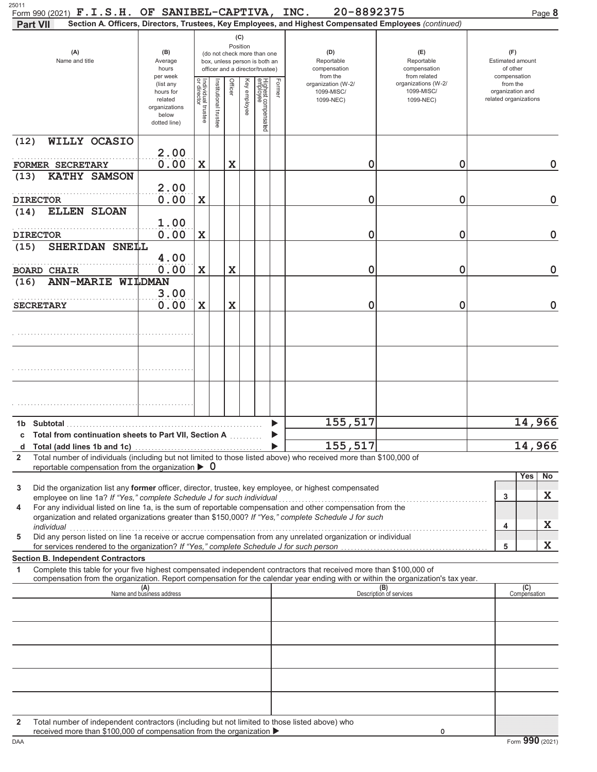| 25011<br>Form 990 (2021) F.I.S.H. OF SANIBEL-CAPTIVA, INC.<br><b>Part VII</b>                                                                                                                                             |                                                                             |                                   |                       |             |                 |                                                                                                 |        | 20-8892375<br>Section A. Officers, Directors, Trustees, Key Employees, and Highest Compensated Employees (continued) |                                                     | Page 8                                                |
|---------------------------------------------------------------------------------------------------------------------------------------------------------------------------------------------------------------------------|-----------------------------------------------------------------------------|-----------------------------------|-----------------------|-------------|-----------------|-------------------------------------------------------------------------------------------------|--------|----------------------------------------------------------------------------------------------------------------------|-----------------------------------------------------|-------------------------------------------------------|
| (A)<br>Name and title                                                                                                                                                                                                     | (B)<br>Average<br>hours<br>per week                                         |                                   |                       |             | (C)<br>Position | (do not check more than one<br>box, unless person is both an<br>officer and a director/trustee) |        | (E)<br>Reportable<br>compensation<br>from related                                                                    | (F)<br>Estimated amount<br>of other<br>compensation |                                                       |
|                                                                                                                                                                                                                           | (list any<br>hours for<br>related<br>organizations<br>below<br>dotted line) | Individual trustee<br>or director | Institutional trustee | Officer     | Key employee    | Highest compensated<br>employee                                                                 | Former | from the<br>organization (W-2/<br>1099-MISC/<br>1099-NEC)                                                            | organizations (W-2/<br>1099-MISC/<br>1099-NEC)      | from the<br>organization and<br>related organizations |
| WILLY OCASIO<br>(12)                                                                                                                                                                                                      |                                                                             |                                   |                       |             |                 |                                                                                                 |        |                                                                                                                      |                                                     |                                                       |
| FORMER SECRETARY                                                                                                                                                                                                          | 2.00<br>0.00                                                                | $\mathbf x$                       |                       | $\mathbf X$ |                 |                                                                                                 |        | 0                                                                                                                    | 0                                                   | 0                                                     |
| <b>KATHY SAMSON</b><br>(13)<br><b>DIRECTOR</b>                                                                                                                                                                            | 2.00<br>0.00                                                                | $\mathbf x$                       |                       |             |                 |                                                                                                 |        | 0                                                                                                                    | 0                                                   | $\mathbf 0$                                           |
| <b>ELLEN SLOAN</b><br>(14)                                                                                                                                                                                                |                                                                             |                                   |                       |             |                 |                                                                                                 |        |                                                                                                                      |                                                     |                                                       |
| <b>DIRECTOR</b>                                                                                                                                                                                                           | 1.00<br>0.00                                                                | $\mathbf x$                       |                       |             |                 |                                                                                                 |        | 0                                                                                                                    | 0                                                   | $\mathbf 0$                                           |
| SHERIDAN SNELL<br>(15)                                                                                                                                                                                                    | 4.00                                                                        |                                   |                       |             |                 |                                                                                                 |        |                                                                                                                      |                                                     |                                                       |
| <b>BOARD CHAIR</b><br><b>ANN-MARIE WILDMAN</b><br>(16)                                                                                                                                                                    | 0.00                                                                        | $\mathbf x$                       |                       | $\mathbf X$ |                 |                                                                                                 |        | 0                                                                                                                    | 0                                                   | $\mathbf 0$                                           |
|                                                                                                                                                                                                                           | 3.00                                                                        |                                   |                       |             |                 |                                                                                                 |        |                                                                                                                      |                                                     |                                                       |
| <b>SECRETARY</b>                                                                                                                                                                                                          | 0.00                                                                        | $\mathbf x$                       |                       | $\mathbf x$ |                 |                                                                                                 |        | 0                                                                                                                    | 0                                                   | $\mathbf 0$                                           |
|                                                                                                                                                                                                                           |                                                                             |                                   |                       |             |                 |                                                                                                 |        |                                                                                                                      |                                                     |                                                       |
|                                                                                                                                                                                                                           |                                                                             |                                   |                       |             |                 |                                                                                                 |        |                                                                                                                      |                                                     |                                                       |
|                                                                                                                                                                                                                           |                                                                             |                                   |                       |             |                 |                                                                                                 |        |                                                                                                                      |                                                     |                                                       |
|                                                                                                                                                                                                                           |                                                                             |                                   |                       |             |                 |                                                                                                 |        | 155,517                                                                                                              |                                                     | 14,966                                                |
| c Total from continuation sheets to Part VII, Section A                                                                                                                                                                   |                                                                             |                                   |                       |             |                 |                                                                                                 |        | 155,517                                                                                                              |                                                     |                                                       |
| d.<br>Total number of individuals (including but not limited to those listed above) who received more than \$100,000 of<br>$\mathbf{2}$<br>reportable compensation from the organization $\triangleright$ 0               |                                                                             |                                   |                       |             |                 |                                                                                                 |        |                                                                                                                      |                                                     | 14,966                                                |
| Did the organization list any former officer, director, trustee, key employee, or highest compensated<br>3                                                                                                                |                                                                             |                                   |                       |             |                 |                                                                                                 |        |                                                                                                                      |                                                     | Yes<br>No                                             |
| For any individual listed on line 1a, is the sum of reportable compensation and other compensation from the<br>4<br>organization and related organizations greater than \$150,000? If "Yes," complete Schedule J for such |                                                                             |                                   |                       |             |                 |                                                                                                 |        |                                                                                                                      |                                                     | X<br>3                                                |
| Did any person listed on line 1a receive or accrue compensation from any unrelated organization or individual<br>5                                                                                                        |                                                                             |                                   |                       |             |                 |                                                                                                 |        |                                                                                                                      |                                                     | X<br>4                                                |
|                                                                                                                                                                                                                           |                                                                             |                                   |                       |             |                 |                                                                                                 |        |                                                                                                                      |                                                     | X<br>5                                                |
| <b>Section B. Independent Contractors</b><br>Complete this table for your five highest compensated independent contractors that received more than \$100,000 of<br>1                                                      |                                                                             |                                   |                       |             |                 |                                                                                                 |        |                                                                                                                      |                                                     |                                                       |
| compensation from the organization. Report compensation for the calendar year ending with or within the organization's tax year.                                                                                          | (A)<br>Name and business address                                            |                                   |                       |             |                 |                                                                                                 |        |                                                                                                                      | (B)<br>Description of services                      | (C)<br>Compensation                                   |
|                                                                                                                                                                                                                           |                                                                             |                                   |                       |             |                 |                                                                                                 |        |                                                                                                                      |                                                     |                                                       |
|                                                                                                                                                                                                                           |                                                                             |                                   |                       |             |                 |                                                                                                 |        |                                                                                                                      |                                                     |                                                       |
|                                                                                                                                                                                                                           |                                                                             |                                   |                       |             |                 |                                                                                                 |        |                                                                                                                      |                                                     |                                                       |
|                                                                                                                                                                                                                           |                                                                             |                                   |                       |             |                 |                                                                                                 |        |                                                                                                                      |                                                     |                                                       |
|                                                                                                                                                                                                                           |                                                                             |                                   |                       |             |                 |                                                                                                 |        |                                                                                                                      |                                                     |                                                       |
| Total number of independent contractors (including but not limited to those listed above) who<br>2<br>received more than \$100,000 of compensation from the organization ▶                                                |                                                                             |                                   |                       |             |                 |                                                                                                 |        |                                                                                                                      | 0                                                   |                                                       |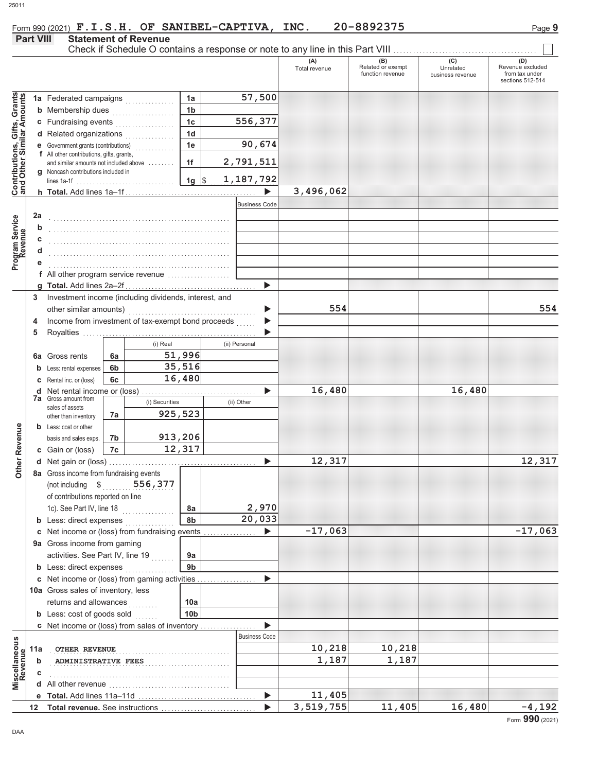## Form 990 (2021) **F.I.S.H. OF SANIBEL-CAPTIVA, INC.** 20-8892375 Page 9

### **Part VIII Statement of Revenue**

Check if Schedule O contains a response or note to any line in this Part VIII . . . . . . . . . . . . . . . . . . . . . . . . . . . . . . . . . . . . . . . . . . . .

|                                                                  |                                                                  |                                                                                     |                |                |                 |                      |                       | (A)           | (B)                                   | (C)                           | (D)                                |
|------------------------------------------------------------------|------------------------------------------------------------------|-------------------------------------------------------------------------------------|----------------|----------------|-----------------|----------------------|-----------------------|---------------|---------------------------------------|-------------------------------|------------------------------------|
|                                                                  |                                                                  |                                                                                     |                |                |                 |                      |                       | Total revenue | Related or exempt<br>function revenue | Unrelated<br>business revenue | Revenue excluded<br>from tax under |
|                                                                  |                                                                  |                                                                                     |                |                |                 |                      |                       |               |                                       |                               | sections 512-514                   |
|                                                                  |                                                                  | 1a Federated campaigns                                                              |                |                | 1a              | 57,500               |                       |               |                                       |                               |                                    |
| <b>Contributions, Gifts, Grants</b><br>and Other Similar Amounts |                                                                  | <b>b</b> Membership dues                                                            |                | .              | 1 <sub>b</sub>  |                      |                       |               |                                       |                               |                                    |
|                                                                  |                                                                  | c Fundraising events                                                                |                | .              | 1c              | 556,377              |                       |               |                                       |                               |                                    |
|                                                                  |                                                                  | d Related organizations                                                             |                |                |                 |                      |                       |               |                                       |                               |                                    |
|                                                                  |                                                                  | <b>e</b> Government grants (contributions)                                          |                |                | 1e              | 90,674               |                       |               |                                       |                               |                                    |
|                                                                  |                                                                  | f All other contributions, gifts, grants,<br>and similar amounts not included above |                |                | 1f              | 2,791,511            |                       |               |                                       |                               |                                    |
|                                                                  |                                                                  | <b>g</b> Noncash contributions included in                                          |                |                |                 |                      |                       |               |                                       |                               |                                    |
|                                                                  |                                                                  |                                                                                     |                |                | $1g$ \$         | 1,187,792            |                       |               |                                       |                               |                                    |
|                                                                  |                                                                  |                                                                                     |                |                |                 |                      | ▶                     | 3,496,062     |                                       |                               |                                    |
|                                                                  |                                                                  |                                                                                     |                |                |                 | <b>Business Code</b> |                       |               |                                       |                               |                                    |
|                                                                  | 2a                                                               |                                                                                     |                |                |                 |                      |                       |               |                                       |                               |                                    |
|                                                                  | b                                                                |                                                                                     |                |                |                 |                      |                       |               |                                       |                               |                                    |
| Program Service<br>Revenue                                       | с                                                                |                                                                                     |                |                |                 |                      |                       |               |                                       |                               |                                    |
|                                                                  |                                                                  |                                                                                     |                |                |                 |                      |                       |               |                                       |                               |                                    |
|                                                                  |                                                                  | f All other program service revenue                                                 |                |                |                 |                      |                       |               |                                       |                               |                                    |
|                                                                  |                                                                  |                                                                                     |                |                |                 |                      | $\blacktriangleright$ |               |                                       |                               |                                    |
|                                                                  | 3                                                                | Investment income (including dividends, interest, and                               |                |                |                 |                      |                       |               |                                       |                               |                                    |
|                                                                  |                                                                  |                                                                                     |                |                |                 |                      |                       | 554           |                                       |                               | 554                                |
|                                                                  | 4                                                                | Income from investment of tax-exempt bond proceeds                                  |                |                |                 |                      |                       |               |                                       |                               |                                    |
|                                                                  | 5                                                                |                                                                                     |                |                |                 |                      |                       |               |                                       |                               |                                    |
|                                                                  |                                                                  |                                                                                     |                | (i) Real       |                 | (ii) Personal        |                       |               |                                       |                               |                                    |
|                                                                  |                                                                  | <b>6a</b> Gross rents                                                               | 6a             |                | 51,996          |                      |                       |               |                                       |                               |                                    |
|                                                                  |                                                                  | <b>b</b> Less: rental expenses                                                      | 6 <sub>b</sub> |                | 35,516          |                      |                       |               |                                       |                               |                                    |
|                                                                  |                                                                  | <b>c</b> Rental inc. or (loss)                                                      | 6c             |                | 16,480          |                      |                       |               |                                       |                               |                                    |
|                                                                  |                                                                  | <b>d</b> Net rental income or (loss)                                                |                |                |                 |                      | ▶                     | 16,480        |                                       | 16,480                        |                                    |
|                                                                  | <b>7a</b> Gross amount from<br>(i) Securities<br>sales of assets |                                                                                     |                |                | (ii) Other      |                      |                       |               |                                       |                               |                                    |
|                                                                  |                                                                  | other than inventory                                                                | 7a             | 925,523        |                 |                      |                       |               |                                       |                               |                                    |
|                                                                  |                                                                  | <b>b</b> Less: cost or other                                                        |                |                |                 |                      |                       |               |                                       |                               |                                    |
|                                                                  |                                                                  | basis and sales exps.                                                               | 7b             | 913,206        | 12,317          |                      |                       |               |                                       |                               |                                    |
| Other Revenue                                                    |                                                                  | c Gain or (loss)                                                                    | 7c             |                |                 |                      |                       | 12,317        |                                       |                               | 12,317                             |
|                                                                  |                                                                  | 8a Gross income from fundraising events                                             |                |                |                 |                      |                       |               |                                       |                               |                                    |
|                                                                  |                                                                  | (not including \$                                                                   |                | 556,377        |                 |                      |                       |               |                                       |                               |                                    |
|                                                                  |                                                                  | of contributions reported on line                                                   |                |                |                 |                      |                       |               |                                       |                               |                                    |
|                                                                  |                                                                  | 1c). See Part IV, line 18                                                           |                | a sa sa salala | 8a              | 2,970                |                       |               |                                       |                               |                                    |
|                                                                  |                                                                  | <b>b</b> Less: direct expenses                                                      |                |                | 8b              | 20,033               |                       |               |                                       |                               |                                    |
|                                                                  |                                                                  | c Net income or (loss) from fundraising events                                      |                |                |                 |                      |                       | $-17,063$     |                                       |                               | $-17,063$                          |
|                                                                  |                                                                  | 9a Gross income from gaming                                                         |                |                |                 |                      |                       |               |                                       |                               |                                    |
|                                                                  |                                                                  | activities. See Part IV, line 19                                                    |                |                | 9a              |                      |                       |               |                                       |                               |                                    |
|                                                                  |                                                                  | <b>b</b> Less: direct expenses                                                      |                |                | 9 <sub>b</sub>  |                      |                       |               |                                       |                               |                                    |
|                                                                  |                                                                  | c Net income or (loss) from gaming activities                                       |                |                |                 |                      |                       |               |                                       |                               |                                    |
|                                                                  |                                                                  | 10a Gross sales of inventory, less                                                  |                |                |                 |                      |                       |               |                                       |                               |                                    |
|                                                                  |                                                                  | returns and allowances                                                              |                | .              | 10a             |                      |                       |               |                                       |                               |                                    |
|                                                                  |                                                                  | <b>b</b> Less: cost of goods sold                                                   |                |                | 10 <sub>b</sub> |                      |                       |               |                                       |                               |                                    |
|                                                                  |                                                                  | c Net income or (loss) from sales of inventory                                      |                |                |                 |                      |                       |               |                                       |                               |                                    |
|                                                                  |                                                                  |                                                                                     |                |                |                 | <b>Business Code</b> |                       |               |                                       |                               |                                    |
|                                                                  | 11a                                                              | OTHER REVENUE                                                                       |                |                |                 |                      |                       | 10,218        | 10,218                                |                               |                                    |
|                                                                  | b                                                                | <b>ADMINISTRATIVE FEES</b>                                                          |                |                |                 |                      |                       | 1,187         | 1,187                                 |                               |                                    |
| Miscellaneous<br>Revenue                                         | c                                                                |                                                                                     |                |                |                 |                      |                       |               |                                       |                               |                                    |
|                                                                  |                                                                  |                                                                                     |                |                |                 |                      | ▶                     | 11,405        |                                       |                               |                                    |
|                                                                  |                                                                  | 12 Total revenue. See instructions                                                  |                |                |                 |                      |                       | 3,519,755     | 11,405                                | 16,480                        | $-4,192$                           |
|                                                                  |                                                                  |                                                                                     |                |                |                 |                      |                       |               |                                       |                               |                                    |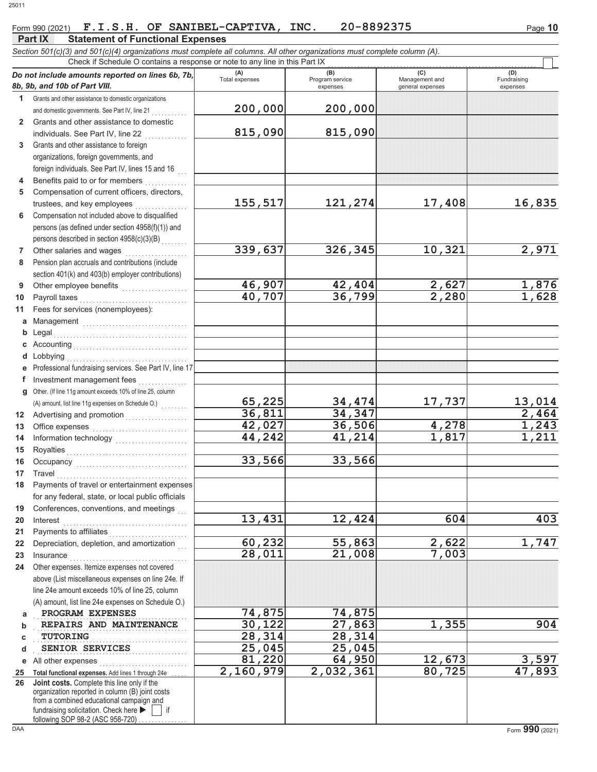## Form 990 (2021) F.I.S.H. OF SANIBEL-CAPTIVA, INC. 20-8892375 Page 10

## **Part IX Statement of Functional Expenses**

*Section 501(c)(3) and 501(c)(4) organizations must complete all columns. All other organizations must complete column (A).*

| Check if Schedule O contains a response or note to any line in this Part IX |                                                                                                                                                                                                                                                                                                                                                                                                                                                                                                                             |                       |                                    |                                           |                                |  |  |  |  |  |  |  |
|-----------------------------------------------------------------------------|-----------------------------------------------------------------------------------------------------------------------------------------------------------------------------------------------------------------------------------------------------------------------------------------------------------------------------------------------------------------------------------------------------------------------------------------------------------------------------------------------------------------------------|-----------------------|------------------------------------|-------------------------------------------|--------------------------------|--|--|--|--|--|--|--|
|                                                                             | Do not include amounts reported on lines 6b, 7b,<br>8b, 9b, and 10b of Part VIII.                                                                                                                                                                                                                                                                                                                                                                                                                                           | (A)<br>Total expenses | (B)<br>Program service<br>expenses | (C)<br>Management and<br>general expenses | (D)<br>Fundraising<br>expenses |  |  |  |  |  |  |  |
| 1                                                                           | Grants and other assistance to domestic organizations                                                                                                                                                                                                                                                                                                                                                                                                                                                                       |                       |                                    |                                           |                                |  |  |  |  |  |  |  |
|                                                                             | and domestic governments. See Part IV, line 21                                                                                                                                                                                                                                                                                                                                                                                                                                                                              | 200,000               | 200,000                            |                                           |                                |  |  |  |  |  |  |  |
| 2                                                                           | Grants and other assistance to domestic                                                                                                                                                                                                                                                                                                                                                                                                                                                                                     |                       |                                    |                                           |                                |  |  |  |  |  |  |  |
|                                                                             | individuals. See Part IV, line 22                                                                                                                                                                                                                                                                                                                                                                                                                                                                                           | 815,090               | 815,090                            |                                           |                                |  |  |  |  |  |  |  |
| 3                                                                           | Grants and other assistance to foreign                                                                                                                                                                                                                                                                                                                                                                                                                                                                                      |                       |                                    |                                           |                                |  |  |  |  |  |  |  |
|                                                                             | organizations, foreign governments, and                                                                                                                                                                                                                                                                                                                                                                                                                                                                                     |                       |                                    |                                           |                                |  |  |  |  |  |  |  |
|                                                                             | foreign individuals. See Part IV, lines 15 and 16                                                                                                                                                                                                                                                                                                                                                                                                                                                                           |                       |                                    |                                           |                                |  |  |  |  |  |  |  |
| 4                                                                           | Benefits paid to or for members                                                                                                                                                                                                                                                                                                                                                                                                                                                                                             |                       |                                    |                                           |                                |  |  |  |  |  |  |  |
| 5                                                                           | Compensation of current officers, directors,                                                                                                                                                                                                                                                                                                                                                                                                                                                                                |                       |                                    |                                           |                                |  |  |  |  |  |  |  |
|                                                                             | trustees, and key employees                                                                                                                                                                                                                                                                                                                                                                                                                                                                                                 | 155,517               | 121,274                            | 17,408                                    | 16,835                         |  |  |  |  |  |  |  |
| 6                                                                           | Compensation not included above to disqualified                                                                                                                                                                                                                                                                                                                                                                                                                                                                             |                       |                                    |                                           |                                |  |  |  |  |  |  |  |
|                                                                             | persons (as defined under section 4958(f)(1)) and                                                                                                                                                                                                                                                                                                                                                                                                                                                                           |                       |                                    |                                           |                                |  |  |  |  |  |  |  |
|                                                                             | persons described in section 4958(c)(3)(B)                                                                                                                                                                                                                                                                                                                                                                                                                                                                                  |                       |                                    |                                           |                                |  |  |  |  |  |  |  |
| 7                                                                           |                                                                                                                                                                                                                                                                                                                                                                                                                                                                                                                             | 339,637               | 326,345                            | 10,321                                    | 2,971                          |  |  |  |  |  |  |  |
| 8                                                                           | Pension plan accruals and contributions (include                                                                                                                                                                                                                                                                                                                                                                                                                                                                            |                       |                                    |                                           |                                |  |  |  |  |  |  |  |
|                                                                             | section 401(k) and 403(b) employer contributions)                                                                                                                                                                                                                                                                                                                                                                                                                                                                           |                       |                                    |                                           |                                |  |  |  |  |  |  |  |
| 9                                                                           | Other employee benefits                                                                                                                                                                                                                                                                                                                                                                                                                                                                                                     | 46,907                | 42,404                             | 2,627                                     |                                |  |  |  |  |  |  |  |
| 10                                                                          | Payroll taxes                                                                                                                                                                                                                                                                                                                                                                                                                                                                                                               | 40,707                | 36,799                             | 2,280                                     | $\frac{1,876}{1,628}$          |  |  |  |  |  |  |  |
| 11                                                                          | Fees for services (nonemployees):                                                                                                                                                                                                                                                                                                                                                                                                                                                                                           |                       |                                    |                                           |                                |  |  |  |  |  |  |  |
| a                                                                           |                                                                                                                                                                                                                                                                                                                                                                                                                                                                                                                             |                       |                                    |                                           |                                |  |  |  |  |  |  |  |
| b                                                                           |                                                                                                                                                                                                                                                                                                                                                                                                                                                                                                                             |                       |                                    |                                           |                                |  |  |  |  |  |  |  |
|                                                                             |                                                                                                                                                                                                                                                                                                                                                                                                                                                                                                                             |                       |                                    |                                           |                                |  |  |  |  |  |  |  |
| d                                                                           | Lobbying                                                                                                                                                                                                                                                                                                                                                                                                                                                                                                                    |                       |                                    |                                           |                                |  |  |  |  |  |  |  |
| е                                                                           | Professional fundraising services. See Part IV, line 17                                                                                                                                                                                                                                                                                                                                                                                                                                                                     |                       |                                    |                                           |                                |  |  |  |  |  |  |  |
| f                                                                           | Investment management fees                                                                                                                                                                                                                                                                                                                                                                                                                                                                                                  |                       |                                    |                                           |                                |  |  |  |  |  |  |  |
| q                                                                           | Other. (If line 11g amount exceeds 10% of line 25, column                                                                                                                                                                                                                                                                                                                                                                                                                                                                   |                       |                                    |                                           |                                |  |  |  |  |  |  |  |
|                                                                             |                                                                                                                                                                                                                                                                                                                                                                                                                                                                                                                             | 65,225                | 34,474                             | 17,737                                    | 13,014                         |  |  |  |  |  |  |  |
| 12                                                                          |                                                                                                                                                                                                                                                                                                                                                                                                                                                                                                                             | 36,811                | 34,347                             |                                           | 2,464                          |  |  |  |  |  |  |  |
| 13                                                                          |                                                                                                                                                                                                                                                                                                                                                                                                                                                                                                                             | 42,027                | 36,506                             | 4,278                                     | 1,243                          |  |  |  |  |  |  |  |
| 14                                                                          |                                                                                                                                                                                                                                                                                                                                                                                                                                                                                                                             | 44,242                | 41,214                             | 1,817                                     | 1,211                          |  |  |  |  |  |  |  |
| 15                                                                          |                                                                                                                                                                                                                                                                                                                                                                                                                                                                                                                             |                       |                                    |                                           |                                |  |  |  |  |  |  |  |
| 16                                                                          |                                                                                                                                                                                                                                                                                                                                                                                                                                                                                                                             | 33,566                | 33,566                             |                                           |                                |  |  |  |  |  |  |  |
| 17                                                                          | $\begin{minipage}[c]{0.9\linewidth} \begin{tabular}{l} \textbf{Travel} \end{tabular} \end{minipage} \end{minipage} \begin{minipage}[c]{0.9\linewidth} \begin{tabular}{l} \textbf{True} \end{tabular} \end{minipage} \end{minipage} \begin{minipage}[c]{0.9\linewidth} \begin{tabular}{l} \textbf{True} \end{tabular} \end{minipage} \end{minipage} \begin{minipage}[c]{0.9\linewidth} \begin{tabular}{l} \textbf{True} \end{tabular} \end{minipage} \end{minipage} \begin{minipage}[c]{0.9\linewidth} \begin{tabular}{l} \$ |                       |                                    |                                           |                                |  |  |  |  |  |  |  |
| 18                                                                          | Payments of travel or entertainment expenses                                                                                                                                                                                                                                                                                                                                                                                                                                                                                |                       |                                    |                                           |                                |  |  |  |  |  |  |  |
|                                                                             | for any federal, state, or local public officials                                                                                                                                                                                                                                                                                                                                                                                                                                                                           |                       |                                    |                                           |                                |  |  |  |  |  |  |  |
| 19                                                                          | Conferences, conventions, and meetings                                                                                                                                                                                                                                                                                                                                                                                                                                                                                      |                       |                                    |                                           |                                |  |  |  |  |  |  |  |
| 20                                                                          | Interest                                                                                                                                                                                                                                                                                                                                                                                                                                                                                                                    | 13,431                | 12,424                             | 604                                       | 403                            |  |  |  |  |  |  |  |
| 21                                                                          | Payments to affiliates                                                                                                                                                                                                                                                                                                                                                                                                                                                                                                      |                       |                                    |                                           |                                |  |  |  |  |  |  |  |
| 22                                                                          | Depreciation, depletion, and amortization                                                                                                                                                                                                                                                                                                                                                                                                                                                                                   | 60,232                | 55,863                             | 2,622                                     | 1,747                          |  |  |  |  |  |  |  |
| 23                                                                          | Insurance                                                                                                                                                                                                                                                                                                                                                                                                                                                                                                                   | 28,011                | 21,008                             | 7,003                                     |                                |  |  |  |  |  |  |  |
| 24                                                                          | Other expenses. Itemize expenses not covered                                                                                                                                                                                                                                                                                                                                                                                                                                                                                |                       |                                    |                                           |                                |  |  |  |  |  |  |  |
|                                                                             | above (List miscellaneous expenses on line 24e. If                                                                                                                                                                                                                                                                                                                                                                                                                                                                          |                       |                                    |                                           |                                |  |  |  |  |  |  |  |
|                                                                             | line 24e amount exceeds 10% of line 25, column                                                                                                                                                                                                                                                                                                                                                                                                                                                                              |                       |                                    |                                           |                                |  |  |  |  |  |  |  |
|                                                                             | (A) amount, list line 24e expenses on Schedule O.)<br>PROGRAM EXPENSES                                                                                                                                                                                                                                                                                                                                                                                                                                                      | 74,875                | 74,875                             |                                           |                                |  |  |  |  |  |  |  |
| a                                                                           |                                                                                                                                                                                                                                                                                                                                                                                                                                                                                                                             | 30,122                | 27,863                             | 1,355                                     | 904                            |  |  |  |  |  |  |  |
| b                                                                           | REPAIRS AND MAINTENANCE<br><b>TUTORING</b>                                                                                                                                                                                                                                                                                                                                                                                                                                                                                  | 28,314                | 28,314                             |                                           |                                |  |  |  |  |  |  |  |
| C<br>d                                                                      | <b>SENIOR SERVICES</b>                                                                                                                                                                                                                                                                                                                                                                                                                                                                                                      | 25,045                | 25,045                             |                                           |                                |  |  |  |  |  |  |  |
|                                                                             |                                                                                                                                                                                                                                                                                                                                                                                                                                                                                                                             | 81,220                | 64,950                             | 12,673                                    | 3,597                          |  |  |  |  |  |  |  |
| е                                                                           | All other expenses<br>Total functional expenses. Add lines 1 through 24e                                                                                                                                                                                                                                                                                                                                                                                                                                                    | 2,160,979             | 2,032,361                          | 80,725                                    | 47,893                         |  |  |  |  |  |  |  |
| 25<br>26                                                                    | Joint costs. Complete this line only if the                                                                                                                                                                                                                                                                                                                                                                                                                                                                                 |                       |                                    |                                           |                                |  |  |  |  |  |  |  |
|                                                                             | organization reported in column (B) joint costs<br>from a combined educational campaign and<br>fundraising solicitation. Check here<br>if<br>following SOP 98-2 (ASC 958-720)                                                                                                                                                                                                                                                                                                                                               |                       |                                    |                                           |                                |  |  |  |  |  |  |  |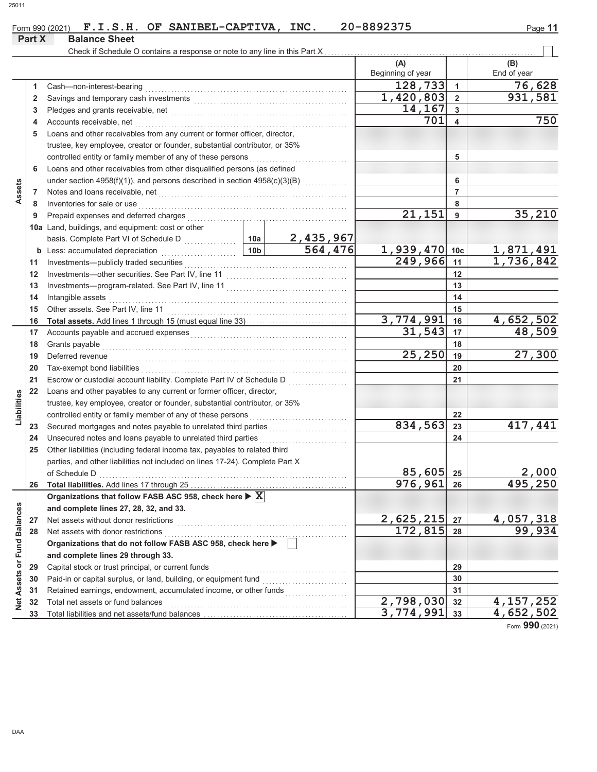| Part X                      |    | <b>Balance Sheet</b>                                                                      |                 |                                                                                                                       |                          |                 |                     |
|-----------------------------|----|-------------------------------------------------------------------------------------------|-----------------|-----------------------------------------------------------------------------------------------------------------------|--------------------------|-----------------|---------------------|
|                             |    | Check if Schedule O contains a response or note to any line in this Part X                |                 |                                                                                                                       | (A)<br>Beginning of year |                 | (B)<br>End of year  |
|                             | 1  | Cash-non-interest-bearing                                                                 |                 |                                                                                                                       | 128,733                  | $\mathbf{1}$    | 76,628              |
|                             | 2  |                                                                                           |                 |                                                                                                                       | 1,420,803                | $\overline{2}$  | 931,581             |
|                             | 3  |                                                                                           |                 |                                                                                                                       | 14,167                   | $\mathbf{3}$    |                     |
|                             | 4  | Accounts receivable, net                                                                  | 701             | 4                                                                                                                     | 750                      |                 |                     |
|                             | 5  | Loans and other receivables from any current or former officer, director,                 |                 |                                                                                                                       |                          |                 |                     |
|                             |    | trustee, key employee, creator or founder, substantial contributor, or 35%                |                 |                                                                                                                       |                          |                 |                     |
|                             |    | controlled entity or family member of any of these persons                                |                 |                                                                                                                       |                          | 5               |                     |
|                             | 6  | Loans and other receivables from other disqualified persons (as defined                   |                 |                                                                                                                       |                          |                 |                     |
|                             |    |                                                                                           |                 | 6                                                                                                                     |                          |                 |                     |
| Assets                      | 7  |                                                                                           |                 |                                                                                                                       | $\overline{7}$           |                 |                     |
|                             | 8  | Inventories for sale or use                                                               |                 |                                                                                                                       |                          | 8               |                     |
|                             | 9  | Prepaid expenses and deferred charges                                                     |                 |                                                                                                                       | 21,151                   | 9               | 35,210              |
|                             |    | 10a Land, buildings, and equipment: cost or other                                         |                 |                                                                                                                       |                          |                 |                     |
|                             |    |                                                                                           |                 |                                                                                                                       |                          |                 |                     |
|                             |    | <b>b</b> Less: accumulated depreciation                                                   | 10 <sub>b</sub> | 2,435,967<br>564,476                                                                                                  | 1,939,470                | 10 <sub>c</sub> | <u>1,871,491</u>    |
|                             | 11 |                                                                                           |                 |                                                                                                                       | 249,966                  | 11              | 1,736,842           |
|                             | 12 |                                                                                           |                 |                                                                                                                       |                          | 12              |                     |
|                             | 13 |                                                                                           |                 |                                                                                                                       |                          | 13              |                     |
|                             | 14 | Intangible assets                                                                         |                 | 14                                                                                                                    |                          |                 |                     |
|                             | 15 | Other assets. See Part IV, line 11                                                        |                 | 15                                                                                                                    |                          |                 |                     |
|                             | 16 |                                                                                           |                 |                                                                                                                       | 3,774,991                | 16              | 4,652,502           |
|                             | 17 |                                                                                           | 31,543          | 17                                                                                                                    | 48,509                   |                 |                     |
|                             | 18 | Grants payable                                                                            |                 |                                                                                                                       |                          | 18              |                     |
|                             | 19 | Deferred revenue                                                                          |                 |                                                                                                                       | 25,250                   | 19              | 27,300              |
|                             | 20 | Tax-exempt bond liabilities                                                               |                 |                                                                                                                       |                          | 20              |                     |
|                             | 21 |                                                                                           |                 |                                                                                                                       |                          | 21              |                     |
|                             | 22 | Loans and other payables to any current or former officer, director,                      |                 |                                                                                                                       |                          |                 |                     |
|                             |    | trustee, key employee, creator or founder, substantial contributor, or 35%                |                 |                                                                                                                       |                          |                 |                     |
| Liabilities                 |    | controlled entity or family member of any of these persons                                |                 |                                                                                                                       |                          | 22              |                     |
|                             | 23 | Secured mortgages and notes payable to unrelated third parties                            |                 |                                                                                                                       | 834,563                  | 23              | 417,441             |
|                             | 24 | Unsecured notes and loans payable to unrelated third parties                              |                 |                                                                                                                       |                          | 24              |                     |
|                             | 25 | Other liabilities (including federal income tax, payables to related third                |                 |                                                                                                                       |                          |                 |                     |
|                             |    | parties, and other liabilities not included on lines 17-24). Complete Part X              |                 |                                                                                                                       |                          |                 |                     |
|                             |    | of Schedule D                                                                             |                 |                                                                                                                       | $85,605$ 25              |                 | 2,000               |
|                             | 26 |                                                                                           |                 |                                                                                                                       | 976,961                  | 26              | 495,250             |
|                             |    | Organizations that follow FASB ASC 958, check here $\blacktriangleright \boxed{\text{X}}$ |                 |                                                                                                                       |                          |                 |                     |
|                             |    | and complete lines 27, 28, 32, and 33.                                                    |                 |                                                                                                                       |                          |                 |                     |
|                             | 27 | Net assets without donor restrictions                                                     |                 |                                                                                                                       | 2,625,215                | 27              | 4,057,318<br>99,934 |
|                             | 28 | Net assets with donor restrictions                                                        | 172,815         | 28                                                                                                                    |                          |                 |                     |
|                             |    | Organizations that do not follow FASB ASC 958, check here ▶                               |                 |                                                                                                                       |                          |                 |                     |
| Net Assets or Fund Balances |    | and complete lines 29 through 33.                                                         |                 |                                                                                                                       |                          |                 |                     |
|                             | 29 | Capital stock or trust principal, or current funds                                        |                 | 29                                                                                                                    |                          |                 |                     |
|                             | 30 | Paid-in or capital surplus, or land, building, or equipment fund                          |                 | <u> 1966 - Johann Stoff, Amerikaansk kanton en beskriuwer om de formannelse om de formannelse om de formannelse o</u> |                          | 30              |                     |
|                             | 31 | Retained earnings, endowment, accumulated income, or other funds                          |                 | .                                                                                                                     |                          | 31              |                     |
|                             | 32 | Total net assets or fund balances                                                         |                 |                                                                                                                       | 2,798,030                | 32              | 4, 157, 252         |
|                             | 33 |                                                                                           |                 |                                                                                                                       | 3,774,991                | 33              | 4,652,502           |

Form **990** (2021)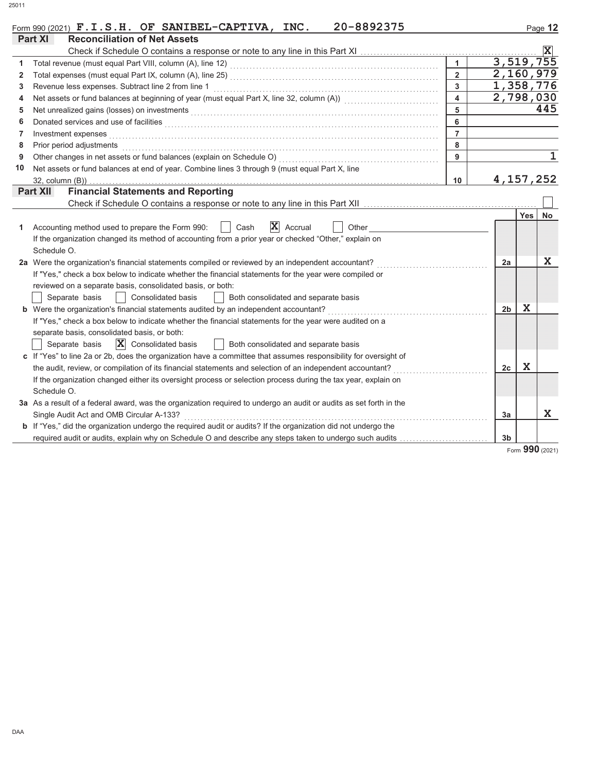|    | 20-8892375<br>Form 990 (2021) F.I.S.H. OF SANIBEL-CAPTIVA, INC.                                                                                                                                                                |                         |                  |             | Page 12      |
|----|--------------------------------------------------------------------------------------------------------------------------------------------------------------------------------------------------------------------------------|-------------------------|------------------|-------------|--------------|
|    | <b>Reconciliation of Net Assets</b><br>Part XI                                                                                                                                                                                 |                         |                  |             |              |
|    |                                                                                                                                                                                                                                |                         |                  |             | $\mathbf{x}$ |
|    |                                                                                                                                                                                                                                | $\mathbf{1}$            | 3,519,755        |             |              |
| 2  | Total expenses (must equal Part IX, column (A), line 25) [2010] [25] [2010] [2010] [2010] [2010] [2010] [2010] [                                                                                                               | $\overline{2}$          | 2,160,979        |             |              |
| 3  | Revenue less expenses. Subtract line 2 from line 1                                                                                                                                                                             | $\overline{3}$          | 1,358,776        |             |              |
| 4  | Net assets or fund balances at beginning of year (must equal Part X, line 32, column (A)) [[[[[[[[[[[[[[[[[[[                                                                                                                  | $\overline{\mathbf{4}}$ | 2,798,030        |             |              |
| 5  | Net unrealized gains (losses) on investments [1] production in the contract of the set of the set of the set of the set of the set of the set of the set of the set of the set of the set of the set of the set of the set of  | 5                       |                  |             | 445          |
| 6  |                                                                                                                                                                                                                                | 6                       |                  |             |              |
| 7  | $Investment \textit{ expenses} \underbrace{\hspace{2cm}}$                                                                                                                                                                      | $\overline{7}$          |                  |             |              |
| 8  | Prior period adjustments entertainments and according to the contract of the contract of the contract of the contract of the contract of the contract of the contract of the contract of the contract of the contract of the c | 8                       |                  |             |              |
| 9  | Other changes in net assets or fund balances (explain on Schedule O) [[[[[[[[[[[[[[[[[[[[[[]]]]]]]]]                                                                                                                           | 9                       |                  |             | $\mathbf 1$  |
| 10 | Net assets or fund balances at end of year. Combine lines 3 through 9 (must equal Part X, line                                                                                                                                 |                         |                  |             |              |
|    | $32$ , column $(B)$ )                                                                                                                                                                                                          | 10                      | 4, 157, 252      |             |              |
|    | <b>Financial Statements and Reporting</b><br>Part XII                                                                                                                                                                          |                         |                  |             |              |
|    |                                                                                                                                                                                                                                |                         |                  |             |              |
|    |                                                                                                                                                                                                                                |                         |                  | Yes         | <b>No</b>    |
| 1  | $ \mathbf{X} $ Accrual<br>Accounting method used to prepare the Form 990:<br>Cash<br>Other                                                                                                                                     |                         |                  |             |              |
|    | If the organization changed its method of accounting from a prior year or checked "Other," explain on                                                                                                                          |                         |                  |             |              |
|    | Schedule O.                                                                                                                                                                                                                    |                         |                  |             |              |
|    | 2a Were the organization's financial statements compiled or reviewed by an independent accountant?                                                                                                                             |                         | 2a               |             | $\mathbf x$  |
|    | If "Yes," check a box below to indicate whether the financial statements for the year were compiled or                                                                                                                         |                         |                  |             |              |
|    | reviewed on a separate basis, consolidated basis, or both:                                                                                                                                                                     |                         |                  |             |              |
|    | Separate basis<br>Consolidated basis<br>Both consolidated and separate basis                                                                                                                                                   |                         |                  |             |              |
|    | b Were the organization's financial statements audited by an independent accountant?                                                                                                                                           |                         | 2 <sub>b</sub>   | X           |              |
|    | If "Yes," check a box below to indicate whether the financial statements for the year were audited on a                                                                                                                        |                         |                  |             |              |
|    | separate basis, consolidated basis, or both:                                                                                                                                                                                   |                         |                  |             |              |
|    | $ \mathbf{X} $ Consolidated basis<br>Separate basis<br>Both consolidated and separate basis                                                                                                                                    |                         |                  |             |              |
|    | c If "Yes" to line 2a or 2b, does the organization have a committee that assumes responsibility for oversight of                                                                                                               |                         |                  |             |              |
|    | the audit, review, or compilation of its financial statements and selection of an independent accountant?                                                                                                                      |                         | 2c               | $\mathbf x$ |              |
|    | If the organization changed either its oversight process or selection process during the tax year, explain on                                                                                                                  |                         |                  |             |              |
|    | Schedule O.                                                                                                                                                                                                                    |                         |                  |             |              |
|    | 3a As a result of a federal award, was the organization required to undergo an audit or audits as set forth in the                                                                                                             |                         |                  |             |              |
|    | Single Audit Act and OMB Circular A-133?                                                                                                                                                                                       |                         | 3a               |             | X            |
|    | <b>b</b> If "Yes," did the organization undergo the required audit or audits? If the organization did not undergo the                                                                                                          |                         |                  |             |              |
|    | required audit or audits, explain why on Schedule O and describe any steps taken to undergo such audits                                                                                                                        |                         | 3 <sub>b</sub>   |             |              |
|    |                                                                                                                                                                                                                                |                         | $E_{\text{arm}}$ |             | 990(2021)    |

Form **990** (2021)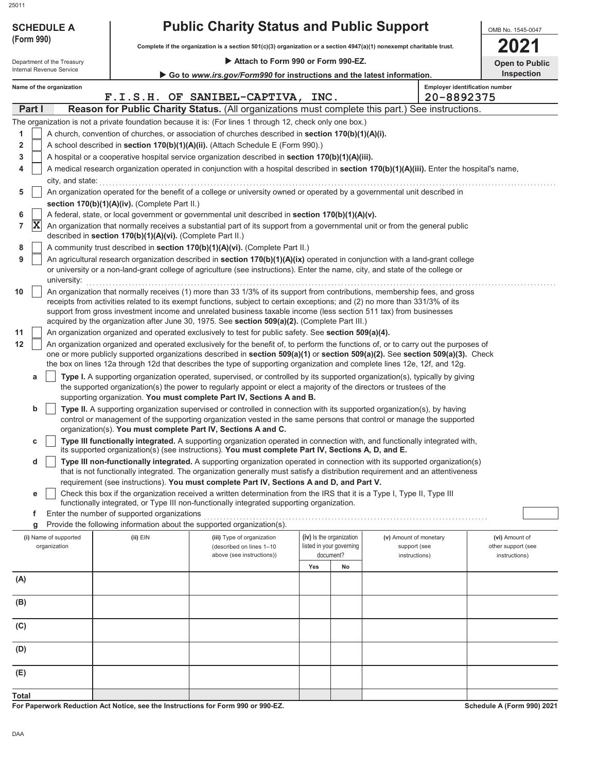| 25011                   |                                                         |                                                                                                                                                                                                                   |                                                            |                                                                                                                                                                                                                                                     |                       |                    |  |            |                                       |  |  |
|-------------------------|---------------------------------------------------------|-------------------------------------------------------------------------------------------------------------------------------------------------------------------------------------------------------------------|------------------------------------------------------------|-----------------------------------------------------------------------------------------------------------------------------------------------------------------------------------------------------------------------------------------------------|-----------------------|--------------------|--|------------|---------------------------------------|--|--|
|                         | <b>SCHEDULE A</b>                                       |                                                                                                                                                                                                                   |                                                            | <b>Public Charity Status and Public Support</b>                                                                                                                                                                                                     |                       | OMB No. 1545-0047  |  |            |                                       |  |  |
|                         | (Form 990)                                              |                                                                                                                                                                                                                   |                                                            | 2021<br>Complete if the organization is a section 501(c)(3) organization or a section 4947(a)(1) nonexempt charitable trust.                                                                                                                        |                       |                    |  |            |                                       |  |  |
|                         | Department of the Treasury                              |                                                                                                                                                                                                                   |                                                            | Attach to Form 990 or Form 990-EZ.                                                                                                                                                                                                                  | <b>Open to Public</b> |                    |  |            |                                       |  |  |
|                         | Internal Revenue Service                                |                                                                                                                                                                                                                   |                                                            | Go to www.irs.gov/Form990 for instructions and the latest information.                                                                                                                                                                              |                       |                    |  |            | Inspection                            |  |  |
|                         | Name of the organization                                |                                                                                                                                                                                                                   |                                                            |                                                                                                                                                                                                                                                     |                       |                    |  |            | <b>Employer identification number</b> |  |  |
|                         |                                                         |                                                                                                                                                                                                                   |                                                            | F.I.S.H. OF SANIBEL-CAPTIVA, INC.                                                                                                                                                                                                                   |                       |                    |  | 20-8892375 |                                       |  |  |
|                         | Part I                                                  |                                                                                                                                                                                                                   |                                                            | Reason for Public Charity Status. (All organizations must complete this part.) See instructions.                                                                                                                                                    |                       |                    |  |            |                                       |  |  |
|                         |                                                         |                                                                                                                                                                                                                   |                                                            | The organization is not a private foundation because it is: (For lines 1 through 12, check only one box.)                                                                                                                                           |                       |                    |  |            |                                       |  |  |
| 1                       |                                                         |                                                                                                                                                                                                                   |                                                            | A church, convention of churches, or association of churches described in section 170(b)(1)(A)(i).                                                                                                                                                  |                       |                    |  |            |                                       |  |  |
| $\overline{\mathbf{2}}$ |                                                         |                                                                                                                                                                                                                   |                                                            | A school described in section 170(b)(1)(A)(ii). (Attach Schedule E (Form 990).)                                                                                                                                                                     |                       |                    |  |            |                                       |  |  |
| 3                       |                                                         |                                                                                                                                                                                                                   |                                                            | A hospital or a cooperative hospital service organization described in section 170(b)(1)(A)(iii).                                                                                                                                                   |                       |                    |  |            |                                       |  |  |
| 4                       |                                                         |                                                                                                                                                                                                                   |                                                            | A medical research organization operated in conjunction with a hospital described in section 170(b)(1)(A)(iii). Enter the hospital's name,                                                                                                          |                       |                    |  |            |                                       |  |  |
|                         |                                                         | city, and state:                                                                                                                                                                                                  |                                                            |                                                                                                                                                                                                                                                     |                       |                    |  |            |                                       |  |  |
| 5                       |                                                         |                                                                                                                                                                                                                   |                                                            | An organization operated for the benefit of a college or university owned or operated by a governmental unit described in                                                                                                                           |                       |                    |  |            |                                       |  |  |
|                         |                                                         |                                                                                                                                                                                                                   | section 170(b)(1)(A)(iv). (Complete Part II.)              |                                                                                                                                                                                                                                                     |                       |                    |  |            |                                       |  |  |
| 6<br>7                  | $\vert X \vert$                                         |                                                                                                                                                                                                                   |                                                            | A federal, state, or local government or governmental unit described in section 170(b)(1)(A)(v).<br>An organization that normally receives a substantial part of its support from a governmental unit or from the general public                    |                       |                    |  |            |                                       |  |  |
|                         |                                                         |                                                                                                                                                                                                                   | described in section 170(b)(1)(A)(vi). (Complete Part II.) |                                                                                                                                                                                                                                                     |                       |                    |  |            |                                       |  |  |
| 8                       |                                                         |                                                                                                                                                                                                                   |                                                            | A community trust described in section 170(b)(1)(A)(vi). (Complete Part II.)                                                                                                                                                                        |                       |                    |  |            |                                       |  |  |
| 9                       |                                                         |                                                                                                                                                                                                                   |                                                            | An agricultural research organization described in section 170(b)(1)(A)(ix) operated in conjunction with a land-grant college                                                                                                                       |                       |                    |  |            |                                       |  |  |
|                         |                                                         |                                                                                                                                                                                                                   |                                                            | or university or a non-land-grant college of agriculture (see instructions). Enter the name, city, and state of the college or                                                                                                                      |                       |                    |  |            |                                       |  |  |
|                         | university:                                             |                                                                                                                                                                                                                   |                                                            |                                                                                                                                                                                                                                                     |                       |                    |  |            |                                       |  |  |
| 10                      |                                                         |                                                                                                                                                                                                                   |                                                            | An organization that normally receives (1) more than 33 1/3% of its support from contributions, membership fees, and gross                                                                                                                          |                       |                    |  |            |                                       |  |  |
|                         |                                                         |                                                                                                                                                                                                                   |                                                            | receipts from activities related to its exempt functions, subject to certain exceptions; and (2) no more than 331/3% of its<br>support from gross investment income and unrelated business taxable income (less section 511 tax) from businesses    |                       |                    |  |            |                                       |  |  |
|                         |                                                         |                                                                                                                                                                                                                   |                                                            | acquired by the organization after June 30, 1975. See section 509(a)(2). (Complete Part III.)                                                                                                                                                       |                       |                    |  |            |                                       |  |  |
| 11                      |                                                         |                                                                                                                                                                                                                   |                                                            | An organization organized and operated exclusively to test for public safety. See section 509(a)(4).                                                                                                                                                |                       |                    |  |            |                                       |  |  |
| 12                      |                                                         |                                                                                                                                                                                                                   |                                                            | An organization organized and operated exclusively for the benefit of, to perform the functions of, or to carry out the purposes of                                                                                                                 |                       |                    |  |            |                                       |  |  |
|                         |                                                         |                                                                                                                                                                                                                   |                                                            | one or more publicly supported organizations described in section 509(a)(1) or section 509(a)(2). See section 509(a)(3). Check                                                                                                                      |                       |                    |  |            |                                       |  |  |
|                         |                                                         |                                                                                                                                                                                                                   |                                                            | the box on lines 12a through 12d that describes the type of supporting organization and complete lines 12e, 12f, and 12g.                                                                                                                           |                       |                    |  |            |                                       |  |  |
|                         | a                                                       |                                                                                                                                                                                                                   |                                                            | Type I. A supporting organization operated, supervised, or controlled by its supported organization(s), typically by giving<br>the supported organization(s) the power to regularly appoint or elect a majority of the directors or trustees of the |                       |                    |  |            |                                       |  |  |
|                         |                                                         |                                                                                                                                                                                                                   |                                                            | supporting organization. You must complete Part IV, Sections A and B.                                                                                                                                                                               |                       |                    |  |            |                                       |  |  |
|                         | b                                                       |                                                                                                                                                                                                                   |                                                            | Type II. A supporting organization supervised or controlled in connection with its supported organization(s), by having                                                                                                                             |                       |                    |  |            |                                       |  |  |
|                         |                                                         |                                                                                                                                                                                                                   |                                                            | control or management of the supporting organization vested in the same persons that control or manage the supported                                                                                                                                |                       |                    |  |            |                                       |  |  |
|                         |                                                         |                                                                                                                                                                                                                   |                                                            | organization(s). You must complete Part IV, Sections A and C.                                                                                                                                                                                       |                       |                    |  |            |                                       |  |  |
|                         | с                                                       |                                                                                                                                                                                                                   |                                                            | Type III functionally integrated. A supporting organization operated in connection with, and functionally integrated with,<br>its supported organization(s) (see instructions). You must complete Part IV, Sections A, D, and E.                    |                       |                    |  |            |                                       |  |  |
|                         | d                                                       |                                                                                                                                                                                                                   |                                                            | Type III non-functionally integrated. A supporting organization operated in connection with its supported organization(s)                                                                                                                           |                       |                    |  |            |                                       |  |  |
|                         |                                                         |                                                                                                                                                                                                                   |                                                            | that is not functionally integrated. The organization generally must satisfy a distribution requirement and an attentiveness                                                                                                                        |                       |                    |  |            |                                       |  |  |
|                         |                                                         |                                                                                                                                                                                                                   |                                                            | requirement (see instructions). You must complete Part IV, Sections A and D, and Part V.                                                                                                                                                            |                       |                    |  |            |                                       |  |  |
|                         | е                                                       |                                                                                                                                                                                                                   |                                                            | Check this box if the organization received a written determination from the IRS that it is a Type I, Type II, Type III                                                                                                                             |                       |                    |  |            |                                       |  |  |
|                         |                                                         |                                                                                                                                                                                                                   |                                                            | functionally integrated, or Type III non-functionally integrated supporting organization.                                                                                                                                                           |                       |                    |  |            |                                       |  |  |
|                         | f                                                       |                                                                                                                                                                                                                   | Enter the number of supported organizations                |                                                                                                                                                                                                                                                     |                       |                    |  |            |                                       |  |  |
|                         | g                                                       |                                                                                                                                                                                                                   |                                                            | Provide the following information about the supported organization(s).                                                                                                                                                                              |                       |                    |  |            |                                       |  |  |
|                         | organization                                            | (iv) Is the organization<br>(i) Name of supported<br>$(ii)$ EIN<br>(iii) Type of organization<br>(v) Amount of monetary<br>(vi) Amount of<br>listed in your governing<br>(described on lines 1-10<br>support (see |                                                            |                                                                                                                                                                                                                                                     |                       | other support (see |  |            |                                       |  |  |
|                         | document?<br>above (see instructions))<br>instructions) |                                                                                                                                                                                                                   |                                                            |                                                                                                                                                                                                                                                     | instructions)         |                    |  |            |                                       |  |  |
|                         | Yes<br>No                                               |                                                                                                                                                                                                                   |                                                            |                                                                                                                                                                                                                                                     |                       |                    |  |            |                                       |  |  |
| (A)                     |                                                         |                                                                                                                                                                                                                   |                                                            |                                                                                                                                                                                                                                                     |                       |                    |  |            |                                       |  |  |
|                         |                                                         |                                                                                                                                                                                                                   |                                                            |                                                                                                                                                                                                                                                     |                       |                    |  |            |                                       |  |  |
| (B)                     |                                                         |                                                                                                                                                                                                                   |                                                            |                                                                                                                                                                                                                                                     |                       |                    |  |            |                                       |  |  |
| (C)                     |                                                         |                                                                                                                                                                                                                   |                                                            |                                                                                                                                                                                                                                                     |                       |                    |  |            |                                       |  |  |

**Schedule A (Form 990) 2021**

**(E)**

**(D)**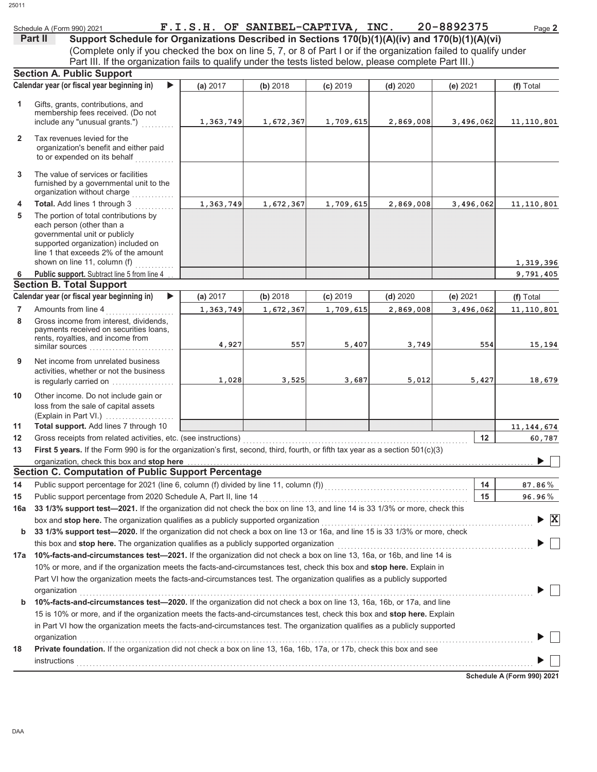|                | Schedule A (Form 990) 2021                                                                                                                                                                                                                             | F.I.S.H. OF SANIBEL-CAPTIVA, INC. 20-8892375 |           |            |            |           | Page 2                                      |
|----------------|--------------------------------------------------------------------------------------------------------------------------------------------------------------------------------------------------------------------------------------------------------|----------------------------------------------|-----------|------------|------------|-----------|---------------------------------------------|
|                | Part II<br>Support Schedule for Organizations Described in Sections 170(b)(1)(A)(iv) and 170(b)(1)(A)(vi)                                                                                                                                              |                                              |           |            |            |           |                                             |
|                | (Complete only if you checked the box on line 5, 7, or 8 of Part I or if the organization failed to qualify under                                                                                                                                      |                                              |           |            |            |           |                                             |
|                | Part III. If the organization fails to qualify under the tests listed below, please complete Part III.)                                                                                                                                                |                                              |           |            |            |           |                                             |
|                | <b>Section A. Public Support</b>                                                                                                                                                                                                                       |                                              |           |            |            |           |                                             |
|                | Calendar year (or fiscal year beginning in)<br>▶                                                                                                                                                                                                       | (a) 2017                                     | (b) 2018  | $(c)$ 2019 | (d) 2020   | (e) 2021  | (f) Total                                   |
| 1              | Gifts, grants, contributions, and<br>membership fees received. (Do not<br>include any "unusual grants.")                                                                                                                                               | 1,363,749                                    | 1,672,367 | 1,709,615  | 2,869,008  | 3,496,062 | 11,110,801                                  |
| $\overline{2}$ | Tax revenues levied for the<br>organization's benefit and either paid<br>to or expended on its behalf                                                                                                                                                  |                                              |           |            |            |           |                                             |
| 3              | The value of services or facilities<br>furnished by a governmental unit to the<br>organization without charge                                                                                                                                          |                                              |           |            |            |           |                                             |
| 4              | Total. Add lines 1 through 3                                                                                                                                                                                                                           | 1,363,749                                    | 1,672,367 | 1,709,615  | 2,869,008  | 3,496,062 | 11,110,801                                  |
| 5              | The portion of total contributions by<br>each person (other than a<br>governmental unit or publicly<br>supported organization) included on<br>line 1 that exceeds 2% of the amount<br>shown on line 11, column (f)                                     |                                              |           |            |            |           | 1,319,396                                   |
| 6              | Public support. Subtract line 5 from line 4                                                                                                                                                                                                            |                                              |           |            |            |           | 9,791,405                                   |
|                | <b>Section B. Total Support</b>                                                                                                                                                                                                                        |                                              |           |            |            |           |                                             |
|                | Calendar year (or fiscal year beginning in)<br>▶                                                                                                                                                                                                       | (a) 2017                                     | (b) 2018  | $(c)$ 2019 | $(d)$ 2020 | (e) 2021  | (f) Total                                   |
| $\overline{7}$ | Amounts from line 4                                                                                                                                                                                                                                    | 1,363,749                                    | 1,672,367 | 1,709,615  | 2,869,008  | 3,496,062 | 11,110,801                                  |
| 8              | Gross income from interest, dividends,<br>payments received on securities loans,<br>rents, royalties, and income from<br>similar sources                                                                                                               | 4,927                                        | 557       | 5,407      | 3,749      | 554       | 15,194                                      |
| 9              | Net income from unrelated business<br>activities, whether or not the business<br>is regularly carried on                                                                                                                                               | 1,028                                        | 3,525     | 3,687      | 5,012      | 5,427     | 18,679                                      |
| 10             | Other income. Do not include gain or<br>loss from the sale of capital assets<br>(Explain in Part VI.)                                                                                                                                                  |                                              |           |            |            |           |                                             |
| 11             | Total support. Add lines 7 through 10                                                                                                                                                                                                                  |                                              |           |            |            |           | 11, 144, 674                                |
| 12             | Gross receipts from related activities, etc. (see instructions)                                                                                                                                                                                        |                                              |           |            |            | 12        | 60,787                                      |
| 13             | First 5 years. If the Form 990 is for the organization's first, second, third, fourth, or fifth tax year as a section 501(c)(3)                                                                                                                        |                                              |           |            |            |           |                                             |
|                | organization, check this box and stop here                                                                                                                                                                                                             |                                              |           |            |            |           |                                             |
|                | <b>Section C. Computation of Public Support Percentage</b>                                                                                                                                                                                             |                                              |           |            |            |           |                                             |
| 14             |                                                                                                                                                                                                                                                        |                                              |           |            |            | 14        | $87.86\%$                                   |
| 15             | Public support percentage from 2020 Schedule A, Part II, line 14                                                                                                                                                                                       |                                              |           |            |            | 15        | $96.96\%$                                   |
| 16a            | 33 1/3% support test-2021. If the organization did not check the box on line 13, and line 14 is 33 1/3% or more, check this                                                                                                                            |                                              |           |            |            |           |                                             |
|                | box and stop here. The organization qualifies as a publicly supported organization                                                                                                                                                                     |                                              |           |            |            |           | $\blacktriangleright \overline{\mathbf{X}}$ |
| b              | 33 1/3% support test-2020. If the organization did not check a box on line 13 or 16a, and line 15 is 33 1/3% or more, check                                                                                                                            |                                              |           |            |            |           |                                             |
|                | this box and stop here. The organization qualifies as a publicly supported organization                                                                                                                                                                |                                              |           |            |            |           |                                             |
|                | 17a 10%-facts-and-circumstances test-2021. If the organization did not check a box on line 13, 16a, or 16b, and line 14 is                                                                                                                             |                                              |           |            |            |           |                                             |
|                | 10% or more, and if the organization meets the facts-and-circumstances test, check this box and stop here. Explain in                                                                                                                                  |                                              |           |            |            |           |                                             |
|                | Part VI how the organization meets the facts-and-circumstances test. The organization qualifies as a publicly supported                                                                                                                                |                                              |           |            |            |           |                                             |
|                | organization                                                                                                                                                                                                                                           |                                              |           |            |            |           |                                             |
| b              | 10%-facts-and-circumstances test-2020. If the organization did not check a box on line 13, 16a, 16b, or 17a, and line                                                                                                                                  |                                              |           |            |            |           |                                             |
|                | 15 is 10% or more, and if the organization meets the facts-and-circumstances test, check this box and stop here. Explain<br>in Part VI how the organization meets the facts-and-circumstances test. The organization qualifies as a publicly supported |                                              |           |            |            |           |                                             |
|                | organization                                                                                                                                                                                                                                           |                                              |           |            |            |           |                                             |
| 18             | Private foundation. If the organization did not check a box on line 13, 16a, 16b, 17a, or 17b, check this box and see                                                                                                                                  |                                              |           |            |            |           |                                             |
|                | <b>instructions</b>                                                                                                                                                                                                                                    |                                              |           |            |            |           |                                             |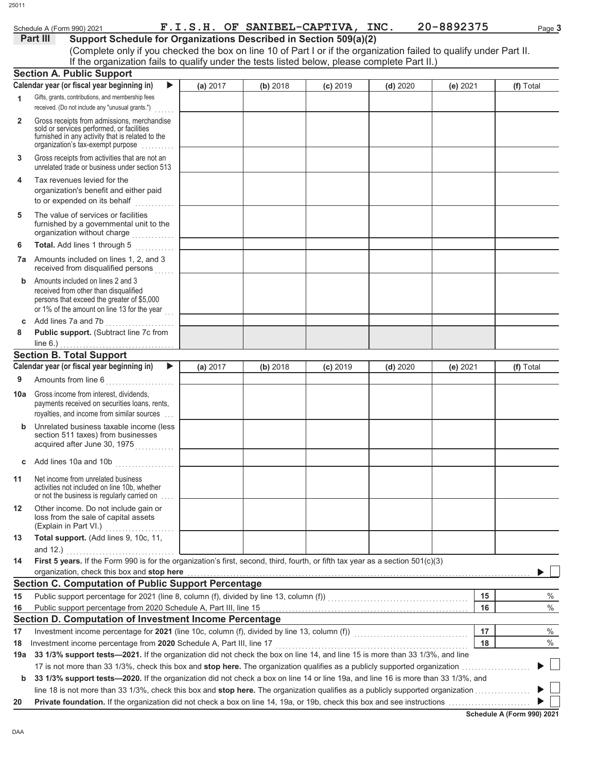|                | Schedule A (Form 990) 2021                                                                                                                                                        |          |          | F.I.S.H. OF SANIBEL-CAPTIVA, INC. |            | 20-8892375 | Page 3    |
|----------------|-----------------------------------------------------------------------------------------------------------------------------------------------------------------------------------|----------|----------|-----------------------------------|------------|------------|-----------|
|                | Support Schedule for Organizations Described in Section 509(a)(2)<br>Part III                                                                                                     |          |          |                                   |            |            |           |
|                | (Complete only if you checked the box on line 10 of Part I or if the organization failed to qualify under Part II.                                                                |          |          |                                   |            |            |           |
|                | If the organization fails to qualify under the tests listed below, please complete Part II.)                                                                                      |          |          |                                   |            |            |           |
|                | <b>Section A. Public Support</b>                                                                                                                                                  |          |          |                                   |            |            |           |
|                | Calendar year (or fiscal year beginning in)<br>▶                                                                                                                                  | (a) 2017 | (b) 2018 | $(c)$ 2019                        | (d) 2020   | (e) 2021   | (f) Total |
| 1              | Gifts, grants, contributions, and membership fees<br>received. (Do not include any "unusual grants.")                                                                             |          |          |                                   |            |            |           |
|                |                                                                                                                                                                                   |          |          |                                   |            |            |           |
| $\overline{2}$ | Gross receipts from admissions, merchandise<br>sold or services performed, or facilities<br>furnished in any activity that is related to the<br>organization's tax-exempt purpose |          |          |                                   |            |            |           |
| 3              | Gross receipts from activities that are not an<br>unrelated trade or business under section 513                                                                                   |          |          |                                   |            |            |           |
| 4              | Tax revenues levied for the<br>organization's benefit and either paid<br>to or expended on its behalf                                                                             |          |          |                                   |            |            |           |
| 5              | The value of services or facilities<br>furnished by a governmental unit to the<br>organization without charge                                                                     |          |          |                                   |            |            |           |
| 6              | Total. Add lines 1 through 5                                                                                                                                                      |          |          |                                   |            |            |           |
|                | 7a Amounts included on lines 1, 2, and 3<br>received from disqualified persons                                                                                                    |          |          |                                   |            |            |           |
| b              | Amounts included on lines 2 and 3<br>received from other than disqualified<br>persons that exceed the greater of \$5,000<br>or 1% of the amount on line 13 for the year           |          |          |                                   |            |            |           |
| c              | Add lines 7a and 7b                                                                                                                                                               |          |          |                                   |            |            |           |
| 8              | Public support. (Subtract line 7c from<br>line 6.)                                                                                                                                |          |          |                                   |            |            |           |
|                | <b>Section B. Total Support</b>                                                                                                                                                   |          |          |                                   |            |            |           |
|                | Calendar year (or fiscal year beginning in)<br>▶                                                                                                                                  | (a) 2017 | (b) 2018 | $(c)$ 2019                        | $(d)$ 2020 | (e) 2021   | (f) Total |
| 9              | Amounts from line 6                                                                                                                                                               |          |          |                                   |            |            |           |
| 10a            | Gross income from interest, dividends,<br>payments received on securities loans, rents,<br>royalties, and income from similar sources                                             |          |          |                                   |            |            |           |
| b              | Unrelated business taxable income (less<br>section 511 taxes) from businesses<br>acquired after June 30, 1975                                                                     |          |          |                                   |            |            |           |
| C              | Add lines 10a and 10b                                                                                                                                                             |          |          |                                   |            |            |           |
| 11             | Net income from unrelated business<br>activities not included on line 10b, whether<br>or not the business is regularly carried on                                                 |          |          |                                   |            |            |           |
| 12             | Other income. Do not include gain or<br>loss from the sale of capital assets                                                                                                      |          |          |                                   |            |            |           |
| 13             | Total support. (Add lines 9, 10c, 11,                                                                                                                                             |          |          |                                   |            |            |           |
| 14             | First 5 years. If the Form 990 is for the organization's first, second, third, fourth, or fifth tax year as a section 501(c)(3)<br>organization, check this box and stop here     |          |          |                                   |            |            |           |
|                | <b>Section C. Computation of Public Support Percentage</b>                                                                                                                        |          |          |                                   |            |            |           |
| 15             |                                                                                                                                                                                   |          |          |                                   |            | 15         | %         |
| 16             |                                                                                                                                                                                   |          |          |                                   |            | 16         | %         |
|                | Section D. Computation of Investment Income Percentage                                                                                                                            |          |          |                                   |            |            |           |
| 17             |                                                                                                                                                                                   |          |          |                                   |            | 17         | %         |
| 18             |                                                                                                                                                                                   |          |          |                                   |            | 18         | $\%$      |
| 19a            | 33 1/3% support tests-2021. If the organization did not check the box on line 14, and line 15 is more than 33 1/3%, and line                                                      |          |          |                                   |            |            |           |
|                |                                                                                                                                                                                   |          |          |                                   |            |            |           |
| b              | 33 1/3% support tests-2020. If the organization did not check a box on line 14 or line 19a, and line 16 is more than 33 1/3%, and                                                 |          |          |                                   |            |            |           |
|                |                                                                                                                                                                                   |          |          |                                   |            |            |           |
| 20             |                                                                                                                                                                                   |          |          |                                   |            |            |           |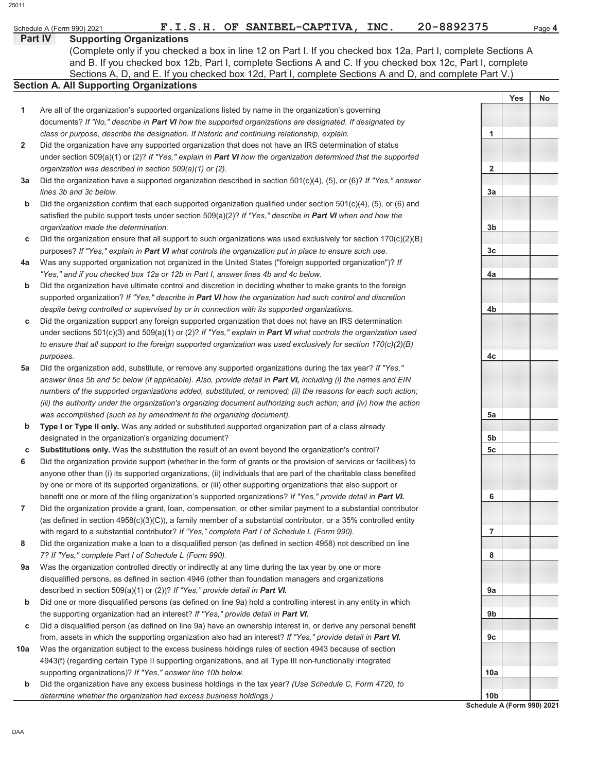|     | 20-8892375<br>F.I.S.H. OF SANIBEL-CAPTIVA, INC.<br>Schedule A (Form 990) 2021<br>Part IV<br><b>Supporting Organizations</b>                                                                                                               |                 |     | Page 4 |
|-----|-------------------------------------------------------------------------------------------------------------------------------------------------------------------------------------------------------------------------------------------|-----------------|-----|--------|
|     | (Complete only if you checked a box in line 12 on Part I. If you checked box 12a, Part I, complete Sections A                                                                                                                             |                 |     |        |
|     | and B. If you checked box 12b, Part I, complete Sections A and C. If you checked box 12c, Part I, complete                                                                                                                                |                 |     |        |
|     | Sections A, D, and E. If you checked box 12d, Part I, complete Sections A and D, and complete Part V.)                                                                                                                                    |                 |     |        |
|     | <b>Section A. All Supporting Organizations</b>                                                                                                                                                                                            |                 |     |        |
|     |                                                                                                                                                                                                                                           |                 | Yes | No     |
| 1   | Are all of the organization's supported organizations listed by name in the organization's governing                                                                                                                                      |                 |     |        |
|     | documents? If "No," describe in Part VI how the supported organizations are designated. If designated by                                                                                                                                  |                 |     |        |
|     | class or purpose, describe the designation. If historic and continuing relationship, explain.                                                                                                                                             | 1               |     |        |
| 2   | Did the organization have any supported organization that does not have an IRS determination of status                                                                                                                                    |                 |     |        |
|     | under section 509(a)(1) or (2)? If "Yes," explain in Part VI how the organization determined that the supported                                                                                                                           |                 |     |        |
|     | organization was described in section 509(a)(1) or (2).                                                                                                                                                                                   | $\mathbf{2}$    |     |        |
| За  | Did the organization have a supported organization described in section $501(c)(4)$ , (5), or (6)? If "Yes," answer                                                                                                                       |                 |     |        |
|     | lines 3b and 3c below.                                                                                                                                                                                                                    | 3a              |     |        |
| b   | Did the organization confirm that each supported organization qualified under section $501(c)(4)$ , $(5)$ , or $(6)$ and                                                                                                                  |                 |     |        |
|     | satisfied the public support tests under section 509(a)(2)? If "Yes," describe in Part VI when and how the                                                                                                                                |                 |     |        |
|     | organization made the determination.                                                                                                                                                                                                      | 3b              |     |        |
| С   | Did the organization ensure that all support to such organizations was used exclusively for section $170(c)(2)(B)$                                                                                                                        |                 |     |        |
|     | purposes? If "Yes," explain in Part VI what controls the organization put in place to ensure such use.                                                                                                                                    | 3c              |     |        |
| 4a  | Was any supported organization not organized in the United States ("foreign supported organization")? If                                                                                                                                  |                 |     |        |
| b   | "Yes," and if you checked box 12a or 12b in Part I, answer lines 4b and 4c below.<br>Did the organization have ultimate control and discretion in deciding whether to make grants to the foreign                                          | 4a              |     |        |
|     | supported organization? If "Yes," describe in Part VI how the organization had such control and discretion                                                                                                                                |                 |     |        |
|     | despite being controlled or supervised by or in connection with its supported organizations.                                                                                                                                              | 4b              |     |        |
| c   | Did the organization support any foreign supported organization that does not have an IRS determination                                                                                                                                   |                 |     |        |
|     | under sections 501(c)(3) and 509(a)(1) or (2)? If "Yes," explain in Part VI what controls the organization used                                                                                                                           |                 |     |        |
|     | to ensure that all support to the foreign supported organization was used exclusively for section 170(c)(2)(B)                                                                                                                            |                 |     |        |
|     | purposes.                                                                                                                                                                                                                                 | 4c              |     |        |
| 5a  | Did the organization add, substitute, or remove any supported organizations during the tax year? If "Yes,"                                                                                                                                |                 |     |        |
|     | answer lines 5b and 5c below (if applicable). Also, provide detail in Part VI, including (i) the names and EIN                                                                                                                            |                 |     |        |
|     | numbers of the supported organizations added, substituted, or removed; (ii) the reasons for each such action;                                                                                                                             |                 |     |        |
|     | (iii) the authority under the organization's organizing document authorizing such action; and (iv) how the action                                                                                                                         |                 |     |        |
|     | was accomplished (such as by amendment to the organizing document).                                                                                                                                                                       | 5a              |     |        |
| b   | Type I or Type II only. Was any added or substituted supported organization part of a class already                                                                                                                                       |                 |     |        |
|     | designated in the organization's organizing document?                                                                                                                                                                                     | 5b              |     |        |
| С   | Substitutions only. Was the substitution the result of an event beyond the organization's control?                                                                                                                                        | 5с              |     |        |
| 6   | Did the organization provide support (whether in the form of grants or the provision of services or facilities) to<br>anyone other than (i) its supported organizations, (ii) individuals that are part of the charitable class benefited |                 |     |        |
|     | by one or more of its supported organizations, or (iii) other supporting organizations that also support or                                                                                                                               |                 |     |        |
|     | benefit one or more of the filing organization's supported organizations? If "Yes," provide detail in Part VI.                                                                                                                            | 6               |     |        |
| 7   | Did the organization provide a grant, loan, compensation, or other similar payment to a substantial contributor                                                                                                                           |                 |     |        |
|     | (as defined in section $4958(c)(3)(C)$ ), a family member of a substantial contributor, or a 35% controlled entity                                                                                                                        |                 |     |        |
|     | with regard to a substantial contributor? If "Yes," complete Part I of Schedule L (Form 990).                                                                                                                                             | 7               |     |        |
| 8   | Did the organization make a loan to a disqualified person (as defined in section 4958) not described on line                                                                                                                              |                 |     |        |
|     | 7? If "Yes," complete Part I of Schedule L (Form 990).                                                                                                                                                                                    | 8               |     |        |
| 9a  | Was the organization controlled directly or indirectly at any time during the tax year by one or more                                                                                                                                     |                 |     |        |
|     | disqualified persons, as defined in section 4946 (other than foundation managers and organizations                                                                                                                                        |                 |     |        |
|     | described in section 509(a)(1) or (2))? If "Yes," provide detail in Part VI.                                                                                                                                                              | 9а              |     |        |
| b   | Did one or more disqualified persons (as defined on line 9a) hold a controlling interest in any entity in which                                                                                                                           |                 |     |        |
|     | the supporting organization had an interest? If "Yes," provide detail in Part VI.                                                                                                                                                         | 9b              |     |        |
| С   | Did a disqualified person (as defined on line 9a) have an ownership interest in, or derive any personal benefit                                                                                                                           |                 |     |        |
|     | from, assets in which the supporting organization also had an interest? If "Yes," provide detail in Part VI.                                                                                                                              | 9c              |     |        |
| 10a | Was the organization subject to the excess business holdings rules of section 4943 because of section<br>4943(f) (regarding certain Type II supporting organizations, and all Type III non-functionally integrated                        |                 |     |        |
|     | supporting organizations)? If "Yes," answer line 10b below.                                                                                                                                                                               | 10a             |     |        |
| b   | Did the organization have any excess business holdings in the tax year? (Use Schedule C, Form 4720, to                                                                                                                                    |                 |     |        |
|     | determine whether the organization had excess business holdings.)                                                                                                                                                                         | 10 <sub>b</sub> |     |        |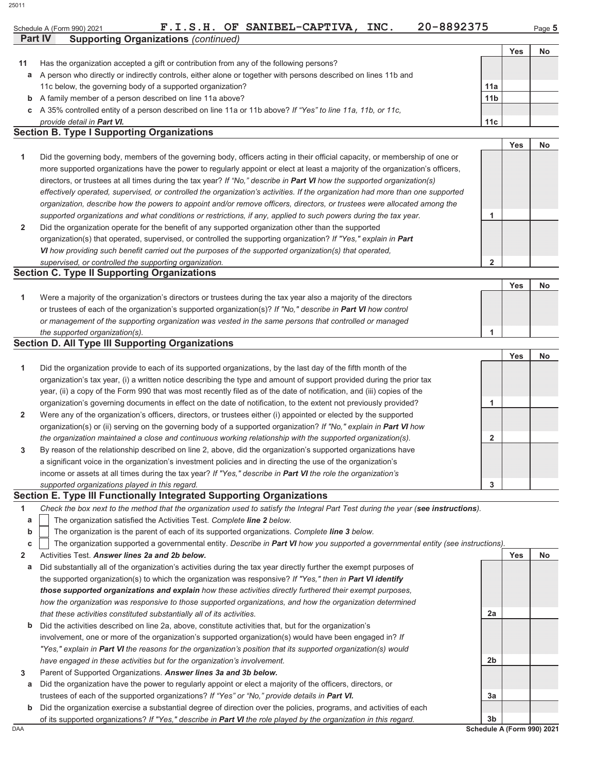| Schedule A (Form 990) 2021                             | F.I.S.H. | OF SANIBEL-CAPTIVA, | INC. |  | Page 5 |
|--------------------------------------------------------|----------|---------------------|------|--|--------|
| Part IV<br><b>Supporting Organizations (continued)</b> |          |                     |      |  |        |
|                                                        |          |                     |      |  |        |

|    |                                                                                                                |                 | 'es |  |
|----|----------------------------------------------------------------------------------------------------------------|-----------------|-----|--|
| 11 | Has the organization accepted a gift or contribution from any of the following persons?                        |                 |     |  |
| а  | A person who directly or indirectly controls, either alone or together with persons described on lines 11b and |                 |     |  |
|    | 11c below, the governing body of a supported organization?                                                     | 11a             |     |  |
|    | <b>b</b> A family member of a person described on line 11a above?                                              | 11 <sub>b</sub> |     |  |
|    | c A 35% controlled entity of a person described on line 11a or 11b above? If "Yes" to line 11a, 11b, or 11c,   |                 |     |  |
|    | provide detail in <b>Part VI.</b>                                                                              | 11 <sub>c</sub> |     |  |

### **Section B. Type I Supporting Organizations**

|   |                                                                                                                                |   | Yes | NΟ |
|---|--------------------------------------------------------------------------------------------------------------------------------|---|-----|----|
|   | Did the governing body, members of the governing body, officers acting in their official capacity, or membership of one or     |   |     |    |
|   | more supported organizations have the power to regularly appoint or elect at least a majority of the organization's officers,  |   |     |    |
|   | directors, or trustees at all times during the tax year? If "No," describe in Part VI how the supported organization(s)        |   |     |    |
|   | effectively operated, supervised, or controlled the organization's activities. If the organization had more than one supported |   |     |    |
|   | organization, describe how the powers to appoint and/or remove officers, directors, or trustees were allocated among the       |   |     |    |
|   | supported organizations and what conditions or restrictions, if any, applied to such powers during the tax year.               |   |     |    |
| 2 | Did the organization operate for the benefit of any supported organization other than the supported                            |   |     |    |
|   | organization(s) that operated, supervised, or controlled the supporting organization? If "Yes," explain in Part                |   |     |    |
|   | VI how providing such benefit carried out the purposes of the supported organization(s) that operated,                         |   |     |    |
|   | supervised, or controlled the supporting organization.                                                                         | 2 |     |    |
|   | <b>Section C. Type II Supporting Organizations</b>                                                                             |   |     |    |
|   |                                                                                                                                |   | Yes | No |
|   |                                                                                                                                |   |     |    |

| Were a majority of the organization's directors or trustees during the tax year also a majority of the directors     |  |  |
|----------------------------------------------------------------------------------------------------------------------|--|--|
| or trustees of each of the organization's supported organization(s)? If "No." describe in <b>Part VI</b> how control |  |  |
| or management of the supporting organization was vested in the same persons that controlled or managed               |  |  |
| the supported organization(s).                                                                                       |  |  |

### **Section D. All Type III Supporting Organizations**

|                |                                                                                                                        |              | Yes | No |
|----------------|------------------------------------------------------------------------------------------------------------------------|--------------|-----|----|
| 1              | Did the organization provide to each of its supported organizations, by the last day of the fifth month of the         |              |     |    |
|                | organization's tax year, (i) a written notice describing the type and amount of support provided during the prior tax  |              |     |    |
|                | year, (ii) a copy of the Form 990 that was most recently filed as of the date of notification, and (iii) copies of the |              |     |    |
|                | organization's governing documents in effect on the date of notification, to the extent not previously provided?       |              |     |    |
| $\overline{2}$ | Were any of the organization's officers, directors, or trustees either (i) appointed or elected by the supported       |              |     |    |
|                | organization(s) or (ii) serving on the governing body of a supported organization? If "No," explain in Part VI how     |              |     |    |
|                | the organization maintained a close and continuous working relationship with the supported organization(s).            | $\mathbf{2}$ |     |    |
| $\mathbf{3}$   | By reason of the relationship described on line 2, above, did the organization's supported organizations have          |              |     |    |
|                | a significant voice in the organization's investment policies and in directing the use of the organization's           |              |     |    |
|                | income or assets at all times during the tax year? If "Yes," describe in Part VI the role the organization's           |              |     |    |
|                | supported organizations played in this regard.                                                                         | 3            |     |    |

### **Section E. Type III Functionally Integrated Supporting Organizations**

**1** *Check the box next to the method that the organization used to satisfy the Integral Part Test during the year (see instructions).*

- The organization satisfied the Activities Test. *Complete line 2 below.* **a**
- The organization is the parent of each of its supported organizations. *Complete line 3 below.* **b**

The organization supported a governmental entity. *Describe in Part VI how you supported a governmental entity (see instructions).* **c**

- **2** Activities Test. *Answer lines 2a and 2b below.*
- **a** Did substantially all of the organization's activities during the tax year directly further the exempt purposes of the supported organization(s) to which the organization was responsive? *If "Yes," then in Part VI identify those supported organizations and explain how these activities directly furthered their exempt purposes, how the organization was responsive to those supported organizations, and how the organization determined that these activities constituted substantially all of its activities.*
- **b** Did the activities described on line 2a, above, constitute activities that, but for the organization's involvement, one or more of the organization's supported organization(s) would have been engaged in? *If "Yes," explain in Part VI the reasons for the organization's position that its supported organization(s) would have engaged in these activities but for the organization's involvement.*
- **3** Parent of Supported Organizations. *Answer lines 3a and 3b below.*
- **a** Did the organization have the power to regularly appoint or elect a majority of the officers, directors, or trustees of each of the supported organizations? *If "Yes" or "No," provide details in Part VI.*
- DAA **Schedule A (Form 990) 2021 b** Did the organization exercise a substantial degree of direction over the policies, programs, and activities of each of its supported organizations? *If "Yes," describe in Part VI the role played by the organization in this regard.*

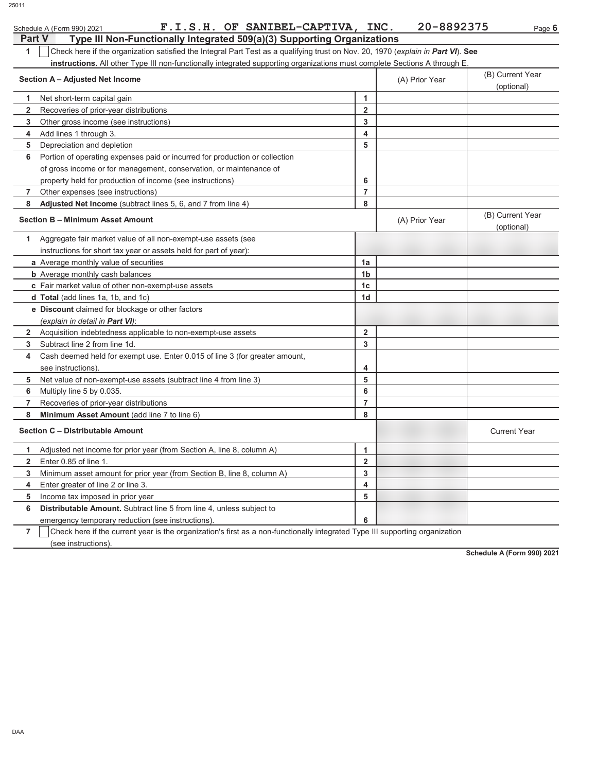|               | F.I.S.H. OF SANIBEL-CAPTIVA, INC.<br>Schedule A (Form 990) 2021                                                                  |                | 20-8892375                     | Page 6 |  |  |  |
|---------------|----------------------------------------------------------------------------------------------------------------------------------|----------------|--------------------------------|--------|--|--|--|
| <b>Part V</b> | Type III Non-Functionally Integrated 509(a)(3) Supporting Organizations                                                          |                |                                |        |  |  |  |
|               | Check here if the organization satisfied the Integral Part Test as a qualifying trust on Nov. 20, 1970 (explain in Part VI). See |                |                                |        |  |  |  |
|               | instructions. All other Type III non-functionally integrated supporting organizations must complete Sections A through E.        |                |                                |        |  |  |  |
|               | Section A - Adjusted Net Income                                                                                                  | (A) Prior Year | (B) Current Year<br>(optional) |        |  |  |  |
|               | Net short-term capital gain                                                                                                      |                |                                |        |  |  |  |
|               | Recoveries of prior-year distributions                                                                                           |                |                                |        |  |  |  |
|               |                                                                                                                                  |                |                                |        |  |  |  |

| 3.             | Other gross income (see instructions)                                                                                        | 3                       |                |                                |
|----------------|------------------------------------------------------------------------------------------------------------------------------|-------------------------|----------------|--------------------------------|
| 4              | Add lines 1 through 3.                                                                                                       | 4                       |                |                                |
| 5              | Depreciation and depletion                                                                                                   | 5                       |                |                                |
| 6              | Portion of operating expenses paid or incurred for production or collection                                                  |                         |                |                                |
|                | of gross income or for management, conservation, or maintenance of                                                           |                         |                |                                |
|                | property held for production of income (see instructions)                                                                    | 6                       |                |                                |
| 7              | Other expenses (see instructions)                                                                                            | $\overline{7}$          |                |                                |
| 8              | Adjusted Net Income (subtract lines 5, 6, and 7 from line 4)                                                                 | 8                       |                |                                |
|                | Section B - Minimum Asset Amount                                                                                             |                         | (A) Prior Year | (B) Current Year<br>(optional) |
| 1.             | Aggregate fair market value of all non-exempt-use assets (see                                                                |                         |                |                                |
|                | instructions for short tax year or assets held for part of year):                                                            |                         |                |                                |
|                | a Average monthly value of securities                                                                                        | 1a                      |                |                                |
|                | <b>b</b> Average monthly cash balances                                                                                       | 1 <sub>b</sub>          |                |                                |
|                | c Fair market value of other non-exempt-use assets                                                                           | 1c                      |                |                                |
|                | d Total (add lines 1a, 1b, and 1c)                                                                                           | 1 <sub>d</sub>          |                |                                |
|                | e Discount claimed for blockage or other factors                                                                             |                         |                |                                |
|                | (explain in detail in Part VI):                                                                                              |                         |                |                                |
|                | 2 Acquisition indebtedness applicable to non-exempt-use assets                                                               | $\overline{2}$          |                |                                |
| 3              | Subtract line 2 from line 1d.                                                                                                | 3                       |                |                                |
| 4              | Cash deemed held for exempt use. Enter 0.015 of line 3 (for greater amount,                                                  |                         |                |                                |
|                | see instructions)                                                                                                            | 4                       |                |                                |
| 5              | Net value of non-exempt-use assets (subtract line 4 from line 3)                                                             | 5                       |                |                                |
| 6              | Multiply line 5 by 0.035.                                                                                                    | 6                       |                |                                |
| $\overline{7}$ | Recoveries of prior-year distributions                                                                                       | $\overline{7}$          |                |                                |
| 8              | Minimum Asset Amount (add line 7 to line 6)                                                                                  | 8                       |                |                                |
|                | Section C - Distributable Amount                                                                                             |                         |                | <b>Current Year</b>            |
| 1.             | Adjusted net income for prior year (from Section A, line 8, column A)                                                        | $\mathbf{1}$            |                |                                |
| $\overline{2}$ | Enter 0.85 of line 1.                                                                                                        | $\overline{2}$          |                |                                |
| 3              | Minimum asset amount for prior year (from Section B, line 8, column A)                                                       | 3                       |                |                                |
| 4              | Enter greater of line 2 or line 3.                                                                                           | $\overline{\mathbf{4}}$ |                |                                |
| 5              | Income tax imposed in prior year                                                                                             | 5                       |                |                                |
| 6              | Distributable Amount. Subtract line 5 from line 4, unless subject to                                                         |                         |                |                                |
|                | emergency temporary reduction (see instructions).                                                                            | 6                       |                |                                |
| $\overline{7}$ | Check here if the current year is the organization's first as a non-functionally integrated Type III supporting organization |                         |                |                                |

(see instructions).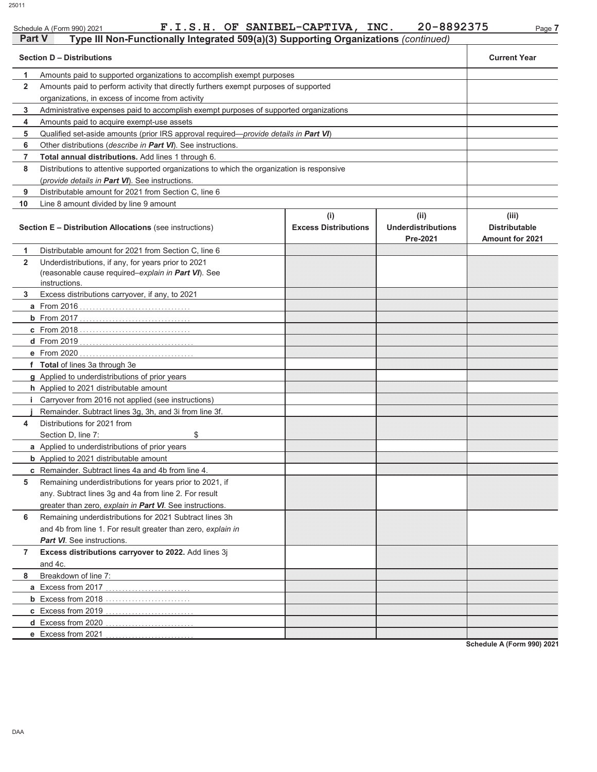| <b>Part V</b>  | Type III Non-Functionally Integrated 509(a)(3) Supporting Organizations (continued)        |                             |                           |                      |
|----------------|--------------------------------------------------------------------------------------------|-----------------------------|---------------------------|----------------------|
|                | <b>Section D - Distributions</b>                                                           |                             |                           | <b>Current Year</b>  |
| 1.             | Amounts paid to supported organizations to accomplish exempt purposes                      |                             |                           |                      |
| $\overline{2}$ | Amounts paid to perform activity that directly furthers exempt purposes of supported       |                             |                           |                      |
|                | organizations, in excess of income from activity                                           |                             |                           |                      |
| 3              | Administrative expenses paid to accomplish exempt purposes of supported organizations      |                             |                           |                      |
| 4              | Amounts paid to acquire exempt-use assets                                                  |                             |                           |                      |
| 5              | Qualified set-aside amounts (prior IRS approval required—provide details in Part VI)       |                             |                           |                      |
| 6              | Other distributions (describe in Part VI). See instructions.                               |                             |                           |                      |
| 7              | Total annual distributions. Add lines 1 through 6.                                         |                             |                           |                      |
| 8              | Distributions to attentive supported organizations to which the organization is responsive |                             |                           |                      |
|                | (provide details in Part VI). See instructions.                                            |                             |                           |                      |
| 9              | Distributable amount for 2021 from Section C, line 6                                       |                             |                           |                      |
| 10             | Line 8 amount divided by line 9 amount                                                     |                             |                           |                      |
|                |                                                                                            | (i)                         | (ii)                      | (iii)                |
|                | <b>Section E - Distribution Allocations (see instructions)</b>                             | <b>Excess Distributions</b> | <b>Underdistributions</b> | <b>Distributable</b> |
|                |                                                                                            |                             | Pre-2021                  | Amount for 2021      |
| 1              | Distributable amount for 2021 from Section C, line 6                                       |                             |                           |                      |
| $\overline{2}$ | Underdistributions, if any, for years prior to 2021                                        |                             |                           |                      |
|                | (reasonable cause required-explain in Part VI). See<br>instructions.                       |                             |                           |                      |
| 3              | Excess distributions carryover, if any, to 2021                                            |                             |                           |                      |
|                |                                                                                            |                             |                           |                      |
|                | b From 2017 <u></u>                                                                        |                             |                           |                      |
|                |                                                                                            |                             |                           |                      |
|                |                                                                                            |                             |                           |                      |
|                |                                                                                            |                             |                           |                      |
|                | f Total of lines 3a through 3e                                                             |                             |                           |                      |
|                | g Applied to underdistributions of prior years                                             |                             |                           |                      |
|                | h Applied to 2021 distributable amount                                                     |                             |                           |                      |
|                | <i>i</i> Carryover from 2016 not applied (see instructions)                                |                             |                           |                      |
|                | Remainder. Subtract lines 3g, 3h, and 3i from line 3f.                                     |                             |                           |                      |
| 4              | Distributions for 2021 from                                                                |                             |                           |                      |
|                | Section D, line 7:<br>\$                                                                   |                             |                           |                      |
|                | a Applied to underdistributions of prior years                                             |                             |                           |                      |
|                | <b>b</b> Applied to 2021 distributable amount                                              |                             |                           |                      |
|                | c Remainder. Subtract lines 4a and 4b from line 4.                                         |                             |                           |                      |
| 5              | Remaining underdistributions for years prior to 2021, if                                   |                             |                           |                      |
|                | any. Subtract lines 3g and 4a from line 2. For result                                      |                             |                           |                      |
|                | greater than zero, explain in Part VI. See instructions.                                   |                             |                           |                      |
| 6              | Remaining underdistributions for 2021 Subtract lines 3h                                    |                             |                           |                      |
|                | and 4b from line 1. For result greater than zero, explain in                               |                             |                           |                      |
|                | <b>Part VI</b> . See instructions.                                                         |                             |                           |                      |
| 7              | Excess distributions carryover to 2022. Add lines 3j                                       |                             |                           |                      |
|                | and 4c.                                                                                    |                             |                           |                      |
| 8              | Breakdown of line 7:                                                                       |                             |                           |                      |
|                |                                                                                            |                             |                           |                      |
|                |                                                                                            |                             |                           |                      |
|                |                                                                                            |                             |                           |                      |
|                | d Excess from 2020                                                                         |                             |                           |                      |
|                | e Excess from 2021                                                                         |                             |                           |                      |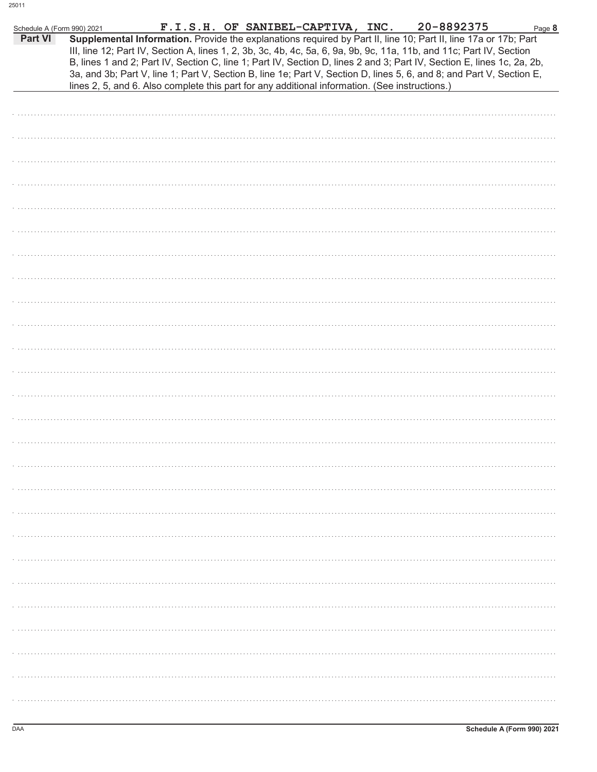| Schedule A (Form 990) 2021<br>Part VI | F.I.S.H. OF SANIBEL-CAPTIVA, INC. 20-8892375<br>Page 8<br>Supplemental Information. Provide the explanations required by Part II, line 10; Part II, line 17a or 17b; Part<br>III, line 12; Part IV, Section A, lines 1, 2, 3b, 3c, 4b, 4c, 5a, 6, 9a, 9b, 9c, 11a, 11b, and 11c; Part IV, Section<br>B, lines 1 and 2; Part IV, Section C, line 1; Part IV, Section D, lines 2 and 3; Part IV, Section E, lines 1c, 2a, 2b,<br>3a, and 3b; Part V, line 1; Part V, Section B, line 1e; Part V, Section D, lines 5, 6, and 8; and Part V, Section E,<br>lines 2, 5, and 6. Also complete this part for any additional information. (See instructions.) |
|---------------------------------------|-------------------------------------------------------------------------------------------------------------------------------------------------------------------------------------------------------------------------------------------------------------------------------------------------------------------------------------------------------------------------------------------------------------------------------------------------------------------------------------------------------------------------------------------------------------------------------------------------------------------------------------------------------|
|                                       |                                                                                                                                                                                                                                                                                                                                                                                                                                                                                                                                                                                                                                                       |
|                                       |                                                                                                                                                                                                                                                                                                                                                                                                                                                                                                                                                                                                                                                       |
|                                       |                                                                                                                                                                                                                                                                                                                                                                                                                                                                                                                                                                                                                                                       |
|                                       |                                                                                                                                                                                                                                                                                                                                                                                                                                                                                                                                                                                                                                                       |
|                                       |                                                                                                                                                                                                                                                                                                                                                                                                                                                                                                                                                                                                                                                       |
|                                       |                                                                                                                                                                                                                                                                                                                                                                                                                                                                                                                                                                                                                                                       |
|                                       |                                                                                                                                                                                                                                                                                                                                                                                                                                                                                                                                                                                                                                                       |
|                                       |                                                                                                                                                                                                                                                                                                                                                                                                                                                                                                                                                                                                                                                       |
|                                       |                                                                                                                                                                                                                                                                                                                                                                                                                                                                                                                                                                                                                                                       |
|                                       |                                                                                                                                                                                                                                                                                                                                                                                                                                                                                                                                                                                                                                                       |
|                                       |                                                                                                                                                                                                                                                                                                                                                                                                                                                                                                                                                                                                                                                       |
|                                       |                                                                                                                                                                                                                                                                                                                                                                                                                                                                                                                                                                                                                                                       |
|                                       |                                                                                                                                                                                                                                                                                                                                                                                                                                                                                                                                                                                                                                                       |
|                                       |                                                                                                                                                                                                                                                                                                                                                                                                                                                                                                                                                                                                                                                       |
|                                       |                                                                                                                                                                                                                                                                                                                                                                                                                                                                                                                                                                                                                                                       |
|                                       |                                                                                                                                                                                                                                                                                                                                                                                                                                                                                                                                                                                                                                                       |
|                                       |                                                                                                                                                                                                                                                                                                                                                                                                                                                                                                                                                                                                                                                       |
|                                       |                                                                                                                                                                                                                                                                                                                                                                                                                                                                                                                                                                                                                                                       |
|                                       |                                                                                                                                                                                                                                                                                                                                                                                                                                                                                                                                                                                                                                                       |
|                                       |                                                                                                                                                                                                                                                                                                                                                                                                                                                                                                                                                                                                                                                       |
|                                       |                                                                                                                                                                                                                                                                                                                                                                                                                                                                                                                                                                                                                                                       |
|                                       |                                                                                                                                                                                                                                                                                                                                                                                                                                                                                                                                                                                                                                                       |
|                                       |                                                                                                                                                                                                                                                                                                                                                                                                                                                                                                                                                                                                                                                       |
|                                       |                                                                                                                                                                                                                                                                                                                                                                                                                                                                                                                                                                                                                                                       |
|                                       |                                                                                                                                                                                                                                                                                                                                                                                                                                                                                                                                                                                                                                                       |
|                                       |                                                                                                                                                                                                                                                                                                                                                                                                                                                                                                                                                                                                                                                       |
|                                       |                                                                                                                                                                                                                                                                                                                                                                                                                                                                                                                                                                                                                                                       |
|                                       |                                                                                                                                                                                                                                                                                                                                                                                                                                                                                                                                                                                                                                                       |
|                                       |                                                                                                                                                                                                                                                                                                                                                                                                                                                                                                                                                                                                                                                       |
|                                       |                                                                                                                                                                                                                                                                                                                                                                                                                                                                                                                                                                                                                                                       |
|                                       |                                                                                                                                                                                                                                                                                                                                                                                                                                                                                                                                                                                                                                                       |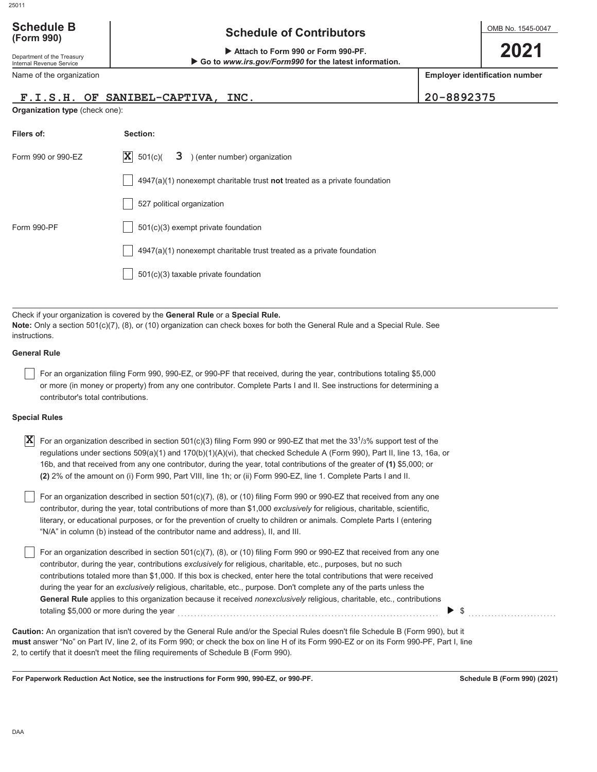# **(Form 990)**

Department of the Treasury

## **Schedule of Contributors Schedule B**

Attach to Form 990 or Form 990-PF. ▶ Go to *www.irs.gov/Form990* for the latest information.

Internal Revenue Service Name of the organization

|  | OMB No. 1545-0047 |
|--|-------------------|
|  |                   |

**2021**

**Employer identification number**

| F.I.S.H. OF SANIBEL-CAPTIVA, INC. |  | 20-8892375 |
|-----------------------------------|--|------------|
|-----------------------------------|--|------------|

| Organization type (check one): |  |  |
|--------------------------------|--|--|
|                                |  |  |

| Filers of:         | Section:                                                                    |  |  |
|--------------------|-----------------------------------------------------------------------------|--|--|
| Form 990 or 990-EZ | $ \mathbf{X} $ 501(c)( <b>3</b> ) (enter number) organization               |  |  |
|                    | $4947(a)(1)$ nonexempt charitable trust not treated as a private foundation |  |  |
|                    | 527 political organization                                                  |  |  |
| Form 990-PF        | $501(c)(3)$ exempt private foundation                                       |  |  |
|                    | 4947(a)(1) nonexempt charitable trust treated as a private foundation       |  |  |
|                    | 501(c)(3) taxable private foundation                                        |  |  |

Check if your organization is covered by the **General Rule** or a **Special Rule. Note:** Only a section 501(c)(7), (8), or (10) organization can check boxes for both the General Rule and a Special Rule. See instructions.

#### **General Rule**

For an organization filing Form 990, 990-EZ, or 990-PF that received, during the year, contributions totaling \$5,000 or more (in money or property) from any one contributor. Complete Parts I and II. See instructions for determining a contributor's total contributions.

#### **Special Rules**

| $\overline{\bf X}\vert$ For an organization described in section 501(c)(3) filing Form 990 or 990-EZ that met the 33 <sup>1</sup> /3% support test of the |
|-----------------------------------------------------------------------------------------------------------------------------------------------------------|
| regulations under sections 509(a)(1) and 170(b)(1)(A)(vi), that checked Schedule A (Form 990), Part II, line 13, 16a, or                                  |
| 16b, and that received from any one contributor, during the year, total contributions of the greater of (1) \$5,000; or                                   |
| (2) 2% of the amount on (i) Form 990, Part VIII, line 1h; or (ii) Form 990-EZ, line 1. Complete Parts I and II.                                           |

literary, or educational purposes, or for the prevention of cruelty to children or animals. Complete Parts I (entering For an organization described in section 501(c)(7), (8), or (10) filing Form 990 or 990-EZ that received from any one contributor, during the year, total contributions of more than \$1,000 *exclusively* for religious, charitable, scientific, "N/A" in column (b) instead of the contributor name and address), II, and III.

For an organization described in section 501(c)(7), (8), or (10) filing Form 990 or 990-EZ that received from any one contributor, during the year, contributions *exclusively* for religious, charitable, etc., purposes, but no such contributions totaled more than \$1,000. If this box is checked, enter here the total contributions that were received during the year for an *exclusively* religious, charitable, etc., purpose. Don't complete any of the parts unless the **General Rule** applies to this organization because it received *nonexclusively* religious, charitable, etc., contributions totaling \$5,000 or more during the year  $\ldots$   $\ldots$   $\ldots$   $\ldots$   $\ldots$   $\ldots$   $\ldots$   $\ldots$   $\ldots$ 

**must** answer "No" on Part IV, line 2, of its Form 990; or check the box on line H of its Form 990-EZ or on its Form 990-PF, Part I, line 2, to certify that it doesn't meet the filing requirements of Schedule B (Form 990). **Caution:** An organization that isn't covered by the General Rule and/or the Special Rules doesn't file Schedule B (Form 990), but it

**For Paperwork Reduction Act Notice, see the instructions for Form 990, 990-EZ, or 990-PF.**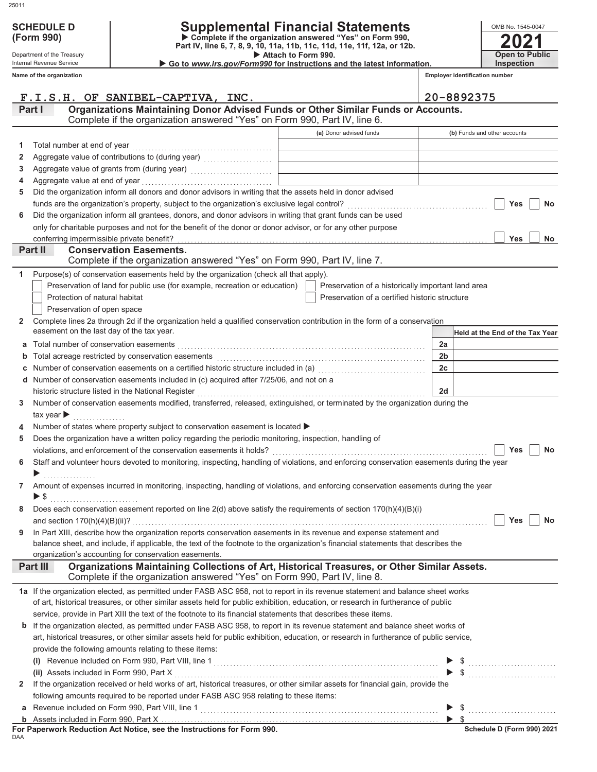DAA

#### Department of the Treasury Internal Revenue Service

**SCHEDULE D Supplemental Financial Statements**

**(Form 990) Part IV, line 6, 7, 8, 9, 10, 11a, 11b, 11c, 11d, 11e, 11f, 12a, or 12b.** X **Complete if the organization answered "Yes" on Form 990,**

▶ Attach to Form 990. ▶ Go to www.irs.gov/Form990 for instructions and the latest information.



**Name of the organization**

#### **Employer identification number**

|              | F.I.S.H. OF SANIBEL-CAPTIVA, INC.                                                                                                         |                                                    | 20-8892375                             |
|--------------|-------------------------------------------------------------------------------------------------------------------------------------------|----------------------------------------------------|----------------------------------------|
|              | Organizations Maintaining Donor Advised Funds or Other Similar Funds or Accounts.<br>Part I                                               |                                                    |                                        |
|              | Complete if the organization answered "Yes" on Form 990, Part IV, line 6.                                                                 |                                                    |                                        |
|              |                                                                                                                                           | (a) Donor advised funds                            | (b) Funds and other accounts           |
| 1            | Total number at end of year                                                                                                               |                                                    |                                        |
| 2            | Aggregate value of contributions to (during year)                                                                                         |                                                    |                                        |
| 3            |                                                                                                                                           | <u> 1989 - Johann Barbara, martin a</u>            |                                        |
| 4            | Aggregate value at end of year                                                                                                            |                                                    |                                        |
| 5            | Did the organization inform all donors and donor advisors in writing that the assets held in donor advised                                |                                                    |                                        |
|              |                                                                                                                                           |                                                    | Yes<br>No                              |
| 6            | Did the organization inform all grantees, donors, and donor advisors in writing that grant funds can be used                              |                                                    |                                        |
|              | only for charitable purposes and not for the benefit of the donor or donor advisor, or for any other purpose                              |                                                    |                                        |
|              |                                                                                                                                           |                                                    | Yes<br>No                              |
|              | Part II<br><b>Conservation Easements.</b>                                                                                                 |                                                    |                                        |
|              | Complete if the organization answered "Yes" on Form 990, Part IV, line 7.                                                                 |                                                    |                                        |
| 1            | Purpose(s) of conservation easements held by the organization (check all that apply).                                                     |                                                    |                                        |
|              | Preservation of land for public use (for example, recreation or education)                                                                | Preservation of a historically important land area |                                        |
|              | Protection of natural habitat                                                                                                             | Preservation of a certified historic structure     |                                        |
|              | Preservation of open space                                                                                                                |                                                    |                                        |
| 2            | Complete lines 2a through 2d if the organization held a qualified conservation contribution in the form of a conservation                 |                                                    |                                        |
|              | easement on the last day of the tax year.                                                                                                 |                                                    | <b>Held at the End of the Tax Year</b> |
|              |                                                                                                                                           |                                                    | 2a                                     |
| а            |                                                                                                                                           |                                                    | 2 <sub>b</sub>                         |
| b            |                                                                                                                                           |                                                    | 2c                                     |
| С            |                                                                                                                                           |                                                    |                                        |
| d            | Number of conservation easements included in (c) acquired after 7/25/06, and not on a                                                     |                                                    | 2d                                     |
|              | historic structure listed in the National Register                                                                                        |                                                    |                                        |
| 3            | Number of conservation easements modified, transferred, released, extinguished, or terminated by the organization during the              |                                                    |                                        |
|              | tax year $\blacktriangleright$                                                                                                            |                                                    |                                        |
| 4            | Number of states where property subject to conservation easement is located >                                                             |                                                    |                                        |
| 5            | Does the organization have a written policy regarding the periodic monitoring, inspection, handling of                                    |                                                    |                                        |
|              | violations, and enforcement of the conservation easements it holds?                                                                       |                                                    | <b>Yes</b><br><b>No</b>                |
| 6            | Staff and volunteer hours devoted to monitoring, inspecting, handling of violations, and enforcing conservation easements during the year |                                                    |                                        |
|              |                                                                                                                                           |                                                    |                                        |
| 7            | Amount of expenses incurred in monitoring, inspecting, handling of violations, and enforcing conservation easements during the year       |                                                    |                                        |
|              | $\blacktriangleright$ \$                                                                                                                  |                                                    |                                        |
|              | Does each conservation easement reported on line 2(d) above satisfy the requirements of section 170(h)(4)(B)(i)                           |                                                    |                                        |
|              | and section $170(h)(4)(B)(ii)$ ? No                                                                                                       |                                                    |                                        |
| 9            | In Part XIII, describe how the organization reports conservation easements in its revenue and expense statement and                       |                                                    |                                        |
|              | balance sheet, and include, if applicable, the text of the footnote to the organization's financial statements that describes the         |                                                    |                                        |
|              | organization's accounting for conservation easements.                                                                                     |                                                    |                                        |
|              | Organizations Maintaining Collections of Art, Historical Treasures, or Other Similar Assets.<br>Part III                                  |                                                    |                                        |
|              | Complete if the organization answered "Yes" on Form 990, Part IV, line 8.                                                                 |                                                    |                                        |
|              | 1a If the organization elected, as permitted under FASB ASC 958, not to report in its revenue statement and balance sheet works           |                                                    |                                        |
|              | of art, historical treasures, or other similar assets held for public exhibition, education, or research in furtherance of public         |                                                    |                                        |
|              | service, provide in Part XIII the text of the footnote to its financial statements that describes these items.                            |                                                    |                                        |
| b            | If the organization elected, as permitted under FASB ASC 958, to report in its revenue statement and balance sheet works of               |                                                    |                                        |
|              | art, historical treasures, or other similar assets held for public exhibition, education, or research in furtherance of public service,   |                                                    |                                        |
|              | provide the following amounts relating to these items:                                                                                    |                                                    |                                        |
|              |                                                                                                                                           |                                                    | \$                                     |
|              |                                                                                                                                           |                                                    | $\frac{1}{2}$                          |
| $\mathbf{2}$ | If the organization received or held works of art, historical treasures, or other similar assets for financial gain, provide the          |                                                    |                                        |
|              | following amounts required to be reported under FASB ASC 958 relating to these items:                                                     |                                                    |                                        |
| а            |                                                                                                                                           |                                                    |                                        |
| b            | Assets included in Form 990, Part X ………………………………………………………………………………………… ▶ \$                                                               |                                                    |                                        |
|              | For Paperwork Reduction Act Notice, see the Instructions for Form 990.                                                                    |                                                    | Schedule D (Form 990) 2021             |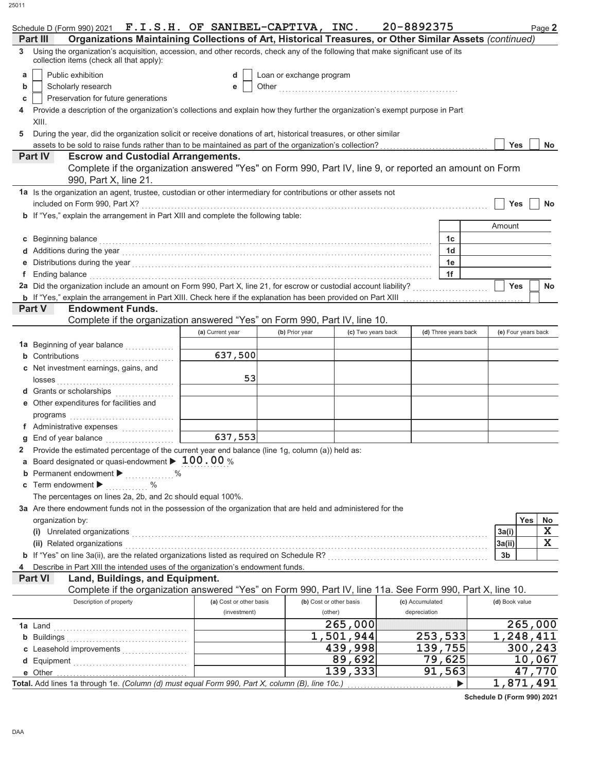|                | Schedule D (Form 990) 2021 $\quad$ F.I.S.H. OF SANIBEL-CAPTIVA, INC. 20-8892375                                                                                                                                                     |                         |                                                                                                 |                         |                 |                      |                | Page 2              |
|----------------|-------------------------------------------------------------------------------------------------------------------------------------------------------------------------------------------------------------------------------------|-------------------------|-------------------------------------------------------------------------------------------------|-------------------------|-----------------|----------------------|----------------|---------------------|
| Part III       | Organizations Maintaining Collections of Art, Historical Treasures, or Other Similar Assets (continued)                                                                                                                             |                         |                                                                                                 |                         |                 |                      |                |                     |
| 3              | Using the organization's acquisition, accession, and other records, check any of the following that make significant use of its<br>collection items (check all that apply):                                                         |                         |                                                                                                 |                         |                 |                      |                |                     |
| a              | Public exhibition                                                                                                                                                                                                                   | d                       | Loan or exchange program                                                                        |                         |                 |                      |                |                     |
| b              | Scholarly research                                                                                                                                                                                                                  | e                       |                                                                                                 |                         |                 |                      |                |                     |
| с              | Preservation for future generations                                                                                                                                                                                                 |                         |                                                                                                 |                         |                 |                      |                |                     |
| 4<br>XIII.     | Provide a description of the organization's collections and explain how they further the organization's exempt purpose in Part                                                                                                      |                         |                                                                                                 |                         |                 |                      |                |                     |
| 5              | During the year, did the organization solicit or receive donations of art, historical treasures, or other similar                                                                                                                   |                         |                                                                                                 |                         |                 |                      | Yes            | <b>No</b>           |
| <b>Part IV</b> | <b>Escrow and Custodial Arrangements.</b>                                                                                                                                                                                           |                         |                                                                                                 |                         |                 |                      |                |                     |
|                | Complete if the organization answered "Yes" on Form 990, Part IV, line 9, or reported an amount on Form<br>990, Part X, line 21.                                                                                                    |                         |                                                                                                 |                         |                 |                      |                |                     |
|                | 1a Is the organization an agent, trustee, custodian or other intermediary for contributions or other assets not<br>included on Form 990, Part X?                                                                                    |                         |                                                                                                 |                         |                 |                      | Yes            | No                  |
|                | <b>b</b> If "Yes," explain the arrangement in Part XIII and complete the following table:                                                                                                                                           |                         |                                                                                                 |                         |                 |                      |                |                     |
|                |                                                                                                                                                                                                                                     |                         |                                                                                                 |                         |                 |                      | Amount         |                     |
| С              | Beginning balance                                                                                                                                                                                                                   |                         |                                                                                                 |                         |                 | 1c                   |                |                     |
|                |                                                                                                                                                                                                                                     |                         |                                                                                                 |                         |                 | 1 <sub>d</sub>       |                |                     |
|                |                                                                                                                                                                                                                                     |                         |                                                                                                 |                         |                 | 1e                   |                |                     |
|                | Ending balance <b>construction of the construction of the construction</b> of the construction of the construction of the construction of the construction of the construction of the construction of the construction of the const |                         |                                                                                                 |                         |                 | 1f                   |                |                     |
|                |                                                                                                                                                                                                                                     |                         |                                                                                                 |                         |                 |                      | <b>Yes</b>     | <b>No</b>           |
|                |                                                                                                                                                                                                                                     |                         |                                                                                                 |                         |                 |                      |                |                     |
| <b>Part V</b>  | <b>Endowment Funds.</b>                                                                                                                                                                                                             |                         |                                                                                                 |                         |                 |                      |                |                     |
|                | Complete if the organization answered "Yes" on Form 990, Part IV, line 10.                                                                                                                                                          |                         |                                                                                                 |                         |                 |                      |                |                     |
|                |                                                                                                                                                                                                                                     | (a) Current year        | (b) Prior year                                                                                  | (c) Two years back      |                 | (d) Three years back |                | (e) Four years back |
|                | 1a Beginning of year balance                                                                                                                                                                                                        |                         |                                                                                                 |                         |                 |                      |                |                     |
|                |                                                                                                                                                                                                                                     | 637,500                 |                                                                                                 |                         |                 |                      |                |                     |
| losses         | c Net investment earnings, gains, and                                                                                                                                                                                               | 53                      |                                                                                                 |                         |                 |                      |                |                     |
|                | d Grants or scholarships                                                                                                                                                                                                            |                         |                                                                                                 |                         |                 |                      |                |                     |
|                | e Other expenditures for facilities and                                                                                                                                                                                             |                         |                                                                                                 |                         |                 |                      |                |                     |
|                | f Administrative expenses                                                                                                                                                                                                           |                         |                                                                                                 |                         |                 |                      |                |                     |
|                | g End of year balance                                                                                                                                                                                                               | 637,553                 |                                                                                                 |                         |                 |                      |                |                     |
| 2              | Provide the estimated percentage of the current year end balance (line 1g, column (a)) held as:                                                                                                                                     |                         |                                                                                                 |                         |                 |                      |                |                     |
| а              | Board designated or quasi-endowment $\blacktriangleright 100.00$ %                                                                                                                                                                  |                         |                                                                                                 |                         |                 |                      |                |                     |
|                | <b>b</b> Permanent endowment $\blacktriangleright$<br>. %                                                                                                                                                                           |                         |                                                                                                 |                         |                 |                      |                |                     |
| C              | Term endowment $\blacktriangleright$<br>$\ldots \ldots \ldots$ %                                                                                                                                                                    |                         |                                                                                                 |                         |                 |                      |                |                     |
|                | The percentages on lines 2a, 2b, and 2c should equal 100%.                                                                                                                                                                          |                         |                                                                                                 |                         |                 |                      |                |                     |
|                | 3a Are there endowment funds not in the possession of the organization that are held and administered for the                                                                                                                       |                         |                                                                                                 |                         |                 |                      |                |                     |
|                | organization by:                                                                                                                                                                                                                    |                         |                                                                                                 |                         |                 |                      |                | Yes<br>No           |
|                | (i) Unrelated organizations (and all contracts are contracted as a contract or contract or contract or contract or contract or contract or contract or contract or contract or contract or contract or contract or contract or      |                         |                                                                                                 |                         |                 |                      | 3a(i)          | X                   |
|                |                                                                                                                                                                                                                                     |                         |                                                                                                 |                         |                 |                      | 3a(ii)         | $\mathbf x$         |
|                |                                                                                                                                                                                                                                     |                         |                                                                                                 |                         |                 |                      | 3b             |                     |
|                | Describe in Part XIII the intended uses of the organization's endowment funds.                                                                                                                                                      |                         |                                                                                                 |                         |                 |                      |                |                     |
| <b>Part VI</b> | Land, Buildings, and Equipment.<br>Complete if the organization answered "Yes" on Form 990, Part IV, line 11a. See Form 990, Part X, line 10.                                                                                       |                         |                                                                                                 |                         |                 |                      |                |                     |
|                | Description of property                                                                                                                                                                                                             | (a) Cost or other basis |                                                                                                 | (b) Cost or other basis | (c) Accumulated |                      | (d) Book value |                     |
|                |                                                                                                                                                                                                                                     | (investment)            |                                                                                                 | (other)                 | depreciation    |                      |                |                     |
|                |                                                                                                                                                                                                                                     |                         |                                                                                                 | 265,000                 |                 |                      |                | 265,000             |
|                |                                                                                                                                                                                                                                     |                         |                                                                                                 | 1,501,944               |                 | 253,533              |                | 1,248,411           |
|                | c Leasehold improvements                                                                                                                                                                                                            |                         |                                                                                                 | 439,998                 |                 | 139,755              |                | 300, 243            |
|                |                                                                                                                                                                                                                                     |                         |                                                                                                 | 89,692                  |                 | 79,625               |                | 10,067              |
|                |                                                                                                                                                                                                                                     |                         |                                                                                                 | 139,333                 |                 | 91,563               |                | 47,770              |
|                |                                                                                                                                                                                                                                     |                         | Total. Add lines 1a through 1e. (Column (d) must equal Form 990, Part X, column (B), line 10c.) |                         |                 |                      |                | 1,871,491           |

| <b>Total.</b> Add lines 1a through 1e. (Column (d) must equal Form 990, Part X, column (B), line 10c.) |  |  |  |
|--------------------------------------------------------------------------------------------------------|--|--|--|
|                                                                                                        |  |  |  |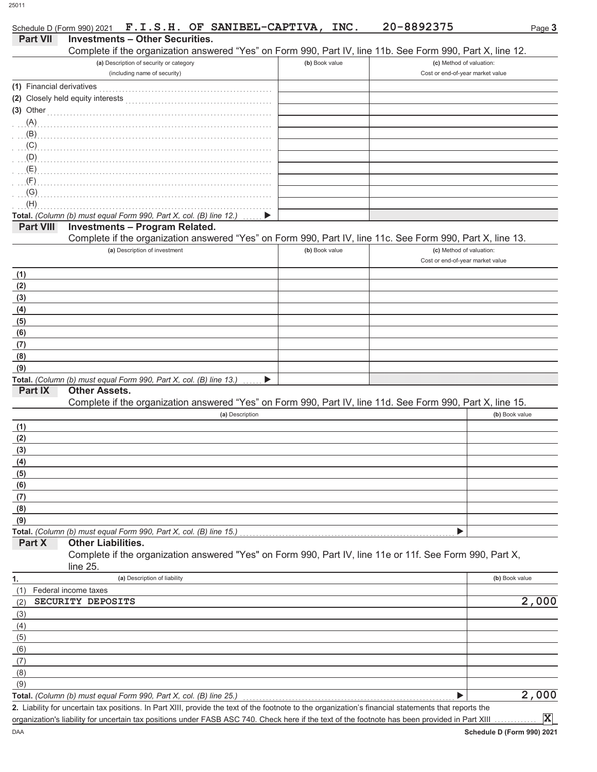|                           | F.I.S.H. OF SANIBEL-CAPTIVA, INC.<br>Schedule D (Form 990) 2021                                                                                                                                                                                                                                        |                 |                | 20-8892375                                                   | Page 3                  |
|---------------------------|--------------------------------------------------------------------------------------------------------------------------------------------------------------------------------------------------------------------------------------------------------------------------------------------------------|-----------------|----------------|--------------------------------------------------------------|-------------------------|
| <b>Part VII</b>           | <b>Investments - Other Securities.</b>                                                                                                                                                                                                                                                                 |                 |                |                                                              |                         |
|                           | Complete if the organization answered "Yes" on Form 990, Part IV, line 11b. See Form 990, Part X, line 12.                                                                                                                                                                                             |                 |                |                                                              |                         |
|                           | (a) Description of security or category<br>(including name of security)                                                                                                                                                                                                                                |                 | (b) Book value | (c) Method of valuation:<br>Cost or end-of-year market value |                         |
| (1) Financial derivatives |                                                                                                                                                                                                                                                                                                        |                 |                |                                                              |                         |
|                           |                                                                                                                                                                                                                                                                                                        |                 |                |                                                              |                         |
|                           | (3) Other $\ldots$ $\ldots$ $\ldots$ $\ldots$ $\ldots$ $\ldots$ $\ldots$ $\ldots$ $\ldots$ $\ldots$ $\ldots$                                                                                                                                                                                           |                 |                |                                                              |                         |
|                           |                                                                                                                                                                                                                                                                                                        |                 |                |                                                              |                         |
|                           |                                                                                                                                                                                                                                                                                                        |                 |                |                                                              |                         |
|                           | (C)                                                                                                                                                                                                                                                                                                    |                 |                |                                                              |                         |
| (D)                       |                                                                                                                                                                                                                                                                                                        |                 |                |                                                              |                         |
| (E)                       |                                                                                                                                                                                                                                                                                                        |                 |                |                                                              |                         |
| (F)                       |                                                                                                                                                                                                                                                                                                        |                 |                |                                                              |                         |
| (G)                       |                                                                                                                                                                                                                                                                                                        |                 |                |                                                              |                         |
| (H)                       |                                                                                                                                                                                                                                                                                                        |                 |                |                                                              |                         |
|                           | Total. (Column (b) must equal Form 990, Part X, col. (B) line 12.)                                                                                                                                                                                                                                     |                 |                |                                                              |                         |
| <b>Part VIII</b>          | <b>Investments - Program Related.</b>                                                                                                                                                                                                                                                                  |                 |                |                                                              |                         |
|                           | Complete if the organization answered "Yes" on Form 990, Part IV, line 11c. See Form 990, Part X, line 13.                                                                                                                                                                                             |                 |                |                                                              |                         |
|                           | (a) Description of investment                                                                                                                                                                                                                                                                          |                 | (b) Book value | (c) Method of valuation:                                     |                         |
|                           |                                                                                                                                                                                                                                                                                                        |                 |                | Cost or end-of-year market value                             |                         |
| (1)                       |                                                                                                                                                                                                                                                                                                        |                 |                |                                                              |                         |
| (2)                       |                                                                                                                                                                                                                                                                                                        |                 |                |                                                              |                         |
| (3)                       |                                                                                                                                                                                                                                                                                                        |                 |                |                                                              |                         |
| (4)                       |                                                                                                                                                                                                                                                                                                        |                 |                |                                                              |                         |
| (5)                       |                                                                                                                                                                                                                                                                                                        |                 |                |                                                              |                         |
| (6)                       |                                                                                                                                                                                                                                                                                                        |                 |                |                                                              |                         |
| (7)                       |                                                                                                                                                                                                                                                                                                        |                 |                |                                                              |                         |
| (8)                       |                                                                                                                                                                                                                                                                                                        |                 |                |                                                              |                         |
| (9)                       |                                                                                                                                                                                                                                                                                                        |                 |                |                                                              |                         |
|                           | Total. (Column (b) must equal Form 990, Part X, col. (B) line 13.)                                                                                                                                                                                                                                     | ▶               |                |                                                              |                         |
| Part IX                   | <b>Other Assets.</b>                                                                                                                                                                                                                                                                                   |                 |                |                                                              |                         |
|                           | Complete if the organization answered "Yes" on Form 990, Part IV, line 11d. See Form 990, Part X, line 15.                                                                                                                                                                                             |                 |                |                                                              |                         |
|                           |                                                                                                                                                                                                                                                                                                        | (a) Description |                |                                                              | (b) Book value          |
| (1)                       |                                                                                                                                                                                                                                                                                                        |                 |                |                                                              |                         |
| (2)                       |                                                                                                                                                                                                                                                                                                        |                 |                |                                                              |                         |
| (3)                       |                                                                                                                                                                                                                                                                                                        |                 |                |                                                              |                         |
| (4)                       |                                                                                                                                                                                                                                                                                                        |                 |                |                                                              |                         |
| (5)                       |                                                                                                                                                                                                                                                                                                        |                 |                |                                                              |                         |
| (6)                       |                                                                                                                                                                                                                                                                                                        |                 |                |                                                              |                         |
| (7)                       |                                                                                                                                                                                                                                                                                                        |                 |                |                                                              |                         |
| (8)                       |                                                                                                                                                                                                                                                                                                        |                 |                |                                                              |                         |
| (9)                       |                                                                                                                                                                                                                                                                                                        |                 |                |                                                              |                         |
| Part X                    | Total. (Column (b) must equal Form 990, Part X, col. (B) line 15.)<br><b>Other Liabilities.</b>                                                                                                                                                                                                        |                 |                |                                                              |                         |
|                           | Complete if the organization answered "Yes" on Form 990, Part IV, line 11e or 11f. See Form 990, Part X,                                                                                                                                                                                               |                 |                |                                                              |                         |
|                           | line 25.                                                                                                                                                                                                                                                                                               |                 |                |                                                              |                         |
|                           | (a) Description of liability                                                                                                                                                                                                                                                                           |                 |                |                                                              | (b) Book value          |
| 1.                        | Federal income taxes                                                                                                                                                                                                                                                                                   |                 |                |                                                              |                         |
| (1)                       | SECURITY DEPOSITS                                                                                                                                                                                                                                                                                      |                 |                |                                                              | 2,000                   |
| (2)                       |                                                                                                                                                                                                                                                                                                        |                 |                |                                                              |                         |
| (3)                       |                                                                                                                                                                                                                                                                                                        |                 |                |                                                              |                         |
| (4)                       |                                                                                                                                                                                                                                                                                                        |                 |                |                                                              |                         |
| (5)                       |                                                                                                                                                                                                                                                                                                        |                 |                |                                                              |                         |
| (6)                       |                                                                                                                                                                                                                                                                                                        |                 |                |                                                              |                         |
| (7)                       |                                                                                                                                                                                                                                                                                                        |                 |                |                                                              |                         |
| (8)                       |                                                                                                                                                                                                                                                                                                        |                 |                |                                                              |                         |
| (9)                       |                                                                                                                                                                                                                                                                                                        |                 |                |                                                              | 2,000                   |
|                           | Total. (Column (b) must equal Form 990, Part X, col. (B) line 25.)                                                                                                                                                                                                                                     |                 |                | ▶                                                            |                         |
|                           | 2. Liability for uncertain tax positions. In Part XIII, provide the text of the footnote to the organization's financial statements that reports the<br>organization's liability for uncertain tax positions under FASB ASC 740. Check here if the text of the footnote has been provided in Part XIII |                 |                |                                                              | $\overline{\mathbf{x}}$ |
|                           |                                                                                                                                                                                                                                                                                                        |                 |                |                                                              |                         |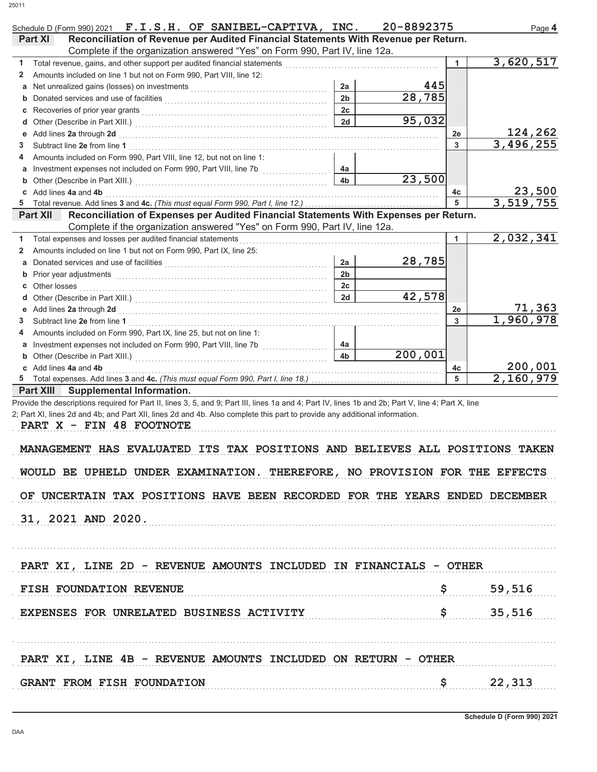| Schedule D (Form 990) 2021 $\quad$ F.I.S.H. OF SANIBEL-CAPTIVA, INC.<br>Reconciliation of Revenue per Audited Financial Statements With Revenue per Return.<br>Part XI                                                                                                                           |                | 20-8892375 |    | Page 4                    |
|--------------------------------------------------------------------------------------------------------------------------------------------------------------------------------------------------------------------------------------------------------------------------------------------------|----------------|------------|----|---------------------------|
| Complete if the organization answered "Yes" on Form 990, Part IV, line 12a.                                                                                                                                                                                                                      |                |            |    |                           |
| 1.                                                                                                                                                                                                                                                                                               |                |            |    | 3,620,517                 |
| Amounts included on line 1 but not on Form 990, Part VIII, line 12:<br>2                                                                                                                                                                                                                         |                |            |    |                           |
|                                                                                                                                                                                                                                                                                                  | 2a             | 445        |    |                           |
|                                                                                                                                                                                                                                                                                                  | 2 <sub>b</sub> | 28,785     |    |                           |
| C                                                                                                                                                                                                                                                                                                | 2 <sub>c</sub> |            |    |                           |
| d                                                                                                                                                                                                                                                                                                | 2d             | 95,032     |    |                           |
| Add lines 2a through 2d [11] All and the contract of the contract of the contract of the contract of the contract of the contract of the contract of the contract of the contract of the contract of the contract of the contr<br>е                                                              |                |            | 2e | 124,262                   |
| 3                                                                                                                                                                                                                                                                                                |                |            | 3  | $\overline{3}$ , 496, 255 |
| Amounts included on Form 990, Part VIII, line 12, but not on line 1:<br>4                                                                                                                                                                                                                        |                |            |    |                           |
| a Investment expenses not included on Form 990, Part VIII, line 7b [100] [100]                                                                                                                                                                                                                   | 4a             |            |    |                           |
|                                                                                                                                                                                                                                                                                                  | 4 <sub>b</sub> | 23,500     |    |                           |
| c Add lines 4a and 4b                                                                                                                                                                                                                                                                            |                |            | 4c | 23,500                    |
| 5                                                                                                                                                                                                                                                                                                |                |            | 5  | 3,519,755                 |
| Reconciliation of Expenses per Audited Financial Statements With Expenses per Return.<br><b>Part XII</b>                                                                                                                                                                                         |                |            |    |                           |
| Complete if the organization answered "Yes" on Form 990, Part IV, line 12a.                                                                                                                                                                                                                      |                |            |    |                           |
| 1.                                                                                                                                                                                                                                                                                               |                |            | 1  | 2,032,341                 |
| Amounts included on line 1 but not on Form 990, Part IX, line 25:<br>2                                                                                                                                                                                                                           |                |            |    |                           |
| a                                                                                                                                                                                                                                                                                                | 2a             | 28,785     |    |                           |
| Prior year adjustments [11, 11] All and the contract of the contract of the contract of the contract of the contract of the contract of the contract of the contract of the contract of the contract of the contract of the co<br>b                                                              | 2 <sub>b</sub> |            |    |                           |
| Other losses<br>с                                                                                                                                                                                                                                                                                | 2 <sub>c</sub> |            |    |                           |
| d                                                                                                                                                                                                                                                                                                | 2d             | 42,578     |    |                           |
| Add lines 2a through 2d [11] Additional Property and Property and Property and Property and Property and Property and Property and Property and Property and Property and Property and Property and Property and Property and<br>е                                                               |                |            | 2e | <u>71,363</u>             |
| 3                                                                                                                                                                                                                                                                                                |                |            | 3  | 1,960,978                 |
| Amounts included on Form 990, Part IX, line 25, but not on line 1:<br>4                                                                                                                                                                                                                          |                |            |    |                           |
| a Investment expenses not included on Form 990, Part VIII, line 7b [100] [100]                                                                                                                                                                                                                   | 4a             |            |    |                           |
| b                                                                                                                                                                                                                                                                                                | 4 <sub>b</sub> | 200,001    |    |                           |
| c Add lines 4a and 4b                                                                                                                                                                                                                                                                            |                |            | 4c | 200,001                   |
| Total expenses. Add lines 3 and 4c. (This must equal Form 990, Part I, line 18.) [100] Total expenses. Add lines 3 and 4c. (This must equal Form 990, Part I, line 18.)<br>5.                                                                                                                    |                |            | 5  | 2,160,979                 |
| Part XIII Supplemental Information.<br>Provide the descriptions required for Part II, lines 3, 5, and 9; Part III, lines 1a and 4; Part IV, lines 1b and 2b; Part V, line 4; Part X, line                                                                                                        |                |            |    |                           |
| PART X - FIN 48 FOOTNOTE<br><b>MANAGEMENT HAS EVALUATED ITS TAX POSITIONS AND BELIEVES ALL POSITIONS TAKEN</b><br>WOULD BE UPHELD UNDER EXAMINATION. THEREFORE, NO PROVISION FOR THE EFFECTS<br>OF UNCERTAIN TAX POSITIONS HAVE BEEN RECORDED FOR THE YEARS ENDED DECEMBER<br>31, 2021 AND 2020. |                |            |    |                           |
|                                                                                                                                                                                                                                                                                                  |                |            |    |                           |
| PART XI, LINE 2D - REVENUE AMOUNTS INCLUDED IN FINANCIALS - OTHER<br>FISH FOUNDATION REVENUE<br>EXPENSES FOR UNRELATED BUSINESS ACTIVITY                                                                                                                                                         |                |            |    | \$59,516<br>\$35,516      |
| PART XI, LINE 4B - REVENUE AMOUNTS INCLUDED ON RETURN - OTHER<br><b>GRANT FROM FISH FOUNDATION</b>                                                                                                                                                                                               |                |            |    | 22,313                    |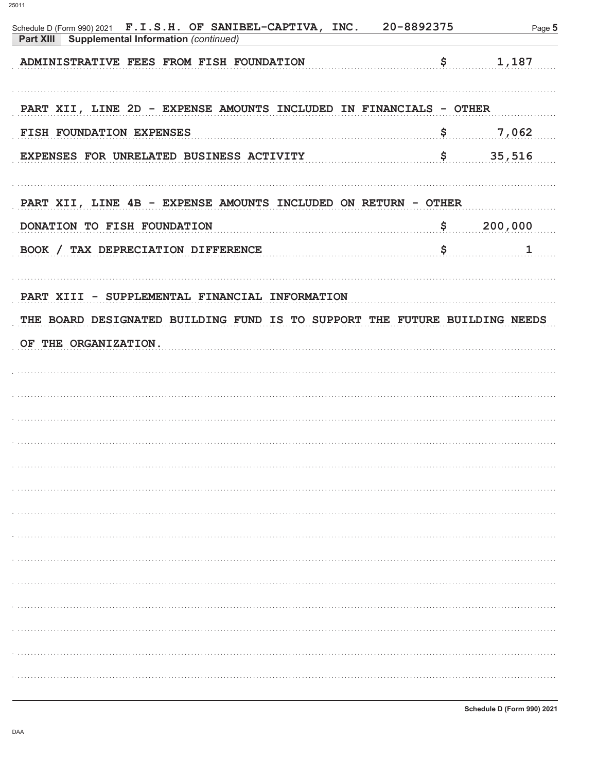| <b>Supplemental Information (continued)</b><br><b>Part XIII</b>            |                                            |              |
|----------------------------------------------------------------------------|--------------------------------------------|--------------|
| ADMINISTRATIVE FEES FROM FISH FOUNDATION                                   | $\frac{1}{1,187}$                          |              |
| PART XII, LINE 2D - EXPENSE AMOUNTS INCLUDED IN FINANCIALS - OTHER         |                                            |              |
| FISH FOUNDATION EXPENSES                                                   | $\mathsf{S}$ , and the set of $\mathsf{S}$ | 7,062        |
| EXPENSES FOR UNRELATED BUSINESS ACTIVITY                                   | $\frac{1}{2}$ , 35, 516                    |              |
| PART XII, LINE 4B - EXPENSE AMOUNTS INCLUDED ON RETURN - OTHER             |                                            |              |
| DONATION TO FISH FOUNDATION                                                |                                            | \$200,000    |
| BOOK / TAX DEPRECIATION DIFFERENCE                                         | \$                                         | $\mathbf{1}$ |
| PART XIII - SUPPLEMENTAL FINANCIAL INFORMATION                             |                                            |              |
| THE BOARD DESIGNATED BUILDING FUND IS TO SUPPORT THE FUTURE BUILDING NEEDS |                                            |              |
|                                                                            |                                            |              |
| OF THE ORGANIZATION.                                                       |                                            |              |
|                                                                            |                                            |              |
|                                                                            |                                            |              |
|                                                                            |                                            |              |
|                                                                            |                                            |              |
|                                                                            |                                            |              |
|                                                                            |                                            |              |
|                                                                            |                                            |              |
|                                                                            |                                            |              |
|                                                                            |                                            |              |
|                                                                            |                                            |              |
|                                                                            |                                            |              |
|                                                                            |                                            |              |
|                                                                            |                                            |              |
|                                                                            |                                            |              |
|                                                                            |                                            |              |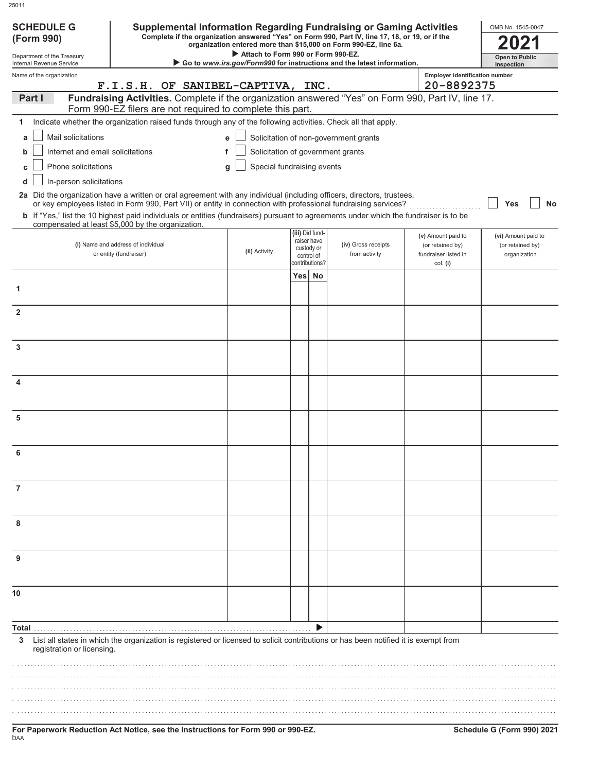| organization entered more than \$15,000 on Form 990-EZ, line 6a.<br>Attach to Form 990 or Form 990-EZ.<br>Department of the Treasury<br><b>Open to Public</b><br>Go to www.irs.gov/Form990 for instructions and the latest information.<br>Inspection<br><b>Employer identification number</b><br>20-8892375<br>F.I.S.H. OF SANIBEL-CAPTIVA, INC.<br>Fundraising Activities. Complete if the organization answered "Yes" on Form 990, Part IV, line 17.<br>Part I<br>Form 990-EZ filers are not required to complete this part.<br>Indicate whether the organization raised funds through any of the following activities. Check all that apply.<br>1<br>Mail solicitations<br>Solicitation of non-government grants<br>a<br>Solicitation of government grants<br>Internet and email solicitations<br>Phone solicitations<br>Special fundraising events<br>q<br>In-person solicitations<br>d<br>2a Did the organization have a written or oral agreement with any individual (including officers, directors, trustees,<br>or key employees listed in Form 990, Part VII) or entity in connection with professional fundraising services?<br>Yes<br>No<br>b If "Yes," list the 10 highest paid individuals or entities (fundraisers) pursuant to agreements under which the fundraiser is to be<br>compensated at least \$5,000 by the organization.<br>(iii) Did fund-<br>(v) Amount paid to<br>(vi) Amount paid to<br>raiser have<br>(i) Name and address of individual<br>(iv) Gross receipts<br>(or retained by)<br>(or retained by)<br>custody or<br>(ii) Activity<br>or entity (fundraiser)<br>from activity<br>fundraiser listed in<br>organization<br>control of<br>contributions?<br>col. (i)<br>Yes  <br>No<br>1<br>$\overline{2}$<br>3<br>4<br>5<br>7<br>8<br>9<br>Total<br>List all states in which the organization is registered or licensed to solicit contributions or has been notified it is exempt from<br>3<br>registration or licensing. | <b>SCHEDULE G</b><br>(Form 990) | <b>Supplemental Information Regarding Fundraising or Gaming Activities</b><br>Complete if the organization answered "Yes" on Form 990, Part IV, line 17, 18, or 19, or if the |  |  |  |  |  | OMB No. 1545-0047 |
|--------------------------------------------------------------------------------------------------------------------------------------------------------------------------------------------------------------------------------------------------------------------------------------------------------------------------------------------------------------------------------------------------------------------------------------------------------------------------------------------------------------------------------------------------------------------------------------------------------------------------------------------------------------------------------------------------------------------------------------------------------------------------------------------------------------------------------------------------------------------------------------------------------------------------------------------------------------------------------------------------------------------------------------------------------------------------------------------------------------------------------------------------------------------------------------------------------------------------------------------------------------------------------------------------------------------------------------------------------------------------------------------------------------------------------------------------------------------------------------------------------------------------------------------------------------------------------------------------------------------------------------------------------------------------------------------------------------------------------------------------------------------------------------------------------------------------------------------------------------------------------------------------------------------------------------------------------------|---------------------------------|-------------------------------------------------------------------------------------------------------------------------------------------------------------------------------|--|--|--|--|--|-------------------|
|                                                                                                                                                                                                                                                                                                                                                                                                                                                                                                                                                                                                                                                                                                                                                                                                                                                                                                                                                                                                                                                                                                                                                                                                                                                                                                                                                                                                                                                                                                                                                                                                                                                                                                                                                                                                                                                                                                                                                              |                                 |                                                                                                                                                                               |  |  |  |  |  |                   |
|                                                                                                                                                                                                                                                                                                                                                                                                                                                                                                                                                                                                                                                                                                                                                                                                                                                                                                                                                                                                                                                                                                                                                                                                                                                                                                                                                                                                                                                                                                                                                                                                                                                                                                                                                                                                                                                                                                                                                              | Internal Revenue Service        |                                                                                                                                                                               |  |  |  |  |  |                   |
|                                                                                                                                                                                                                                                                                                                                                                                                                                                                                                                                                                                                                                                                                                                                                                                                                                                                                                                                                                                                                                                                                                                                                                                                                                                                                                                                                                                                                                                                                                                                                                                                                                                                                                                                                                                                                                                                                                                                                              | Name of the organization        |                                                                                                                                                                               |  |  |  |  |  |                   |
|                                                                                                                                                                                                                                                                                                                                                                                                                                                                                                                                                                                                                                                                                                                                                                                                                                                                                                                                                                                                                                                                                                                                                                                                                                                                                                                                                                                                                                                                                                                                                                                                                                                                                                                                                                                                                                                                                                                                                              |                                 |                                                                                                                                                                               |  |  |  |  |  |                   |
|                                                                                                                                                                                                                                                                                                                                                                                                                                                                                                                                                                                                                                                                                                                                                                                                                                                                                                                                                                                                                                                                                                                                                                                                                                                                                                                                                                                                                                                                                                                                                                                                                                                                                                                                                                                                                                                                                                                                                              |                                 |                                                                                                                                                                               |  |  |  |  |  |                   |
|                                                                                                                                                                                                                                                                                                                                                                                                                                                                                                                                                                                                                                                                                                                                                                                                                                                                                                                                                                                                                                                                                                                                                                                                                                                                                                                                                                                                                                                                                                                                                                                                                                                                                                                                                                                                                                                                                                                                                              |                                 |                                                                                                                                                                               |  |  |  |  |  |                   |
|                                                                                                                                                                                                                                                                                                                                                                                                                                                                                                                                                                                                                                                                                                                                                                                                                                                                                                                                                                                                                                                                                                                                                                                                                                                                                                                                                                                                                                                                                                                                                                                                                                                                                                                                                                                                                                                                                                                                                              |                                 |                                                                                                                                                                               |  |  |  |  |  |                   |
|                                                                                                                                                                                                                                                                                                                                                                                                                                                                                                                                                                                                                                                                                                                                                                                                                                                                                                                                                                                                                                                                                                                                                                                                                                                                                                                                                                                                                                                                                                                                                                                                                                                                                                                                                                                                                                                                                                                                                              |                                 |                                                                                                                                                                               |  |  |  |  |  |                   |
|                                                                                                                                                                                                                                                                                                                                                                                                                                                                                                                                                                                                                                                                                                                                                                                                                                                                                                                                                                                                                                                                                                                                                                                                                                                                                                                                                                                                                                                                                                                                                                                                                                                                                                                                                                                                                                                                                                                                                              |                                 |                                                                                                                                                                               |  |  |  |  |  |                   |
|                                                                                                                                                                                                                                                                                                                                                                                                                                                                                                                                                                                                                                                                                                                                                                                                                                                                                                                                                                                                                                                                                                                                                                                                                                                                                                                                                                                                                                                                                                                                                                                                                                                                                                                                                                                                                                                                                                                                                              |                                 |                                                                                                                                                                               |  |  |  |  |  |                   |
|                                                                                                                                                                                                                                                                                                                                                                                                                                                                                                                                                                                                                                                                                                                                                                                                                                                                                                                                                                                                                                                                                                                                                                                                                                                                                                                                                                                                                                                                                                                                                                                                                                                                                                                                                                                                                                                                                                                                                              |                                 |                                                                                                                                                                               |  |  |  |  |  |                   |
|                                                                                                                                                                                                                                                                                                                                                                                                                                                                                                                                                                                                                                                                                                                                                                                                                                                                                                                                                                                                                                                                                                                                                                                                                                                                                                                                                                                                                                                                                                                                                                                                                                                                                                                                                                                                                                                                                                                                                              |                                 |                                                                                                                                                                               |  |  |  |  |  |                   |
|                                                                                                                                                                                                                                                                                                                                                                                                                                                                                                                                                                                                                                                                                                                                                                                                                                                                                                                                                                                                                                                                                                                                                                                                                                                                                                                                                                                                                                                                                                                                                                                                                                                                                                                                                                                                                                                                                                                                                              |                                 |                                                                                                                                                                               |  |  |  |  |  |                   |
|                                                                                                                                                                                                                                                                                                                                                                                                                                                                                                                                                                                                                                                                                                                                                                                                                                                                                                                                                                                                                                                                                                                                                                                                                                                                                                                                                                                                                                                                                                                                                                                                                                                                                                                                                                                                                                                                                                                                                              |                                 |                                                                                                                                                                               |  |  |  |  |  |                   |
|                                                                                                                                                                                                                                                                                                                                                                                                                                                                                                                                                                                                                                                                                                                                                                                                                                                                                                                                                                                                                                                                                                                                                                                                                                                                                                                                                                                                                                                                                                                                                                                                                                                                                                                                                                                                                                                                                                                                                              |                                 |                                                                                                                                                                               |  |  |  |  |  |                   |
|                                                                                                                                                                                                                                                                                                                                                                                                                                                                                                                                                                                                                                                                                                                                                                                                                                                                                                                                                                                                                                                                                                                                                                                                                                                                                                                                                                                                                                                                                                                                                                                                                                                                                                                                                                                                                                                                                                                                                              |                                 |                                                                                                                                                                               |  |  |  |  |  |                   |
|                                                                                                                                                                                                                                                                                                                                                                                                                                                                                                                                                                                                                                                                                                                                                                                                                                                                                                                                                                                                                                                                                                                                                                                                                                                                                                                                                                                                                                                                                                                                                                                                                                                                                                                                                                                                                                                                                                                                                              |                                 |                                                                                                                                                                               |  |  |  |  |  |                   |
|                                                                                                                                                                                                                                                                                                                                                                                                                                                                                                                                                                                                                                                                                                                                                                                                                                                                                                                                                                                                                                                                                                                                                                                                                                                                                                                                                                                                                                                                                                                                                                                                                                                                                                                                                                                                                                                                                                                                                              |                                 |                                                                                                                                                                               |  |  |  |  |  |                   |
|                                                                                                                                                                                                                                                                                                                                                                                                                                                                                                                                                                                                                                                                                                                                                                                                                                                                                                                                                                                                                                                                                                                                                                                                                                                                                                                                                                                                                                                                                                                                                                                                                                                                                                                                                                                                                                                                                                                                                              |                                 |                                                                                                                                                                               |  |  |  |  |  |                   |
|                                                                                                                                                                                                                                                                                                                                                                                                                                                                                                                                                                                                                                                                                                                                                                                                                                                                                                                                                                                                                                                                                                                                                                                                                                                                                                                                                                                                                                                                                                                                                                                                                                                                                                                                                                                                                                                                                                                                                              |                                 |                                                                                                                                                                               |  |  |  |  |  |                   |
|                                                                                                                                                                                                                                                                                                                                                                                                                                                                                                                                                                                                                                                                                                                                                                                                                                                                                                                                                                                                                                                                                                                                                                                                                                                                                                                                                                                                                                                                                                                                                                                                                                                                                                                                                                                                                                                                                                                                                              |                                 |                                                                                                                                                                               |  |  |  |  |  |                   |
|                                                                                                                                                                                                                                                                                                                                                                                                                                                                                                                                                                                                                                                                                                                                                                                                                                                                                                                                                                                                                                                                                                                                                                                                                                                                                                                                                                                                                                                                                                                                                                                                                                                                                                                                                                                                                                                                                                                                                              |                                 |                                                                                                                                                                               |  |  |  |  |  |                   |
|                                                                                                                                                                                                                                                                                                                                                                                                                                                                                                                                                                                                                                                                                                                                                                                                                                                                                                                                                                                                                                                                                                                                                                                                                                                                                                                                                                                                                                                                                                                                                                                                                                                                                                                                                                                                                                                                                                                                                              |                                 |                                                                                                                                                                               |  |  |  |  |  |                   |
|                                                                                                                                                                                                                                                                                                                                                                                                                                                                                                                                                                                                                                                                                                                                                                                                                                                                                                                                                                                                                                                                                                                                                                                                                                                                                                                                                                                                                                                                                                                                                                                                                                                                                                                                                                                                                                                                                                                                                              |                                 |                                                                                                                                                                               |  |  |  |  |  |                   |
|                                                                                                                                                                                                                                                                                                                                                                                                                                                                                                                                                                                                                                                                                                                                                                                                                                                                                                                                                                                                                                                                                                                                                                                                                                                                                                                                                                                                                                                                                                                                                                                                                                                                                                                                                                                                                                                                                                                                                              |                                 |                                                                                                                                                                               |  |  |  |  |  |                   |
|                                                                                                                                                                                                                                                                                                                                                                                                                                                                                                                                                                                                                                                                                                                                                                                                                                                                                                                                                                                                                                                                                                                                                                                                                                                                                                                                                                                                                                                                                                                                                                                                                                                                                                                                                                                                                                                                                                                                                              |                                 |                                                                                                                                                                               |  |  |  |  |  |                   |
|                                                                                                                                                                                                                                                                                                                                                                                                                                                                                                                                                                                                                                                                                                                                                                                                                                                                                                                                                                                                                                                                                                                                                                                                                                                                                                                                                                                                                                                                                                                                                                                                                                                                                                                                                                                                                                                                                                                                                              |                                 |                                                                                                                                                                               |  |  |  |  |  |                   |
|                                                                                                                                                                                                                                                                                                                                                                                                                                                                                                                                                                                                                                                                                                                                                                                                                                                                                                                                                                                                                                                                                                                                                                                                                                                                                                                                                                                                                                                                                                                                                                                                                                                                                                                                                                                                                                                                                                                                                              |                                 |                                                                                                                                                                               |  |  |  |  |  |                   |
|                                                                                                                                                                                                                                                                                                                                                                                                                                                                                                                                                                                                                                                                                                                                                                                                                                                                                                                                                                                                                                                                                                                                                                                                                                                                                                                                                                                                                                                                                                                                                                                                                                                                                                                                                                                                                                                                                                                                                              |                                 |                                                                                                                                                                               |  |  |  |  |  |                   |
|                                                                                                                                                                                                                                                                                                                                                                                                                                                                                                                                                                                                                                                                                                                                                                                                                                                                                                                                                                                                                                                                                                                                                                                                                                                                                                                                                                                                                                                                                                                                                                                                                                                                                                                                                                                                                                                                                                                                                              |                                 |                                                                                                                                                                               |  |  |  |  |  |                   |
|                                                                                                                                                                                                                                                                                                                                                                                                                                                                                                                                                                                                                                                                                                                                                                                                                                                                                                                                                                                                                                                                                                                                                                                                                                                                                                                                                                                                                                                                                                                                                                                                                                                                                                                                                                                                                                                                                                                                                              |                                 |                                                                                                                                                                               |  |  |  |  |  |                   |
|                                                                                                                                                                                                                                                                                                                                                                                                                                                                                                                                                                                                                                                                                                                                                                                                                                                                                                                                                                                                                                                                                                                                                                                                                                                                                                                                                                                                                                                                                                                                                                                                                                                                                                                                                                                                                                                                                                                                                              |                                 |                                                                                                                                                                               |  |  |  |  |  |                   |
|                                                                                                                                                                                                                                                                                                                                                                                                                                                                                                                                                                                                                                                                                                                                                                                                                                                                                                                                                                                                                                                                                                                                                                                                                                                                                                                                                                                                                                                                                                                                                                                                                                                                                                                                                                                                                                                                                                                                                              |                                 |                                                                                                                                                                               |  |  |  |  |  |                   |
|                                                                                                                                                                                                                                                                                                                                                                                                                                                                                                                                                                                                                                                                                                                                                                                                                                                                                                                                                                                                                                                                                                                                                                                                                                                                                                                                                                                                                                                                                                                                                                                                                                                                                                                                                                                                                                                                                                                                                              |                                 |                                                                                                                                                                               |  |  |  |  |  |                   |
|                                                                                                                                                                                                                                                                                                                                                                                                                                                                                                                                                                                                                                                                                                                                                                                                                                                                                                                                                                                                                                                                                                                                                                                                                                                                                                                                                                                                                                                                                                                                                                                                                                                                                                                                                                                                                                                                                                                                                              |                                 |                                                                                                                                                                               |  |  |  |  |  |                   |
|                                                                                                                                                                                                                                                                                                                                                                                                                                                                                                                                                                                                                                                                                                                                                                                                                                                                                                                                                                                                                                                                                                                                                                                                                                                                                                                                                                                                                                                                                                                                                                                                                                                                                                                                                                                                                                                                                                                                                              |                                 |                                                                                                                                                                               |  |  |  |  |  |                   |
|                                                                                                                                                                                                                                                                                                                                                                                                                                                                                                                                                                                                                                                                                                                                                                                                                                                                                                                                                                                                                                                                                                                                                                                                                                                                                                                                                                                                                                                                                                                                                                                                                                                                                                                                                                                                                                                                                                                                                              |                                 |                                                                                                                                                                               |  |  |  |  |  |                   |
|                                                                                                                                                                                                                                                                                                                                                                                                                                                                                                                                                                                                                                                                                                                                                                                                                                                                                                                                                                                                                                                                                                                                                                                                                                                                                                                                                                                                                                                                                                                                                                                                                                                                                                                                                                                                                                                                                                                                                              |                                 |                                                                                                                                                                               |  |  |  |  |  |                   |
|                                                                                                                                                                                                                                                                                                                                                                                                                                                                                                                                                                                                                                                                                                                                                                                                                                                                                                                                                                                                                                                                                                                                                                                                                                                                                                                                                                                                                                                                                                                                                                                                                                                                                                                                                                                                                                                                                                                                                              | 10                              |                                                                                                                                                                               |  |  |  |  |  |                   |
|                                                                                                                                                                                                                                                                                                                                                                                                                                                                                                                                                                                                                                                                                                                                                                                                                                                                                                                                                                                                                                                                                                                                                                                                                                                                                                                                                                                                                                                                                                                                                                                                                                                                                                                                                                                                                                                                                                                                                              |                                 |                                                                                                                                                                               |  |  |  |  |  |                   |
|                                                                                                                                                                                                                                                                                                                                                                                                                                                                                                                                                                                                                                                                                                                                                                                                                                                                                                                                                                                                                                                                                                                                                                                                                                                                                                                                                                                                                                                                                                                                                                                                                                                                                                                                                                                                                                                                                                                                                              |                                 |                                                                                                                                                                               |  |  |  |  |  |                   |
|                                                                                                                                                                                                                                                                                                                                                                                                                                                                                                                                                                                                                                                                                                                                                                                                                                                                                                                                                                                                                                                                                                                                                                                                                                                                                                                                                                                                                                                                                                                                                                                                                                                                                                                                                                                                                                                                                                                                                              |                                 |                                                                                                                                                                               |  |  |  |  |  |                   |
|                                                                                                                                                                                                                                                                                                                                                                                                                                                                                                                                                                                                                                                                                                                                                                                                                                                                                                                                                                                                                                                                                                                                                                                                                                                                                                                                                                                                                                                                                                                                                                                                                                                                                                                                                                                                                                                                                                                                                              |                                 |                                                                                                                                                                               |  |  |  |  |  |                   |
|                                                                                                                                                                                                                                                                                                                                                                                                                                                                                                                                                                                                                                                                                                                                                                                                                                                                                                                                                                                                                                                                                                                                                                                                                                                                                                                                                                                                                                                                                                                                                                                                                                                                                                                                                                                                                                                                                                                                                              |                                 |                                                                                                                                                                               |  |  |  |  |  |                   |
|                                                                                                                                                                                                                                                                                                                                                                                                                                                                                                                                                                                                                                                                                                                                                                                                                                                                                                                                                                                                                                                                                                                                                                                                                                                                                                                                                                                                                                                                                                                                                                                                                                                                                                                                                                                                                                                                                                                                                              |                                 |                                                                                                                                                                               |  |  |  |  |  |                   |
|                                                                                                                                                                                                                                                                                                                                                                                                                                                                                                                                                                                                                                                                                                                                                                                                                                                                                                                                                                                                                                                                                                                                                                                                                                                                                                                                                                                                                                                                                                                                                                                                                                                                                                                                                                                                                                                                                                                                                              |                                 |                                                                                                                                                                               |  |  |  |  |  |                   |
|                                                                                                                                                                                                                                                                                                                                                                                                                                                                                                                                                                                                                                                                                                                                                                                                                                                                                                                                                                                                                                                                                                                                                                                                                                                                                                                                                                                                                                                                                                                                                                                                                                                                                                                                                                                                                                                                                                                                                              |                                 |                                                                                                                                                                               |  |  |  |  |  |                   |

.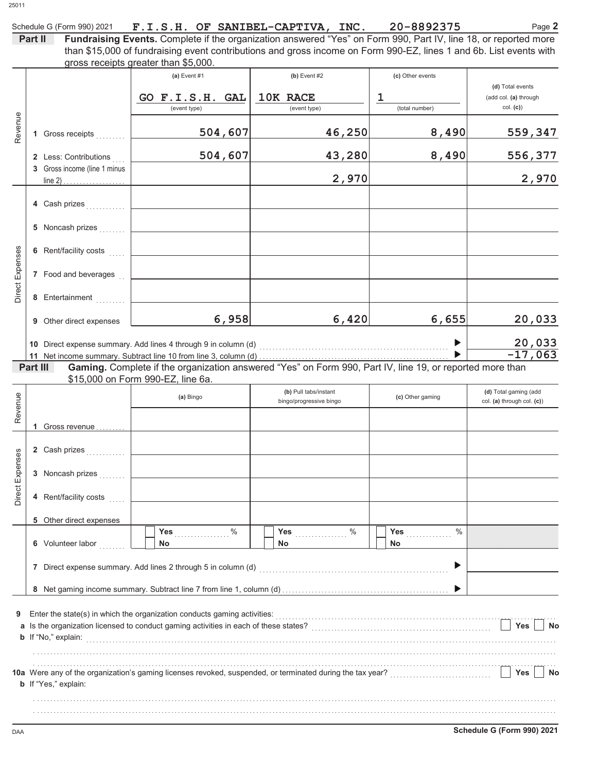|                        | Schedule G (Form 990) 2021                            | F.I.S.H. OF SANIBEL-CAPTIVA, INC.                                                                                                                                                                                      |                         | 20-8892375       | Page 2                            |
|------------------------|-------------------------------------------------------|------------------------------------------------------------------------------------------------------------------------------------------------------------------------------------------------------------------------|-------------------------|------------------|-----------------------------------|
|                        | Part II                                               | Fundraising Events. Complete if the organization answered "Yes" on Form 990, Part IV, line 18, or reported more                                                                                                        |                         |                  |                                   |
|                        |                                                       | than \$15,000 of fundraising event contributions and gross income on Form 990-EZ, lines 1 and 6b. List events with<br>gross receipts greater than \$5,000.                                                             |                         |                  |                                   |
|                        |                                                       | (a) Event $#1$                                                                                                                                                                                                         | $(b)$ Event #2          | (c) Other events |                                   |
|                        |                                                       |                                                                                                                                                                                                                        |                         |                  | (d) Total events                  |
|                        |                                                       | GO F.I.S.H. GAL                                                                                                                                                                                                        | 10K RACE                | 1                | (add col. (a) through<br>col. (c) |
|                        |                                                       | (event type)                                                                                                                                                                                                           | (event type)            | (total number)   |                                   |
| Revenue                | 1 Gross receipts                                      | 504,607                                                                                                                                                                                                                | 46,250                  | 8,490            | 559,347                           |
|                        | 2 Less: Contributions<br>3 Gross income (line 1 minus | 504,607                                                                                                                                                                                                                | 43,280                  | 8,490            | 556,377                           |
|                        |                                                       |                                                                                                                                                                                                                        | 2,970                   |                  | 2,970                             |
|                        | 4 Cash prizes                                         |                                                                                                                                                                                                                        |                         |                  |                                   |
|                        | 5 Noncash prizes                                      |                                                                                                                                                                                                                        |                         |                  |                                   |
|                        | 6 Rent/facility costs                                 |                                                                                                                                                                                                                        |                         |                  |                                   |
| <b>Direct Expenses</b> | 7 Food and beverages                                  |                                                                                                                                                                                                                        |                         |                  |                                   |
|                        | 8 Entertainment                                       |                                                                                                                                                                                                                        |                         |                  |                                   |
|                        | 9 Other direct expenses                               | 6,958                                                                                                                                                                                                                  | 6,420                   | 6,655            | 20,033                            |
|                        |                                                       |                                                                                                                                                                                                                        |                         |                  | 20,033                            |
|                        |                                                       |                                                                                                                                                                                                                        |                         |                  | $-17,063$                         |
|                        | Part III                                              | Gaming. Complete if the organization answered "Yes" on Form 990, Part IV, line 19, or reported more than                                                                                                               |                         |                  |                                   |
|                        |                                                       | \$15,000 on Form 990-EZ, line 6a.                                                                                                                                                                                      | (b) Pull tabs/instant   |                  | (d) Total gaming (add             |
|                        |                                                       | (a) Bingo                                                                                                                                                                                                              | bingo/progressive bingo | (c) Other gaming | col. (a) through col. (c))        |
| Revenue                |                                                       |                                                                                                                                                                                                                        |                         |                  |                                   |
|                        | Gross revenue<br>1.                                   |                                                                                                                                                                                                                        |                         |                  |                                   |
|                        | 2 Cash prizes                                         |                                                                                                                                                                                                                        |                         |                  |                                   |
|                        | 3 Noncash prizes                                      |                                                                                                                                                                                                                        |                         |                  |                                   |
| Direct Expenses        | 4 Rent/facility costs                                 |                                                                                                                                                                                                                        |                         |                  |                                   |
|                        | 5 Other direct expenses                               |                                                                                                                                                                                                                        |                         |                  |                                   |
|                        | 6 Volunteer labor                                     | <b>Yes</b><br>$\%$<br>No                                                                                                                                                                                               | Yes<br>%<br>No          | %<br>Yes<br>No.  |                                   |
|                        |                                                       | 7 Direct expense summary. Add lines 2 through 5 in column (d)                                                                                                                                                          |                         |                  |                                   |
|                        |                                                       |                                                                                                                                                                                                                        |                         |                  |                                   |
|                        |                                                       |                                                                                                                                                                                                                        |                         |                  |                                   |
| 9                      |                                                       | Enter the state(s) in which the organization conducts gaming activities:                                                                                                                                               |                         |                  |                                   |
|                        |                                                       |                                                                                                                                                                                                                        |                         |                  | Yes<br>No                         |
|                        | <b>b</b> If "No," explain:                            |                                                                                                                                                                                                                        |                         |                  |                                   |
|                        |                                                       |                                                                                                                                                                                                                        |                         |                  |                                   |
|                        |                                                       | 10a Were any of the organization's gaming licenses revoked, suspended, or terminated during the tax year?<br>10a Were any of the organization's gaming licenses revoked, suspended, or terminated during the tax year? |                         |                  | Yes<br>No                         |
|                        | <b>b</b> If "Yes," explain:                           |                                                                                                                                                                                                                        |                         |                  |                                   |
|                        |                                                       |                                                                                                                                                                                                                        |                         |                  |                                   |
|                        |                                                       |                                                                                                                                                                                                                        |                         |                  |                                   |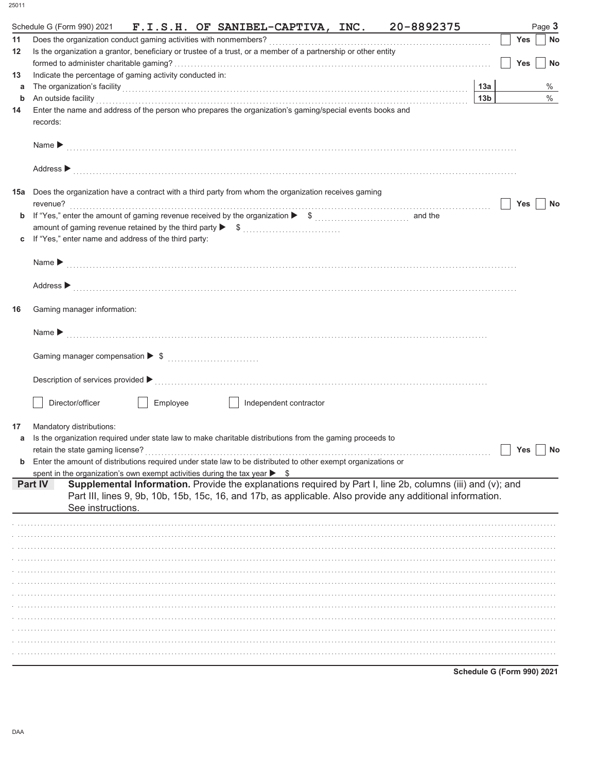| 11<br>Yes<br>Is the organization a grantor, beneficiary or trustee of a trust, or a member of a partnership or other entity<br>12<br>Yes<br>Indicate the percentage of gaming activity conducted in:<br>The organization's facility with an account of the organization's facility with the organization's facility<br>13a<br>%<br>a<br>13 <sub>b</sub><br>$\%$<br>An outside facility with an account of the control of the control of the control of the control of the control of the control of the control of the control of the control of the control of the control of the control of the<br>$\mathbf b$<br>Enter the name and address of the person who prepares the organization's gaming/special events books and<br>14<br>records:<br>Name <b>Decision and Construction Construction</b> and Construction and Construction and Construction and Construction and Construction and Construction and Construction and Construction and Construction and Construction and Co<br>Address > the contract of the contract of the contract of the contract of the contract of the contract of the contract of the contract of the contract of the contract of the contract of the contract of the contract of the<br><b>15a</b> Does the organization have a contract with a third party from whom the organization receives gaming<br>revenue?<br>Yes<br>c If "Yes," enter name and address of the third party:<br>Name <b>Decision and Construction Construction</b> and Construction and Construction and Construction and Construction and Construction and Construction and Construction and Construction and Construction and Construction and Co<br>Gaming manager information:<br>16<br>Director/officer<br>Employee<br>Independent contractor<br>Mandatory distributions:<br>17<br>Is the organization required under state law to make charitable distributions from the gaming proceeds to<br>а<br>retain the state gaming license?<br>Enter the amount of distributions required under state law to be distributed to other exempt organizations or<br>spent in the organization's own exempt activities during the tax year $\triangleright$ \$<br>Supplemental Information. Provide the explanations required by Part I, line 2b, columns (iii) and (v); and<br>Part IV<br>Part III, lines 9, 9b, 10b, 15b, 15c, 16, and 17b, as applicable. Also provide any additional information.<br>See instructions. |    | Schedule G (Form 990) 2021<br>F.I.S.H. OF SANIBEL-CAPTIVA, INC.<br>20-8892375 |  | Page 3 |
|-------------------------------------------------------------------------------------------------------------------------------------------------------------------------------------------------------------------------------------------------------------------------------------------------------------------------------------------------------------------------------------------------------------------------------------------------------------------------------------------------------------------------------------------------------------------------------------------------------------------------------------------------------------------------------------------------------------------------------------------------------------------------------------------------------------------------------------------------------------------------------------------------------------------------------------------------------------------------------------------------------------------------------------------------------------------------------------------------------------------------------------------------------------------------------------------------------------------------------------------------------------------------------------------------------------------------------------------------------------------------------------------------------------------------------------------------------------------------------------------------------------------------------------------------------------------------------------------------------------------------------------------------------------------------------------------------------------------------------------------------------------------------------------------------------------------------------------------------------------------------------------------------------------------------------------------------------------------------------------------------------------------------------------------------------------------------------------------------------------------------------------------------------------------------------------------------------------------------------------------------------------------------------------------------------------------------------------------------------------------------------------------------------------------------------|----|-------------------------------------------------------------------------------|--|--------|
| No                                                                                                                                                                                                                                                                                                                                                                                                                                                                                                                                                                                                                                                                                                                                                                                                                                                                                                                                                                                                                                                                                                                                                                                                                                                                                                                                                                                                                                                                                                                                                                                                                                                                                                                                                                                                                                                                                                                                                                                                                                                                                                                                                                                                                                                                                                                                                                                                                            |    |                                                                               |  | No     |
|                                                                                                                                                                                                                                                                                                                                                                                                                                                                                                                                                                                                                                                                                                                                                                                                                                                                                                                                                                                                                                                                                                                                                                                                                                                                                                                                                                                                                                                                                                                                                                                                                                                                                                                                                                                                                                                                                                                                                                                                                                                                                                                                                                                                                                                                                                                                                                                                                               |    |                                                                               |  |        |
|                                                                                                                                                                                                                                                                                                                                                                                                                                                                                                                                                                                                                                                                                                                                                                                                                                                                                                                                                                                                                                                                                                                                                                                                                                                                                                                                                                                                                                                                                                                                                                                                                                                                                                                                                                                                                                                                                                                                                                                                                                                                                                                                                                                                                                                                                                                                                                                                                               |    |                                                                               |  |        |
|                                                                                                                                                                                                                                                                                                                                                                                                                                                                                                                                                                                                                                                                                                                                                                                                                                                                                                                                                                                                                                                                                                                                                                                                                                                                                                                                                                                                                                                                                                                                                                                                                                                                                                                                                                                                                                                                                                                                                                                                                                                                                                                                                                                                                                                                                                                                                                                                                               | 13 |                                                                               |  |        |
|                                                                                                                                                                                                                                                                                                                                                                                                                                                                                                                                                                                                                                                                                                                                                                                                                                                                                                                                                                                                                                                                                                                                                                                                                                                                                                                                                                                                                                                                                                                                                                                                                                                                                                                                                                                                                                                                                                                                                                                                                                                                                                                                                                                                                                                                                                                                                                                                                               |    |                                                                               |  |        |
|                                                                                                                                                                                                                                                                                                                                                                                                                                                                                                                                                                                                                                                                                                                                                                                                                                                                                                                                                                                                                                                                                                                                                                                                                                                                                                                                                                                                                                                                                                                                                                                                                                                                                                                                                                                                                                                                                                                                                                                                                                                                                                                                                                                                                                                                                                                                                                                                                               |    |                                                                               |  |        |
| No                                                                                                                                                                                                                                                                                                                                                                                                                                                                                                                                                                                                                                                                                                                                                                                                                                                                                                                                                                                                                                                                                                                                                                                                                                                                                                                                                                                                                                                                                                                                                                                                                                                                                                                                                                                                                                                                                                                                                                                                                                                                                                                                                                                                                                                                                                                                                                                                                            |    |                                                                               |  |        |
|                                                                                                                                                                                                                                                                                                                                                                                                                                                                                                                                                                                                                                                                                                                                                                                                                                                                                                                                                                                                                                                                                                                                                                                                                                                                                                                                                                                                                                                                                                                                                                                                                                                                                                                                                                                                                                                                                                                                                                                                                                                                                                                                                                                                                                                                                                                                                                                                                               |    |                                                                               |  |        |
|                                                                                                                                                                                                                                                                                                                                                                                                                                                                                                                                                                                                                                                                                                                                                                                                                                                                                                                                                                                                                                                                                                                                                                                                                                                                                                                                                                                                                                                                                                                                                                                                                                                                                                                                                                                                                                                                                                                                                                                                                                                                                                                                                                                                                                                                                                                                                                                                                               |    |                                                                               |  |        |
|                                                                                                                                                                                                                                                                                                                                                                                                                                                                                                                                                                                                                                                                                                                                                                                                                                                                                                                                                                                                                                                                                                                                                                                                                                                                                                                                                                                                                                                                                                                                                                                                                                                                                                                                                                                                                                                                                                                                                                                                                                                                                                                                                                                                                                                                                                                                                                                                                               |    |                                                                               |  |        |
|                                                                                                                                                                                                                                                                                                                                                                                                                                                                                                                                                                                                                                                                                                                                                                                                                                                                                                                                                                                                                                                                                                                                                                                                                                                                                                                                                                                                                                                                                                                                                                                                                                                                                                                                                                                                                                                                                                                                                                                                                                                                                                                                                                                                                                                                                                                                                                                                                               |    |                                                                               |  |        |
|                                                                                                                                                                                                                                                                                                                                                                                                                                                                                                                                                                                                                                                                                                                                                                                                                                                                                                                                                                                                                                                                                                                                                                                                                                                                                                                                                                                                                                                                                                                                                                                                                                                                                                                                                                                                                                                                                                                                                                                                                                                                                                                                                                                                                                                                                                                                                                                                                               |    |                                                                               |  |        |
|                                                                                                                                                                                                                                                                                                                                                                                                                                                                                                                                                                                                                                                                                                                                                                                                                                                                                                                                                                                                                                                                                                                                                                                                                                                                                                                                                                                                                                                                                                                                                                                                                                                                                                                                                                                                                                                                                                                                                                                                                                                                                                                                                                                                                                                                                                                                                                                                                               |    |                                                                               |  |        |
|                                                                                                                                                                                                                                                                                                                                                                                                                                                                                                                                                                                                                                                                                                                                                                                                                                                                                                                                                                                                                                                                                                                                                                                                                                                                                                                                                                                                                                                                                                                                                                                                                                                                                                                                                                                                                                                                                                                                                                                                                                                                                                                                                                                                                                                                                                                                                                                                                               |    |                                                                               |  |        |
|                                                                                                                                                                                                                                                                                                                                                                                                                                                                                                                                                                                                                                                                                                                                                                                                                                                                                                                                                                                                                                                                                                                                                                                                                                                                                                                                                                                                                                                                                                                                                                                                                                                                                                                                                                                                                                                                                                                                                                                                                                                                                                                                                                                                                                                                                                                                                                                                                               |    |                                                                               |  |        |
|                                                                                                                                                                                                                                                                                                                                                                                                                                                                                                                                                                                                                                                                                                                                                                                                                                                                                                                                                                                                                                                                                                                                                                                                                                                                                                                                                                                                                                                                                                                                                                                                                                                                                                                                                                                                                                                                                                                                                                                                                                                                                                                                                                                                                                                                                                                                                                                                                               |    |                                                                               |  |        |
|                                                                                                                                                                                                                                                                                                                                                                                                                                                                                                                                                                                                                                                                                                                                                                                                                                                                                                                                                                                                                                                                                                                                                                                                                                                                                                                                                                                                                                                                                                                                                                                                                                                                                                                                                                                                                                                                                                                                                                                                                                                                                                                                                                                                                                                                                                                                                                                                                               |    |                                                                               |  |        |
|                                                                                                                                                                                                                                                                                                                                                                                                                                                                                                                                                                                                                                                                                                                                                                                                                                                                                                                                                                                                                                                                                                                                                                                                                                                                                                                                                                                                                                                                                                                                                                                                                                                                                                                                                                                                                                                                                                                                                                                                                                                                                                                                                                                                                                                                                                                                                                                                                               |    |                                                                               |  |        |
| $\Box$ Yes $\Box$ No<br>Schedule G (Form 990) 2021                                                                                                                                                                                                                                                                                                                                                                                                                                                                                                                                                                                                                                                                                                                                                                                                                                                                                                                                                                                                                                                                                                                                                                                                                                                                                                                                                                                                                                                                                                                                                                                                                                                                                                                                                                                                                                                                                                                                                                                                                                                                                                                                                                                                                                                                                                                                                                            |    |                                                                               |  |        |
|                                                                                                                                                                                                                                                                                                                                                                                                                                                                                                                                                                                                                                                                                                                                                                                                                                                                                                                                                                                                                                                                                                                                                                                                                                                                                                                                                                                                                                                                                                                                                                                                                                                                                                                                                                                                                                                                                                                                                                                                                                                                                                                                                                                                                                                                                                                                                                                                                               |    |                                                                               |  |        |
|                                                                                                                                                                                                                                                                                                                                                                                                                                                                                                                                                                                                                                                                                                                                                                                                                                                                                                                                                                                                                                                                                                                                                                                                                                                                                                                                                                                                                                                                                                                                                                                                                                                                                                                                                                                                                                                                                                                                                                                                                                                                                                                                                                                                                                                                                                                                                                                                                               |    |                                                                               |  |        |
|                                                                                                                                                                                                                                                                                                                                                                                                                                                                                                                                                                                                                                                                                                                                                                                                                                                                                                                                                                                                                                                                                                                                                                                                                                                                                                                                                                                                                                                                                                                                                                                                                                                                                                                                                                                                                                                                                                                                                                                                                                                                                                                                                                                                                                                                                                                                                                                                                               |    |                                                                               |  |        |
|                                                                                                                                                                                                                                                                                                                                                                                                                                                                                                                                                                                                                                                                                                                                                                                                                                                                                                                                                                                                                                                                                                                                                                                                                                                                                                                                                                                                                                                                                                                                                                                                                                                                                                                                                                                                                                                                                                                                                                                                                                                                                                                                                                                                                                                                                                                                                                                                                               |    |                                                                               |  |        |
|                                                                                                                                                                                                                                                                                                                                                                                                                                                                                                                                                                                                                                                                                                                                                                                                                                                                                                                                                                                                                                                                                                                                                                                                                                                                                                                                                                                                                                                                                                                                                                                                                                                                                                                                                                                                                                                                                                                                                                                                                                                                                                                                                                                                                                                                                                                                                                                                                               |    |                                                                               |  |        |
|                                                                                                                                                                                                                                                                                                                                                                                                                                                                                                                                                                                                                                                                                                                                                                                                                                                                                                                                                                                                                                                                                                                                                                                                                                                                                                                                                                                                                                                                                                                                                                                                                                                                                                                                                                                                                                                                                                                                                                                                                                                                                                                                                                                                                                                                                                                                                                                                                               |    |                                                                               |  |        |
|                                                                                                                                                                                                                                                                                                                                                                                                                                                                                                                                                                                                                                                                                                                                                                                                                                                                                                                                                                                                                                                                                                                                                                                                                                                                                                                                                                                                                                                                                                                                                                                                                                                                                                                                                                                                                                                                                                                                                                                                                                                                                                                                                                                                                                                                                                                                                                                                                               |    |                                                                               |  |        |
|                                                                                                                                                                                                                                                                                                                                                                                                                                                                                                                                                                                                                                                                                                                                                                                                                                                                                                                                                                                                                                                                                                                                                                                                                                                                                                                                                                                                                                                                                                                                                                                                                                                                                                                                                                                                                                                                                                                                                                                                                                                                                                                                                                                                                                                                                                                                                                                                                               |    |                                                                               |  |        |
|                                                                                                                                                                                                                                                                                                                                                                                                                                                                                                                                                                                                                                                                                                                                                                                                                                                                                                                                                                                                                                                                                                                                                                                                                                                                                                                                                                                                                                                                                                                                                                                                                                                                                                                                                                                                                                                                                                                                                                                                                                                                                                                                                                                                                                                                                                                                                                                                                               |    |                                                                               |  |        |
|                                                                                                                                                                                                                                                                                                                                                                                                                                                                                                                                                                                                                                                                                                                                                                                                                                                                                                                                                                                                                                                                                                                                                                                                                                                                                                                                                                                                                                                                                                                                                                                                                                                                                                                                                                                                                                                                                                                                                                                                                                                                                                                                                                                                                                                                                                                                                                                                                               |    |                                                                               |  |        |
|                                                                                                                                                                                                                                                                                                                                                                                                                                                                                                                                                                                                                                                                                                                                                                                                                                                                                                                                                                                                                                                                                                                                                                                                                                                                                                                                                                                                                                                                                                                                                                                                                                                                                                                                                                                                                                                                                                                                                                                                                                                                                                                                                                                                                                                                                                                                                                                                                               |    |                                                                               |  |        |
|                                                                                                                                                                                                                                                                                                                                                                                                                                                                                                                                                                                                                                                                                                                                                                                                                                                                                                                                                                                                                                                                                                                                                                                                                                                                                                                                                                                                                                                                                                                                                                                                                                                                                                                                                                                                                                                                                                                                                                                                                                                                                                                                                                                                                                                                                                                                                                                                                               |    |                                                                               |  |        |
|                                                                                                                                                                                                                                                                                                                                                                                                                                                                                                                                                                                                                                                                                                                                                                                                                                                                                                                                                                                                                                                                                                                                                                                                                                                                                                                                                                                                                                                                                                                                                                                                                                                                                                                                                                                                                                                                                                                                                                                                                                                                                                                                                                                                                                                                                                                                                                                                                               |    |                                                                               |  |        |
|                                                                                                                                                                                                                                                                                                                                                                                                                                                                                                                                                                                                                                                                                                                                                                                                                                                                                                                                                                                                                                                                                                                                                                                                                                                                                                                                                                                                                                                                                                                                                                                                                                                                                                                                                                                                                                                                                                                                                                                                                                                                                                                                                                                                                                                                                                                                                                                                                               |    |                                                                               |  |        |
|                                                                                                                                                                                                                                                                                                                                                                                                                                                                                                                                                                                                                                                                                                                                                                                                                                                                                                                                                                                                                                                                                                                                                                                                                                                                                                                                                                                                                                                                                                                                                                                                                                                                                                                                                                                                                                                                                                                                                                                                                                                                                                                                                                                                                                                                                                                                                                                                                               |    |                                                                               |  |        |
|                                                                                                                                                                                                                                                                                                                                                                                                                                                                                                                                                                                                                                                                                                                                                                                                                                                                                                                                                                                                                                                                                                                                                                                                                                                                                                                                                                                                                                                                                                                                                                                                                                                                                                                                                                                                                                                                                                                                                                                                                                                                                                                                                                                                                                                                                                                                                                                                                               |    |                                                                               |  |        |
|                                                                                                                                                                                                                                                                                                                                                                                                                                                                                                                                                                                                                                                                                                                                                                                                                                                                                                                                                                                                                                                                                                                                                                                                                                                                                                                                                                                                                                                                                                                                                                                                                                                                                                                                                                                                                                                                                                                                                                                                                                                                                                                                                                                                                                                                                                                                                                                                                               |    |                                                                               |  |        |
|                                                                                                                                                                                                                                                                                                                                                                                                                                                                                                                                                                                                                                                                                                                                                                                                                                                                                                                                                                                                                                                                                                                                                                                                                                                                                                                                                                                                                                                                                                                                                                                                                                                                                                                                                                                                                                                                                                                                                                                                                                                                                                                                                                                                                                                                                                                                                                                                                               |    |                                                                               |  |        |
|                                                                                                                                                                                                                                                                                                                                                                                                                                                                                                                                                                                                                                                                                                                                                                                                                                                                                                                                                                                                                                                                                                                                                                                                                                                                                                                                                                                                                                                                                                                                                                                                                                                                                                                                                                                                                                                                                                                                                                                                                                                                                                                                                                                                                                                                                                                                                                                                                               |    |                                                                               |  |        |
|                                                                                                                                                                                                                                                                                                                                                                                                                                                                                                                                                                                                                                                                                                                                                                                                                                                                                                                                                                                                                                                                                                                                                                                                                                                                                                                                                                                                                                                                                                                                                                                                                                                                                                                                                                                                                                                                                                                                                                                                                                                                                                                                                                                                                                                                                                                                                                                                                               |    |                                                                               |  |        |
|                                                                                                                                                                                                                                                                                                                                                                                                                                                                                                                                                                                                                                                                                                                                                                                                                                                                                                                                                                                                                                                                                                                                                                                                                                                                                                                                                                                                                                                                                                                                                                                                                                                                                                                                                                                                                                                                                                                                                                                                                                                                                                                                                                                                                                                                                                                                                                                                                               |    |                                                                               |  |        |
|                                                                                                                                                                                                                                                                                                                                                                                                                                                                                                                                                                                                                                                                                                                                                                                                                                                                                                                                                                                                                                                                                                                                                                                                                                                                                                                                                                                                                                                                                                                                                                                                                                                                                                                                                                                                                                                                                                                                                                                                                                                                                                                                                                                                                                                                                                                                                                                                                               |    |                                                                               |  |        |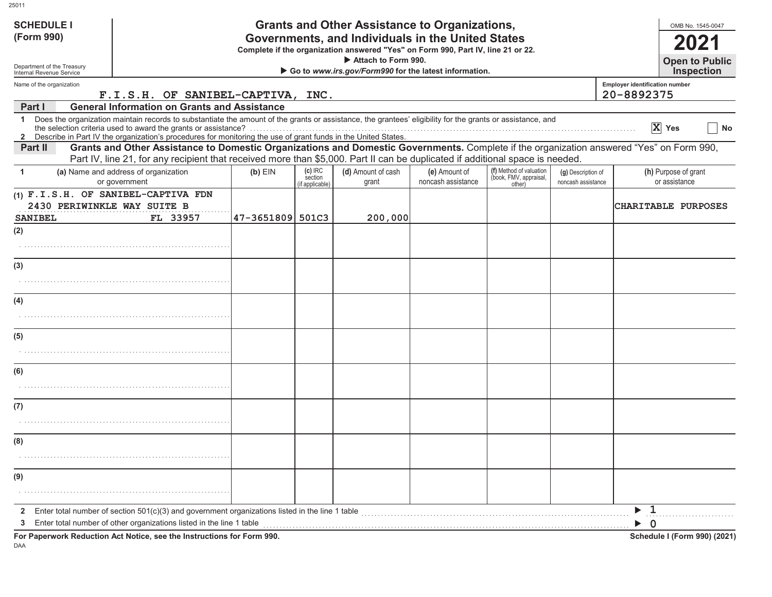| <b>SCHEDULE I</b><br>(Form 990) | <b>Grants and Other Assistance to Organizations,</b><br>Governments, and Individuals in the United States                                                                                                                                                                     |                                                                                  |                                         |                                                       |                                     |                                                             |                                          | OMB No. 1545-0047                                   |                                       |
|---------------------------------|-------------------------------------------------------------------------------------------------------------------------------------------------------------------------------------------------------------------------------------------------------------------------------|----------------------------------------------------------------------------------|-----------------------------------------|-------------------------------------------------------|-------------------------------------|-------------------------------------------------------------|------------------------------------------|-----------------------------------------------------|---------------------------------------|
|                                 |                                                                                                                                                                                                                                                                               | Complete if the organization answered "Yes" on Form 990, Part IV, line 21 or 22. |                                         |                                                       |                                     |                                                             |                                          |                                                     |                                       |
| Department of the Treasury      |                                                                                                                                                                                                                                                                               |                                                                                  |                                         | Attach to Form 990.                                   |                                     |                                                             |                                          |                                                     | <b>Open to Public</b>                 |
| Internal Revenue Service        |                                                                                                                                                                                                                                                                               |                                                                                  |                                         | Go to www.irs.gov/Form990 for the latest information. |                                     |                                                             |                                          |                                                     | <b>Inspection</b>                     |
| Name of the organization        | F.I.S.H. OF SANIBEL-CAPTIVA, INC.                                                                                                                                                                                                                                             |                                                                                  |                                         |                                                       |                                     |                                                             |                                          | <b>Employer identification number</b><br>20-8892375 |                                       |
| Part I                          | <b>General Information on Grants and Assistance</b>                                                                                                                                                                                                                           |                                                                                  |                                         |                                                       |                                     |                                                             |                                          |                                                     |                                       |
| $\mathbf{1}$                    | Does the organization maintain records to substantiate the amount of the grants or assistance, the grantees' eligibility for the grants or assistance, and<br>2 Describe in Part IV the organization's procedures for monitoring the use of grant funds in the United States. |                                                                                  |                                         |                                                       |                                     |                                                             |                                          |                                                     | X Yes<br>No                           |
| Part II                         | Grants and Other Assistance to Domestic Organizations and Domestic Governments. Complete if the organization answered "Yes" on Form 990,<br>Part IV, line 21, for any recipient that received more than \$5,000. Part II can be duplicated if additional space is needed.     |                                                                                  |                                         |                                                       |                                     |                                                             |                                          |                                                     |                                       |
| -1                              | (a) Name and address of organization<br>or government                                                                                                                                                                                                                         | $(b)$ EIN                                                                        | $(c)$ IRC<br>section<br>(if applicable) | (d) Amount of cash<br>grant                           | (e) Amount of<br>noncash assistance | (f) Method of valuation<br>(book, FMV, appraisal,<br>other) | (g) Description of<br>noncash assistance |                                                     | (h) Purpose of grant<br>or assistance |
|                                 | (1) F.I.S.H. OF SANIBEL-CAPTIVA FDN<br>2430 PERIWINKLE WAY SUITE B                                                                                                                                                                                                            |                                                                                  |                                         |                                                       |                                     |                                                             |                                          |                                                     | <b>CHARITABLE PURPOSES</b>            |
| <b>SANIBEL</b>                  | FL 33957                                                                                                                                                                                                                                                                      | 47-3651809 501C3                                                                 |                                         | 200,000                                               |                                     |                                                             |                                          |                                                     |                                       |
| (2)                             |                                                                                                                                                                                                                                                                               |                                                                                  |                                         |                                                       |                                     |                                                             |                                          |                                                     |                                       |
|                                 |                                                                                                                                                                                                                                                                               |                                                                                  |                                         |                                                       |                                     |                                                             |                                          |                                                     |                                       |
| (3)                             |                                                                                                                                                                                                                                                                               |                                                                                  |                                         |                                                       |                                     |                                                             |                                          |                                                     |                                       |
|                                 |                                                                                                                                                                                                                                                                               |                                                                                  |                                         |                                                       |                                     |                                                             |                                          |                                                     |                                       |
| (4)                             |                                                                                                                                                                                                                                                                               |                                                                                  |                                         |                                                       |                                     |                                                             |                                          |                                                     |                                       |
|                                 |                                                                                                                                                                                                                                                                               |                                                                                  |                                         |                                                       |                                     |                                                             |                                          |                                                     |                                       |
| (5)                             |                                                                                                                                                                                                                                                                               |                                                                                  |                                         |                                                       |                                     |                                                             |                                          |                                                     |                                       |
|                                 |                                                                                                                                                                                                                                                                               |                                                                                  |                                         |                                                       |                                     |                                                             |                                          |                                                     |                                       |
| (6)                             |                                                                                                                                                                                                                                                                               |                                                                                  |                                         |                                                       |                                     |                                                             |                                          |                                                     |                                       |
|                                 |                                                                                                                                                                                                                                                                               |                                                                                  |                                         |                                                       |                                     |                                                             |                                          |                                                     |                                       |
| (7)                             |                                                                                                                                                                                                                                                                               |                                                                                  |                                         |                                                       |                                     |                                                             |                                          |                                                     |                                       |
|                                 |                                                                                                                                                                                                                                                                               |                                                                                  |                                         |                                                       |                                     |                                                             |                                          |                                                     |                                       |
| (8)                             |                                                                                                                                                                                                                                                                               |                                                                                  |                                         |                                                       |                                     |                                                             |                                          |                                                     |                                       |
|                                 |                                                                                                                                                                                                                                                                               |                                                                                  |                                         |                                                       |                                     |                                                             |                                          |                                                     |                                       |
| (9)                             |                                                                                                                                                                                                                                                                               |                                                                                  |                                         |                                                       |                                     |                                                             |                                          |                                                     |                                       |
|                                 |                                                                                                                                                                                                                                                                               |                                                                                  |                                         |                                                       |                                     |                                                             |                                          |                                                     |                                       |
| $\mathbf{2}$                    | Enter total number of section $501(c)(3)$ and government organizations listed in the line 1 table                                                                                                                                                                             |                                                                                  |                                         |                                                       |                                     |                                                             |                                          | -1                                                  |                                       |
|                                 | Enter total number of other organizations listed in the line 1 table                                                                                                                                                                                                          |                                                                                  |                                         |                                                       |                                     |                                                             |                                          | -0                                                  |                                       |

DAA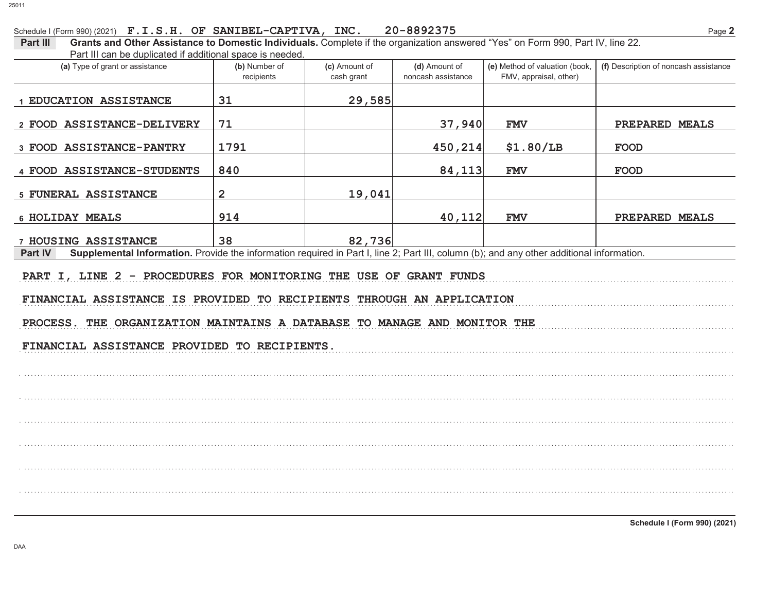### Schedule I (Form 990) (2021) Page **2 F.I.S.H. OF SANIBEL-CAPTIVA, INC. 20-8892375**

| r art in can bo auphoated in additional opace to nooacd<br>(a) Type of grant or assistance                                                                        | (b) Number of<br>recipients | (c) Amount of<br>cash grant | (d) Amount of<br>noncash assistance | (e) Method of valuation (book,<br>FMV, appraisal, other) | (f) Description of noncash assistance |
|-------------------------------------------------------------------------------------------------------------------------------------------------------------------|-----------------------------|-----------------------------|-------------------------------------|----------------------------------------------------------|---------------------------------------|
| 1 EDUCATION ASSISTANCE                                                                                                                                            | 31                          | 29,585                      |                                     |                                                          |                                       |
| 2 FOOD ASSISTANCE-DELIVERY                                                                                                                                        | 71                          |                             | 37,940                              | <b>FMV</b>                                               | PREPARED MEALS                        |
| 3 FOOD ASSISTANCE-PANTRY                                                                                                                                          | 1791                        |                             | 450,214                             | \$1.80/LB                                                | <b>FOOD</b>                           |
| 4 FOOD ASSISTANCE-STUDENTS                                                                                                                                        | 840                         |                             | 84,113                              | <b>FMV</b>                                               | FOOD                                  |
| 5 FUNERAL ASSISTANCE                                                                                                                                              | $\overline{\mathbf{2}}$     | 19,041                      |                                     |                                                          |                                       |
| 6 HOLIDAY MEALS                                                                                                                                                   | 914                         |                             | 40,112                              | <b>FMV</b>                                               | PREPARED MEALS                        |
| 7 HOUSING ASSISTANCE<br>Supplemental Information. Provide the information required in Part I, line 2; Part III, column (b); and any other additional information. | 38                          | 82,736                      |                                     |                                                          |                                       |
| Part IV                                                                                                                                                           |                             |                             |                                     |                                                          |                                       |
| PART I, LINE 2 - PROCEDURES FOR MONITORING THE USE OF GRANT FUNDS                                                                                                 |                             |                             |                                     |                                                          |                                       |
| FINANCIAL ASSISTANCE IS PROVIDED TO RECIPIENTS THROUGH AN APPLICATION                                                                                             |                             |                             |                                     |                                                          |                                       |
| PROCESS. THE ORGANIZATION MAINTAINS A DATABASE TO MANAGE AND MONITOR THE                                                                                          |                             |                             |                                     |                                                          |                                       |
| FINANCIAL ASSISTANCE PROVIDED TO RECIPIENTS.                                                                                                                      |                             |                             |                                     |                                                          |                                       |
|                                                                                                                                                                   |                             |                             |                                     |                                                          |                                       |
|                                                                                                                                                                   |                             |                             |                                     |                                                          |                                       |
|                                                                                                                                                                   |                             |                             |                                     |                                                          |                                       |
|                                                                                                                                                                   |                             |                             |                                     |                                                          |                                       |
|                                                                                                                                                                   |                             |                             |                                     |                                                          |                                       |
|                                                                                                                                                                   |                             |                             |                                     |                                                          |                                       |
|                                                                                                                                                                   |                             |                             |                                     |                                                          |                                       |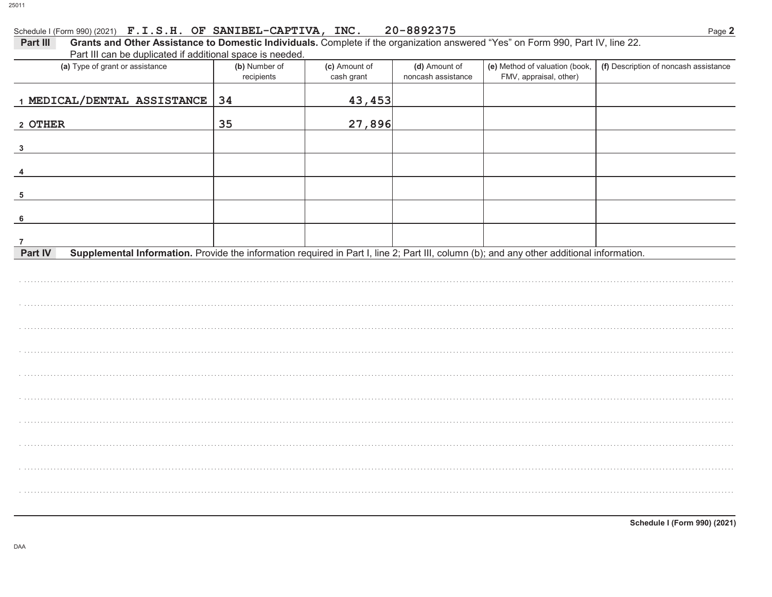#### 20-8892375 Schedule I (Form 990) (2021) F.I.S.H. OF SANIBEL-CAPTIVA, INC.

#### Grants and Other Assistance to Domestic Individuals. Complete if the organization answered "Yes" on Form 990, Part IV, line 22. Part III

Part III can be duplicated if additional space is needed.

| (a) Type of grant or assistance                                                                                                                      | (b) Number of<br>recipients | (c) Amount of<br>cash grant | (d) Amount of<br>noncash assistance | (e) Method of valuation (book,<br>FMV, appraisal, other) | (f) Description of noncash assistance |
|------------------------------------------------------------------------------------------------------------------------------------------------------|-----------------------------|-----------------------------|-------------------------------------|----------------------------------------------------------|---------------------------------------|
| 1 MEDICAL/DENTAL ASSISTANCE                                                                                                                          | 34                          | 43,453                      |                                     |                                                          |                                       |
| 2 OTHER                                                                                                                                              | 35                          | 27,896                      |                                     |                                                          |                                       |
| $\mathbf{3}$                                                                                                                                         |                             |                             |                                     |                                                          |                                       |
| 4                                                                                                                                                    |                             |                             |                                     |                                                          |                                       |
| 5                                                                                                                                                    |                             |                             |                                     |                                                          |                                       |
| 6                                                                                                                                                    |                             |                             |                                     |                                                          |                                       |
| $\overline{7}$                                                                                                                                       |                             |                             |                                     |                                                          |                                       |
| Part IV<br>Supplemental Information. Provide the information required in Part I, line 2; Part III, column (b); and any other additional information. |                             |                             |                                     |                                                          |                                       |
|                                                                                                                                                      |                             |                             |                                     |                                                          |                                       |
|                                                                                                                                                      |                             |                             |                                     |                                                          |                                       |
|                                                                                                                                                      |                             |                             |                                     |                                                          |                                       |
|                                                                                                                                                      |                             |                             |                                     |                                                          |                                       |
|                                                                                                                                                      |                             |                             |                                     |                                                          |                                       |
|                                                                                                                                                      |                             |                             |                                     |                                                          |                                       |
|                                                                                                                                                      |                             |                             |                                     |                                                          |                                       |
|                                                                                                                                                      |                             |                             |                                     |                                                          |                                       |
|                                                                                                                                                      |                             |                             |                                     |                                                          |                                       |
|                                                                                                                                                      |                             |                             |                                     |                                                          |                                       |

Page 2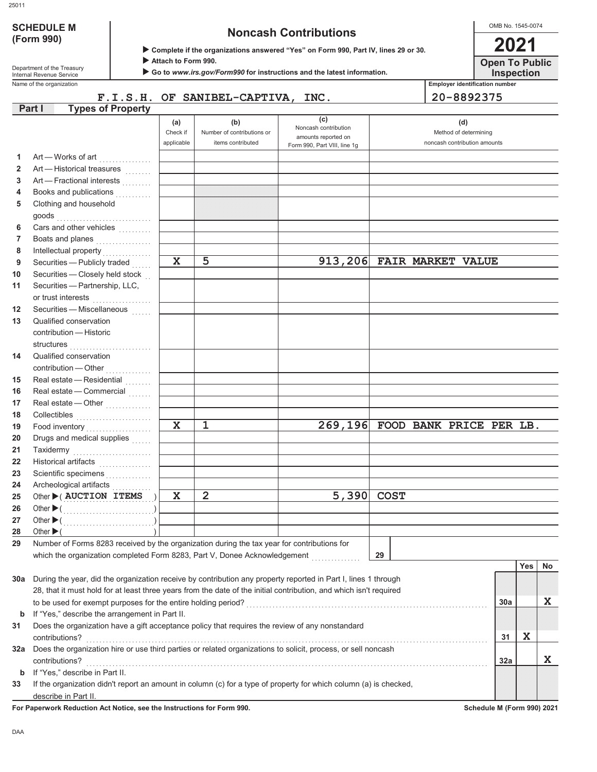| 25011  |                                                                                                                    |                               |                                                        |                                                                                    |                          |                                                              |             |    |
|--------|--------------------------------------------------------------------------------------------------------------------|-------------------------------|--------------------------------------------------------|------------------------------------------------------------------------------------|--------------------------|--------------------------------------------------------------|-------------|----|
|        | <b>SCHEDULE M</b>                                                                                                  |                               |                                                        | <b>Noncash Contributions</b>                                                       |                          | OMB No. 1545-0074                                            |             |    |
|        | (Form 990)                                                                                                         |                               |                                                        | Complete if the organizations answered "Yes" on Form 990, Part IV, lines 29 or 30. |                          | 2021                                                         |             |    |
|        | Department of the Treasury<br><b>Internal Revenue Service</b>                                                      | Attach to Form 990.           |                                                        | Go to www.irs.gov/Form990 for instructions and the latest information.             |                          | <b>Open To Public</b><br><b>Inspection</b>                   |             |    |
|        | Name of the organization                                                                                           |                               |                                                        |                                                                                    |                          | <b>Employer identification number</b>                        |             |    |
|        | F.I.S.H.                                                                                                           |                               | OF SANIBEL-CAPTIVA, INC.                               |                                                                                    |                          | 20-8892375                                                   |             |    |
|        | <b>Types of Property</b><br>Part I                                                                                 |                               |                                                        |                                                                                    |                          |                                                              |             |    |
|        |                                                                                                                    | (a)<br>Check if<br>applicable | (b)<br>Number of contributions or<br>items contributed | (c)<br>Noncash contribution<br>amounts reported on                                 |                          | (d)<br>Method of determining<br>noncash contribution amounts |             |    |
|        |                                                                                                                    |                               |                                                        | Form 990, Part VIII, line 1g                                                       |                          |                                                              |             |    |
| 1<br>2 | Art — Works of art <i></i>                                                                                         |                               |                                                        |                                                                                    |                          |                                                              |             |    |
| 3      | Art - Historical treasures<br>Art - Fractional interests                                                           |                               |                                                        |                                                                                    |                          |                                                              |             |    |
| 4      | Books and publications                                                                                             |                               |                                                        |                                                                                    |                          |                                                              |             |    |
| 5      | Clothing and household                                                                                             |                               |                                                        |                                                                                    |                          |                                                              |             |    |
|        |                                                                                                                    |                               |                                                        |                                                                                    |                          |                                                              |             |    |
| 6      | Cars and other vehicles                                                                                            |                               |                                                        |                                                                                    |                          |                                                              |             |    |
| 7      | Boats and planes                                                                                                   |                               |                                                        |                                                                                    |                          |                                                              |             |    |
| 8      | Intellectual property                                                                                              |                               |                                                        |                                                                                    |                          |                                                              |             |    |
| 9      | Securities - Publicly traded                                                                                       | X                             | 5                                                      | 913,206                                                                            | <b>FAIR MARKET VALUE</b> |                                                              |             |    |
| 10     | Securities - Closely held stock                                                                                    |                               |                                                        |                                                                                    |                          |                                                              |             |    |
| 11     | Securities - Partnership, LLC,                                                                                     |                               |                                                        |                                                                                    |                          |                                                              |             |    |
|        | or trust interests<br>                                                                                             |                               |                                                        |                                                                                    |                          |                                                              |             |    |
| 12     | Securities — Miscellaneous [11111]                                                                                 |                               |                                                        |                                                                                    |                          |                                                              |             |    |
| 13     | Qualified conservation                                                                                             |                               |                                                        |                                                                                    |                          |                                                              |             |    |
|        | contribution - Historic                                                                                            |                               |                                                        |                                                                                    |                          |                                                              |             |    |
|        |                                                                                                                    |                               |                                                        |                                                                                    |                          |                                                              |             |    |
| 14     | Qualified conservation                                                                                             |                               |                                                        |                                                                                    |                          |                                                              |             |    |
|        | contribution - Other                                                                                               |                               |                                                        |                                                                                    |                          |                                                              |             |    |
| 15     | Real estate - Residential                                                                                          |                               |                                                        |                                                                                    |                          |                                                              |             |    |
| 16     | Real estate - Commercial                                                                                           |                               |                                                        |                                                                                    |                          |                                                              |             |    |
| 17     | Real estate - Other                                                                                                |                               |                                                        |                                                                                    |                          |                                                              |             |    |
| 18     |                                                                                                                    |                               |                                                        |                                                                                    |                          |                                                              |             |    |
| 19     |                                                                                                                    | $\mathbf x$                   | 1                                                      | 269,196                                                                            | FOOD BANK PRICE PER LB.  |                                                              |             |    |
| 20     | Drugs and medical supplies                                                                                         |                               |                                                        |                                                                                    |                          |                                                              |             |    |
| 21     | Taxidermy                                                                                                          |                               |                                                        |                                                                                    |                          |                                                              |             |    |
| 22     | Historical artifacts [111] Historical artifacts                                                                    |                               |                                                        |                                                                                    |                          |                                                              |             |    |
| 23     | Scientific specimens                                                                                               |                               |                                                        |                                                                                    |                          |                                                              |             |    |
| 24     | Archeological artifacts                                                                                            |                               |                                                        |                                                                                    |                          |                                                              |             |    |
| 25     | Other C AUCTION ITEMS                                                                                              | X                             | $\overline{2}$                                         | $5,390$ COST                                                                       |                          |                                                              |             |    |
| 26     |                                                                                                                    |                               |                                                        |                                                                                    |                          |                                                              |             |    |
| 27     | Other $\blacktriangleright$ (                                                                                      |                               |                                                        |                                                                                    |                          |                                                              |             |    |
| 28     | Other $\blacktriangleright$ (                                                                                      |                               |                                                        |                                                                                    |                          |                                                              |             |    |
| 29     | Number of Forms 8283 received by the organization during the tax year for contributions for                        |                               |                                                        |                                                                                    |                          |                                                              |             |    |
|        | which the organization completed Form 8283, Part V, Donee Acknowledgement                                          |                               |                                                        |                                                                                    | 29                       |                                                              |             |    |
|        |                                                                                                                    |                               |                                                        |                                                                                    |                          |                                                              | Yes         | No |
| 30a    | During the year, did the organization receive by contribution any property reported in Part I, lines 1 through     |                               |                                                        |                                                                                    |                          |                                                              |             |    |
|        | 28, that it must hold for at least three years from the date of the initial contribution, and which isn't required |                               |                                                        |                                                                                    |                          |                                                              |             |    |
|        | to be used for exempt purposes for the entire holding period?                                                      |                               |                                                        |                                                                                    |                          | 30a                                                          |             | X  |
| b      | If "Yes," describe the arrangement in Part II.                                                                     |                               |                                                        |                                                                                    |                          |                                                              |             |    |
| 31     | Does the organization have a gift acceptance policy that requires the review of any nonstandard                    |                               |                                                        |                                                                                    |                          |                                                              |             |    |
|        | contributions?                                                                                                     |                               |                                                        |                                                                                    |                          | 31                                                           | $\mathbf X$ |    |
| 32a    | Does the organization hire or use third parties or related organizations to solicit, process, or sell noncash      |                               |                                                        |                                                                                    |                          |                                                              |             |    |
|        | contributions?                                                                                                     |                               |                                                        |                                                                                    |                          | 32a                                                          |             | X. |
| b      | If "Yes," describe in Part II.                                                                                     |                               |                                                        |                                                                                    |                          |                                                              |             |    |
| 33     | If the organization didn't report an amount in column (c) for a type of property for which column (a) is checked,  |                               |                                                        |                                                                                    |                          |                                                              |             |    |
|        | describe in Part II.                                                                                               |                               |                                                        |                                                                                    |                          |                                                              |             |    |

**For Paperwork Reduction Act Notice, see the Instructions for Form 990. Schedule M (Form 990) 2021**

DAA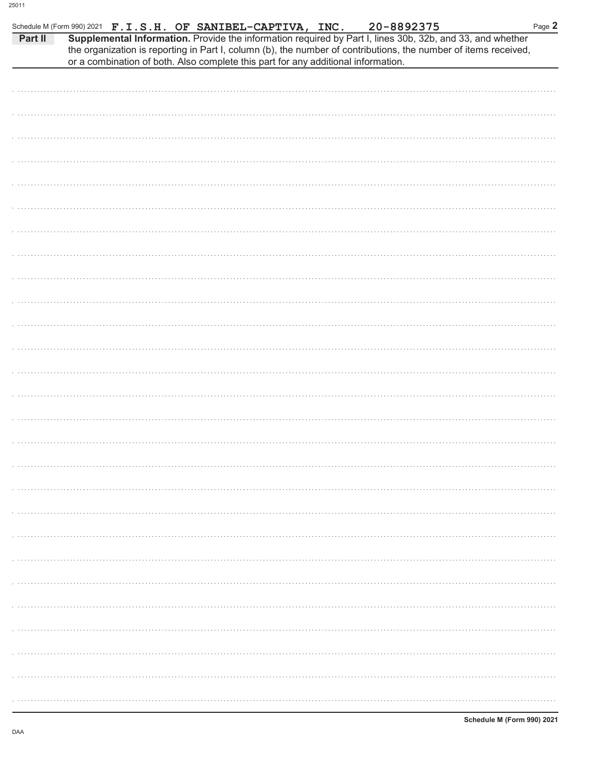| Part II | Schedule M (Form 990) 2021 F.I.S.H. OF SANIBEL-CAPTIVA, INC.<br>Supplemental Information. Provide the information required by Part I, lines 30b, 32b, and 33, and whether<br>the organization is reporting in Part I, column (b), the number of contributions, the number of items received,<br>or a combination of both. Also complete this part for any additional information. |  | 20-8892375 | Page 2 |
|---------|-----------------------------------------------------------------------------------------------------------------------------------------------------------------------------------------------------------------------------------------------------------------------------------------------------------------------------------------------------------------------------------|--|------------|--------|
|         |                                                                                                                                                                                                                                                                                                                                                                                   |  |            |        |
|         |                                                                                                                                                                                                                                                                                                                                                                                   |  |            |        |
|         |                                                                                                                                                                                                                                                                                                                                                                                   |  |            |        |
|         |                                                                                                                                                                                                                                                                                                                                                                                   |  |            |        |
|         |                                                                                                                                                                                                                                                                                                                                                                                   |  |            |        |
|         |                                                                                                                                                                                                                                                                                                                                                                                   |  |            |        |
|         |                                                                                                                                                                                                                                                                                                                                                                                   |  |            |        |
|         |                                                                                                                                                                                                                                                                                                                                                                                   |  |            |        |
|         |                                                                                                                                                                                                                                                                                                                                                                                   |  |            |        |
|         |                                                                                                                                                                                                                                                                                                                                                                                   |  |            |        |
|         |                                                                                                                                                                                                                                                                                                                                                                                   |  |            |        |
|         |                                                                                                                                                                                                                                                                                                                                                                                   |  |            |        |
|         |                                                                                                                                                                                                                                                                                                                                                                                   |  |            |        |
|         |                                                                                                                                                                                                                                                                                                                                                                                   |  |            |        |
|         |                                                                                                                                                                                                                                                                                                                                                                                   |  |            |        |
|         |                                                                                                                                                                                                                                                                                                                                                                                   |  |            |        |
|         |                                                                                                                                                                                                                                                                                                                                                                                   |  |            |        |
|         |                                                                                                                                                                                                                                                                                                                                                                                   |  |            |        |
|         |                                                                                                                                                                                                                                                                                                                                                                                   |  |            |        |
|         |                                                                                                                                                                                                                                                                                                                                                                                   |  |            |        |
|         |                                                                                                                                                                                                                                                                                                                                                                                   |  |            |        |
|         |                                                                                                                                                                                                                                                                                                                                                                                   |  |            |        |
|         |                                                                                                                                                                                                                                                                                                                                                                                   |  |            |        |
|         |                                                                                                                                                                                                                                                                                                                                                                                   |  |            |        |
|         |                                                                                                                                                                                                                                                                                                                                                                                   |  |            |        |
|         |                                                                                                                                                                                                                                                                                                                                                                                   |  |            |        |
|         |                                                                                                                                                                                                                                                                                                                                                                                   |  |            |        |
|         |                                                                                                                                                                                                                                                                                                                                                                                   |  |            |        |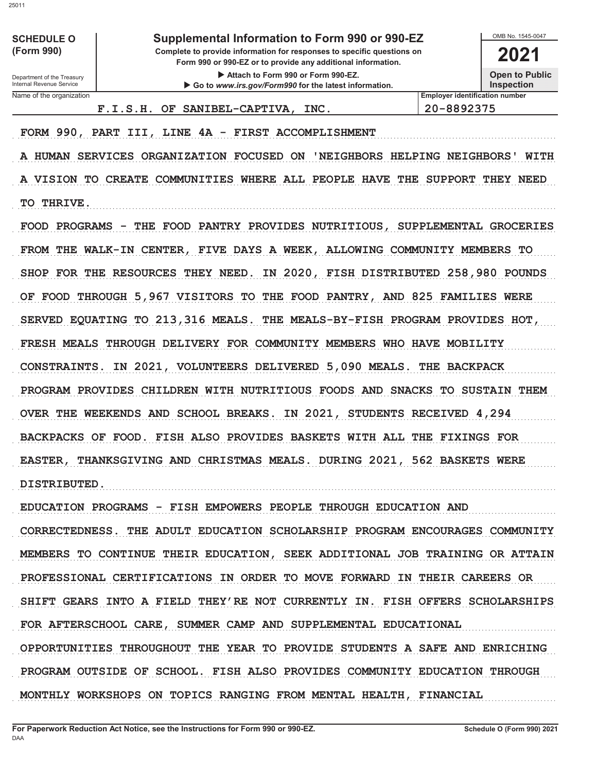**Form 990 or 990-EZ or to provide any additional information.** Name of the organization **Employer identification number Employer identification number** Internal Revenue Service Department of the Treasury OMB No. 1545-0047 **(Form 990) Complete to provide information for responses to specific questions on SCHEDULE O Supplemental Information to Form 990 or 990-EZ 2021 Open to Public Inspection** FORM 990, PART III, LINE 4A - FIRST ACCOMPLISHMENT A HUMAN SERVICES ORGANIZATION FOCUSED ON 'NEIGHBORS HELPING NEIGHBORS' WITH A VISION TO CREATE COMMUNITIES WHERE ALL PEOPLE HAVE THE SUPPORT THEY NEED . . . . . . . . . . . . . . . . . . . . . . . . . . . . . . . . . . . . . . . . . . . . . . . . . . . . . . . . . . . . . . . . . . . . . . . . . . . . . . . . . . . . . . . . . . . . . . . . . . . . . . . . . . . . . . . . . . . . . . . . . . . . . . . . . . . . . . . . . . . . . . . . . . . . . . . . . . . . . . . . . . . . . . FOOD PROGRAMS - THE FOOD PANTRY PROVIDES NUTRITIOUS, SUPPLEMENTAL GROCERIES FROM THE WALK-IN CENTER, FIVE DAYS A WEEK, ALLOWING COMMUNITY MEMBERS TO SHOP FOR THE RESOURCES THEY NEED. IN 2020, FISH DISTRIBUTED 258,980 POUNDS OF FOOD THROUGH 5,967 VISITORS TO THE FOOD PANTRY, AND 825 FAMILIES WERE SERVED EQUATING TO 213, 316 MEALS. THE MEALS-BY-FISH PROGRAM PROVIDES HOT, FRESH MEALS THROUGH DELIVERY FOR COMMUNITY MEMBERS WHO HAVE MOBILITY CONSTRAINTS. IN 2021, VOLUNTEERS DELIVERED 5,090 MEALS. THE BACKPACK PROGRAM PROVIDES CHILDREN WITH NUTRITIOUS FOODS AND SNACKS TO SUSTAIN THEM OVER THE WEEKENDS AND SCHOOL BREAKS. IN 2021, STUDENTS RECEIVED 4,294 BACKPACKS OF FOOD. FISH ALSO PROVIDES BASKETS WITH ALL THE FIXINGS FOR EASTER, THANKSGIVING AND CHRISTMAS MEALS. DURING 2021, 562 BASKETS WERE . . . . . . . . . . . . . . . . . . . . . . . . . . . . . . . . . . . . . . . . . . . . . . . . . . . . . . . . . . . . . . . . . . . . . . . . . . . . . . . . . . . . . . . . . . . . . . . . . . . . . . . . . . . . . . . . . . . . . . . . . . . . . . . . . . . . . . . . . . . . . . . . . . . . . . . . . . . . . . . . . . . . . . EDUCATION PROGRAMS - FISH EMPOWERS PEOPLE THROUGH EDUCATION AND CORRECTEDNESS. THE ADULT EDUCATION SCHOLARSHIP PROGRAM ENCOURAGES COMMUNITY MEMBERS TO CONTINUE THEIR EDUCATION, SEEK ADDITIONAL JOB TRAINING OR ATTAIN PROFESSIONAL CERTIFICATIONS IN ORDER TO MOVE FORWARD IN THEIR CAREERS OR SHIFT GEARS INTO A FIELD THEY'RE NOT CURRENTLY IN. FISH OFFERS SCHOLARSHIPS Attach to Form 990 or Form 990-EZ. ▶ Go to *www.irs.gov/Form990* for the latest information. **F.I.S.H. OF SANIBEL-CAPTIVA, INC. 20-8892375 TO THRIVE. DISTRIBUTED.**

FOR AFTERSCHOOL CARE, SUMMER CAMP AND SUPPLEMENTAL EDUCATIONAL

OPPORTUNITIES THROUGHOUT THE YEAR TO PROVIDE STUDENTS A SAFE AND ENRICHING PROGRAM OUTSIDE OF SCHOOL. FISH ALSO PROVIDES COMMUNITY EDUCATION THROUGH MONTHLY WORKSHOPS ON TOPICS RANGING FROM MENTAL HEALTH, FINANCIAL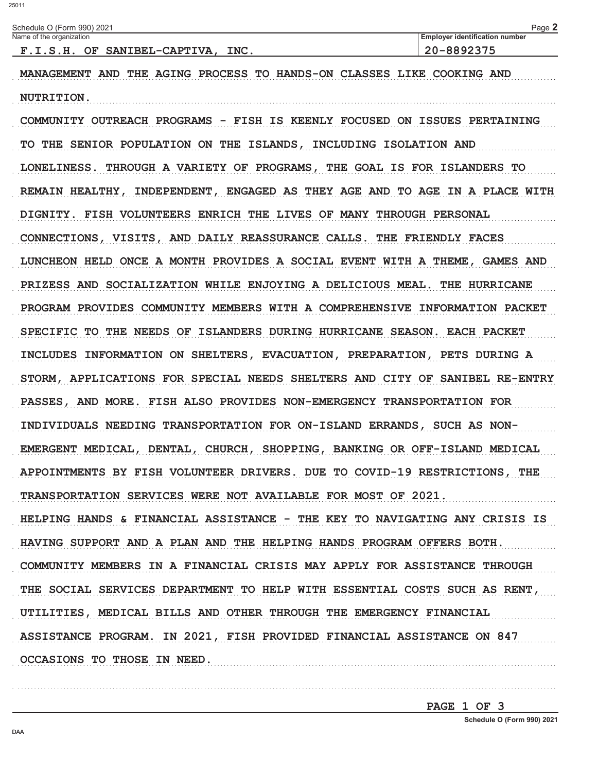| Schedule O (Form 990) 2021                                                          | Page 2                                              |
|-------------------------------------------------------------------------------------|-----------------------------------------------------|
| Name of the organization<br>F.I.S.H. OF SANIBEL-CAPTIVA, INC.                       | <b>Employer identification number</b><br>20-8892375 |
| MANAGEMENT AND THE AGING PROCESS TO HANDS-ON CLASSES LIKE COOKING AND<br>NUTRITION. |                                                     |
| COMMUNITY OUTREACH PROGRAMS - FISH IS KEENLY FOCUSED ON ISSUES PERTAINING           |                                                     |
| TO THE SENIOR POPULATION ON THE ISLANDS, INCLUDING ISOLATION AND                    |                                                     |
| LONELINESS. THROUGH A VARIETY OF PROGRAMS, THE GOAL IS FOR ISLANDERS TO             |                                                     |
| REMAIN HEALTHY, INDEPENDENT, ENGAGED AS THEY AGE AND TO AGE IN A PLACE WITH         |                                                     |
| DIGNITY. FISH VOLUNTEERS ENRICH THE LIVES OF MANY THROUGH PERSONAL                  |                                                     |
| CONNECTIONS, VISITS, AND DAILY REASSURANCE CALLS. THE FRIENDLY FACES                |                                                     |
| LUNCHEON HELD ONCE A MONTH PROVIDES A SOCIAL EVENT WITH A THEME, GAMES AND          |                                                     |
| PRIZESS AND SOCIALIZATION WHILE ENJOYING A DELICIOUS MEAL. THE HURRICANE            |                                                     |
| PROGRAM PROVIDES COMMUNITY MEMBERS WITH A COMPREHENSIVE INFORMATION PACKET          |                                                     |
| SPECIFIC TO THE NEEDS OF ISLANDERS DURING HURRICANE SEASON. EACH PACKET             |                                                     |
| INCLUDES INFORMATION ON SHELTERS, EVACUATION, PREPARATION, PETS DURING A            |                                                     |
| STORM, APPLICATIONS FOR SPECIAL NEEDS SHELTERS AND CITY OF SANIBEL RE-ENTRY         |                                                     |
| PASSES, AND MORE. FISH ALSO PROVIDES NON-EMERGENCY TRANSPORTATION FOR               |                                                     |
| INDIVIDUALS NEEDING TRANSPORTATION FOR ON-ISLAND ERRANDS, SUCH AS NON-              |                                                     |
| EMERGENT MEDICAL, DENTAL, CHURCH, SHOPPING, BANKING OR OFF-ISLAND MEDICAL           |                                                     |
| APPOINTMENTS BY FISH VOLUNTEER DRIVERS. DUE TO COVID-19 RESTRICTIONS, THE           |                                                     |
| TRANSPORTATION SERVICES WERE NOT AVAILABLE FOR MOST OF 2021.                        |                                                     |
| HELPING HANDS & FINANCIAL ASSISTANCE - THE KEY TO NAVIGATING ANY CRISIS IS          |                                                     |
| HAVING SUPPORT AND A PLAN AND THE HELPING HANDS PROGRAM OFFERS BOTH.                |                                                     |
| COMMUNITY MEMBERS IN A FINANCIAL CRISIS MAY APPLY FOR ASSISTANCE THROUGH            |                                                     |
| THE SOCIAL SERVICES DEPARTMENT TO HELP WITH ESSENTIAL COSTS SUCH AS RENT,           |                                                     |
| UTILITIES, MEDICAL BILLS AND OTHER THROUGH THE EMERGENCY FINANCIAL                  |                                                     |
| ASSISTANCE PROGRAM. IN 2021, FISH PROVIDED FINANCIAL ASSISTANCE ON 847              |                                                     |
| OCCASIONS TO THOSE IN NEED.                                                         |                                                     |

PAGE 1 OF 3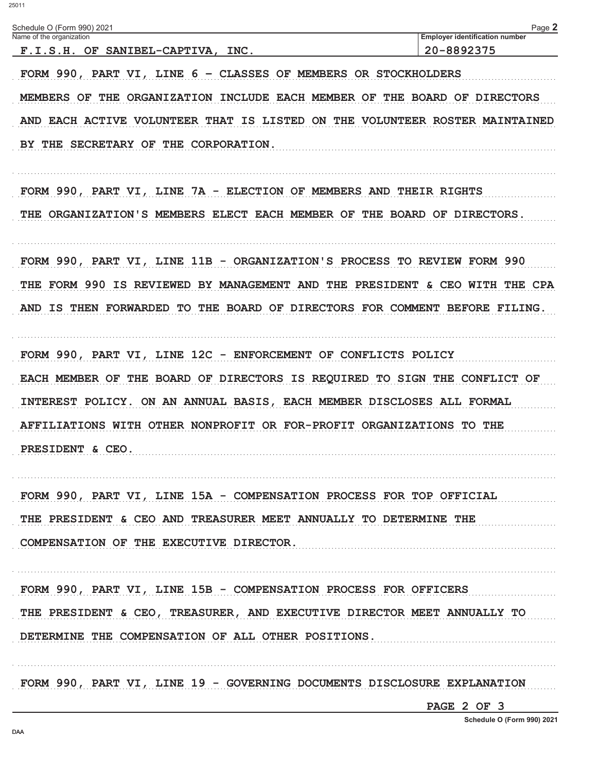| Schedule O (Form 990) 2021<br>Name of the organization                      | Page 2<br><b>Employer identification number</b> |
|-----------------------------------------------------------------------------|-------------------------------------------------|
| F.I.S.H. OF SANIBEL-CAPTIVA, INC.                                           | 20-8892375                                      |
| FORM 990, PART VI, LINE 6 - CLASSES OF MEMBERS OR STOCKHOLDERS              |                                                 |
| MEMBERS OF THE ORGANIZATION INCLUDE EACH MEMBER OF THE BOARD OF DIRECTORS   |                                                 |
| AND EACH ACTIVE VOLUNTEER THAT IS LISTED ON THE VOLUNTEER ROSTER MAINTAINED |                                                 |
| BY THE SECRETARY OF THE CORPORATION.                                        |                                                 |
|                                                                             |                                                 |
| FORM 990, PART VI, LINE 7A - ELECTION OF MEMBERS AND THEIR RIGHTS           |                                                 |
| THE ORGANIZATION'S MEMBERS ELECT EACH MEMBER OF THE BOARD OF DIRECTORS.     |                                                 |
| FORM 990, PART VI, LINE 11B - ORGANIZATION'S PROCESS TO REVIEW FORM 990     |                                                 |
| THE FORM 990 IS REVIEWED BY MANAGEMENT AND THE PRESIDENT & CEO WITH THE CPA |                                                 |
| AND IS THEN FORWARDED TO THE BOARD OF DIRECTORS FOR COMMENT BEFORE FILING.  |                                                 |
|                                                                             |                                                 |
| FORM 990, PART VI, LINE 12C - ENFORCEMENT OF CONFLICTS POLICY               |                                                 |
| EACH MEMBER OF THE BOARD OF DIRECTORS IS REQUIRED TO SIGN THE CONFLICT OF   |                                                 |
| INTEREST POLICY. ON AN ANNUAL BASIS, EACH MEMBER DISCLOSES ALL FORMAL       |                                                 |
| AFFILIATIONS WITH OTHER NONPROFIT OR FOR-PROFIT ORGANIZATIONS TO THE        |                                                 |
| PRESIDENT & CEO                                                             |                                                 |
|                                                                             |                                                 |
| FORM 990, PART VI, LINE 15A - COMPENSATION PROCESS FOR TOP OFFICIAL         |                                                 |
| THE PRESIDENT & CEO AND TREASURER MEET ANNUALLY TO DETERMINE THE            |                                                 |
| COMPENSATION OF THE EXECUTIVE DIRECTOR.                                     |                                                 |
| FORM 990, PART VI, LINE 15B - COMPENSATION PROCESS FOR OFFICERS             |                                                 |
| THE PRESIDENT & CEO, TREASURER, AND EXECUTIVE DIRECTOR MEET ANNUALLY TO     |                                                 |
| DETERMINE THE COMPENSATION OF ALL OTHER POSITIONS.                          |                                                 |
|                                                                             |                                                 |
| FORM 990, PART VI, LINE 19 - GOVERNING DOCUMENTS DISCLOSURE EXPLANATION     |                                                 |
|                                                                             | PAGE 2 OF 3                                     |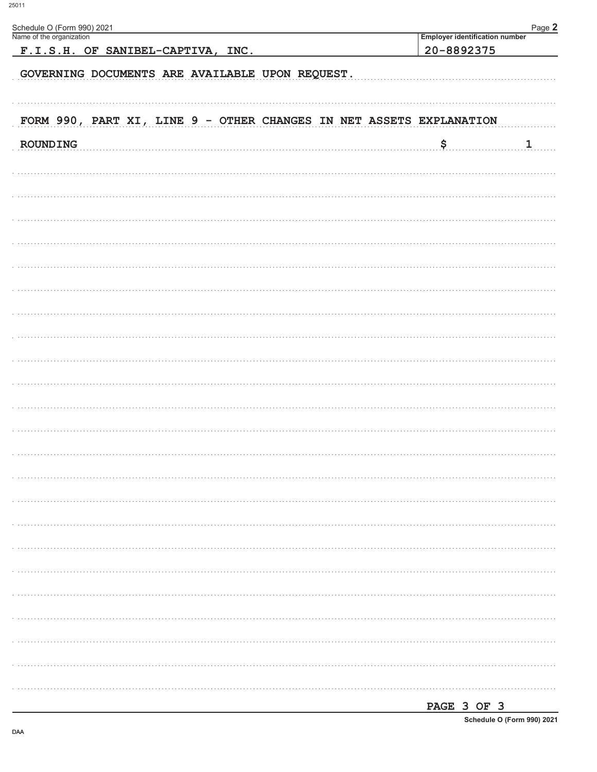| Schedule O (Form 990) 2021<br>Name of the organization              | Page 2<br><b>Employer identification number</b> |
|---------------------------------------------------------------------|-------------------------------------------------|
| F.I.S.H. OF SANIBEL-CAPTIVA, INC.                                   | 20-8892375                                      |
| GOVERNING DOCUMENTS ARE AVAILABLE UPON REQUEST.                     |                                                 |
|                                                                     |                                                 |
| FORM 990, PART XI, LINE 9 - OTHER CHANGES IN NET ASSETS EXPLANATION |                                                 |
| ROUNDING                                                            | .\$<br>$\mathbf{1}$                             |
|                                                                     |                                                 |
|                                                                     |                                                 |
|                                                                     |                                                 |
|                                                                     |                                                 |
|                                                                     |                                                 |
|                                                                     |                                                 |
|                                                                     |                                                 |
|                                                                     |                                                 |
|                                                                     |                                                 |
|                                                                     |                                                 |
|                                                                     |                                                 |
|                                                                     |                                                 |
|                                                                     |                                                 |
|                                                                     |                                                 |
|                                                                     |                                                 |
|                                                                     |                                                 |
|                                                                     |                                                 |
|                                                                     |                                                 |
|                                                                     |                                                 |
|                                                                     |                                                 |
|                                                                     |                                                 |
|                                                                     |                                                 |
|                                                                     | PAGE 3 OF 3                                     |

| Schedule O (Form 990) 2021 |  |  |
|----------------------------|--|--|
|----------------------------|--|--|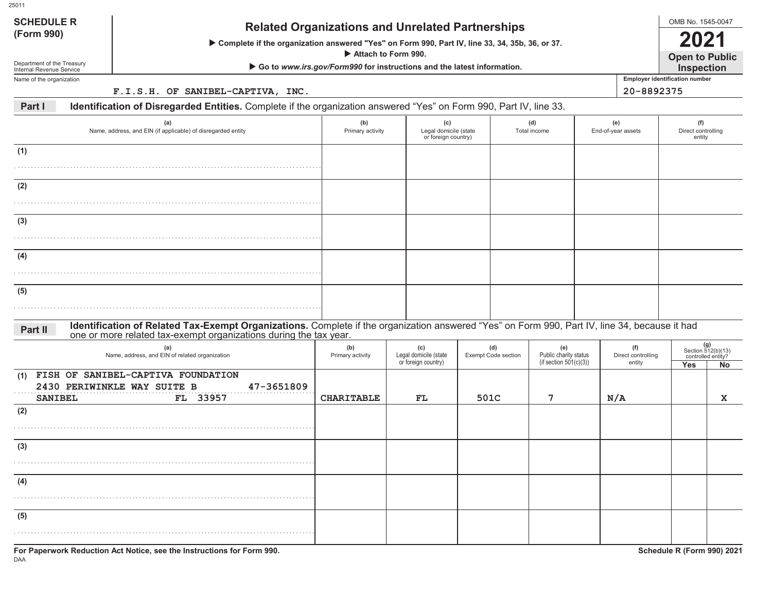| 25011             |  |
|-------------------|--|
| <b>SCHEDULE R</b> |  |

## **(Form 990) Related Organizations and Unrelated Partnerships**

▶ Complete if the organization answered "Yes" on Form 990, Part IV, line 33, 34, 35b, 36, or 37.

▶ Attach to Form 990.

▶ Go to *www.irs.gov/Form990* for instructions and the latest information.

OMB No. 1545-0047

**Open to Public Inspection**

**2021**

#### Department of the Treasury Internal Revenue ServiceName of the organization

**Employer identification number**

**F.I.S.H. OF SANIBEL-CAPTIVA, INC. 20-8892375**

#### **Part IIdentification of Disregarded Entities.** Complete if the organization answered "Yes" on Form 990, Part IV, line 33.

| (a)<br>Name, address, and EIN (if applicable) of disregarded entity                                                                                                                                                           | (b)<br>Primary activity | (c)<br>Legal domicile (state<br>or foreign country) |                                   | Total income | (d)                                                       | (e)<br>End-of-year assets           | (f)<br>Direct controlling<br>entity |                                                         |
|-------------------------------------------------------------------------------------------------------------------------------------------------------------------------------------------------------------------------------|-------------------------|-----------------------------------------------------|-----------------------------------|--------------|-----------------------------------------------------------|-------------------------------------|-------------------------------------|---------------------------------------------------------|
| (1)                                                                                                                                                                                                                           |                         |                                                     |                                   |              |                                                           |                                     |                                     |                                                         |
| (2)                                                                                                                                                                                                                           |                         |                                                     |                                   |              |                                                           |                                     |                                     |                                                         |
| (3)                                                                                                                                                                                                                           |                         |                                                     |                                   |              |                                                           |                                     |                                     |                                                         |
| (4)                                                                                                                                                                                                                           |                         |                                                     |                                   |              |                                                           |                                     |                                     |                                                         |
| (5)                                                                                                                                                                                                                           |                         |                                                     |                                   |              |                                                           |                                     |                                     |                                                         |
| Identification of Related Tax-Exempt Organizations. Complete if the organization answered "Yes" on Form 990, Part IV, line 34, because it had<br>one or more related tax-exempt organizations during the tax year.<br>Part II |                         |                                                     |                                   |              |                                                           |                                     |                                     |                                                         |
| (a)<br>Name, address, and EIN of related organization                                                                                                                                                                         | (b)<br>Primary activity | (c)<br>Legal domicile (state<br>or foreign country) | (d)<br><b>Exempt Code section</b> |              | (e)<br>Public charity status<br>(if section $501(c)(3)$ ) | (f)<br>Direct controlling<br>entity | Yes                                 | $(g)$<br>Section 512(b)(13)<br>controlled entity?<br>No |
| (1) FISH OF SANIBEL-CAPTIVA FOUNDATION<br>2430 PERIWINKLE WAY SUITE B<br>47-3651809<br>FL 33957<br><b>SANIBEL</b>                                                                                                             | <b>CHARITABLE</b>       | FL                                                  | 501C                              |              | 7                                                         | N/A                                 |                                     | X                                                       |
| (2)                                                                                                                                                                                                                           |                         |                                                     |                                   |              |                                                           |                                     |                                     |                                                         |
| (3)                                                                                                                                                                                                                           |                         |                                                     |                                   |              |                                                           |                                     |                                     |                                                         |
| (4)                                                                                                                                                                                                                           |                         |                                                     |                                   |              |                                                           |                                     |                                     |                                                         |
| (5)                                                                                                                                                                                                                           |                         |                                                     |                                   |              |                                                           |                                     |                                     |                                                         |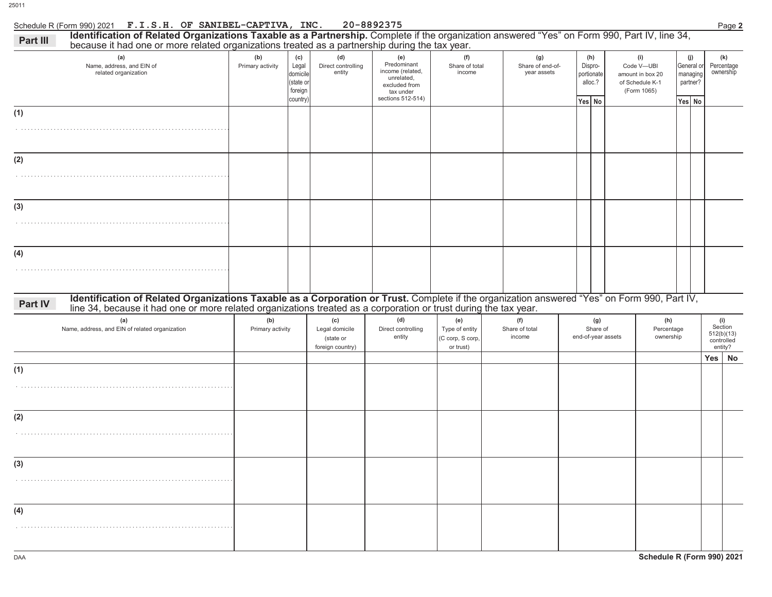#### $S$ chedule R (Form 990) 2021  $\;$  **F** . <code>I.S.H. OF SANIBEL-CAPTIVA, INC. 20-8892375  $\;$ </code>

| Part III | $\frac{1}{2}$ . The state is the state of $\frac{1}{2}$ . The state is the state of $\frac{1}{2}$<br>Identification of Related Organizations Taxable as a Partnership. Complete if the organization answered "Yes" on Form 990, Part IV, line 34,<br>because it had one or more related organizations treated as a partnership during the tax year. |                         |                                                              |                                                        |                                                                                                         |                                                        |                                        |                                         |  |                                       |                                                                         |        |                                           | <u>. ugu</u>                                          |
|----------|-----------------------------------------------------------------------------------------------------------------------------------------------------------------------------------------------------------------------------------------------------------------------------------------------------------------------------------------------------|-------------------------|--------------------------------------------------------------|--------------------------------------------------------|---------------------------------------------------------------------------------------------------------|--------------------------------------------------------|----------------------------------------|-----------------------------------------|--|---------------------------------------|-------------------------------------------------------------------------|--------|-------------------------------------------|-------------------------------------------------------|
|          | (a)<br>Name, address, and EIN of<br>related organization                                                                                                                                                                                                                                                                                            | (b)<br>Primary activity | (c)<br>Legal<br>domicile<br>(state or<br>foreign<br>country) | (d)<br>Direct controlling<br>entity                    | (e)<br>Predominant<br>income (related,<br>unrelated,<br>excluded from<br>tax under<br>sections 512-514) | (f)<br>Share of total<br>income                        | (g)<br>Share of end-of-<br>year assets | (h)<br>Dispro-<br>portionate<br>alloc.? |  |                                       | (i)<br>Code V-UBI<br>amount in box 20<br>of Schedule K-1<br>(Form 1065) |        | (j)<br>General or<br>managing<br>partner? | (k)<br>Percentage<br>ownership                        |
| (1)      |                                                                                                                                                                                                                                                                                                                                                     |                         |                                                              |                                                        |                                                                                                         |                                                        |                                        |                                         |  | Yes No                                |                                                                         | Yes No |                                           |                                                       |
|          |                                                                                                                                                                                                                                                                                                                                                     |                         |                                                              |                                                        |                                                                                                         |                                                        |                                        |                                         |  |                                       |                                                                         |        |                                           |                                                       |
| (2)      |                                                                                                                                                                                                                                                                                                                                                     |                         |                                                              |                                                        |                                                                                                         |                                                        |                                        |                                         |  |                                       |                                                                         |        |                                           |                                                       |
|          |                                                                                                                                                                                                                                                                                                                                                     |                         |                                                              |                                                        |                                                                                                         |                                                        |                                        |                                         |  |                                       |                                                                         |        |                                           |                                                       |
| (3)      |                                                                                                                                                                                                                                                                                                                                                     |                         |                                                              |                                                        |                                                                                                         |                                                        |                                        |                                         |  |                                       |                                                                         |        |                                           |                                                       |
|          |                                                                                                                                                                                                                                                                                                                                                     |                         |                                                              |                                                        |                                                                                                         |                                                        |                                        |                                         |  |                                       |                                                                         |        |                                           |                                                       |
| (4)      |                                                                                                                                                                                                                                                                                                                                                     |                         |                                                              |                                                        |                                                                                                         |                                                        |                                        |                                         |  |                                       |                                                                         |        |                                           |                                                       |
|          |                                                                                                                                                                                                                                                                                                                                                     |                         |                                                              |                                                        |                                                                                                         |                                                        |                                        |                                         |  |                                       |                                                                         |        |                                           |                                                       |
| Part IV  | Identification of Related Organizations Taxable as a Corporation or Trust. Complete if the organization answered "Yes" on Form 990, Part IV,<br>line 34, because it had one or more related organizations treated as a corporation or trust during the tax year.                                                                                    |                         |                                                              |                                                        |                                                                                                         |                                                        |                                        |                                         |  |                                       |                                                                         |        |                                           |                                                       |
|          | (a)<br>Name, address, and EIN of related organization                                                                                                                                                                                                                                                                                               | (b)<br>Primary activity |                                                              | (c)<br>Legal domicile<br>(state or<br>foreign country) | (d)<br>Direct controlling<br>entity                                                                     | (e)<br>Type of entity<br>(C corp, S corp,<br>or trust) | (f)<br>Share of total<br>income        |                                         |  | (g)<br>Share of<br>end-of-year assets | (h)<br>Percentage<br>ownership                                          |        |                                           | (i)<br>Section<br>512(b)(13)<br>controlled<br>entity? |
| (1)      |                                                                                                                                                                                                                                                                                                                                                     |                         |                                                              |                                                        |                                                                                                         |                                                        |                                        |                                         |  |                                       |                                                                         |        |                                           | No<br>Yes                                             |
|          |                                                                                                                                                                                                                                                                                                                                                     |                         |                                                              |                                                        |                                                                                                         |                                                        |                                        |                                         |  |                                       |                                                                         |        |                                           |                                                       |
| (2)      |                                                                                                                                                                                                                                                                                                                                                     |                         |                                                              |                                                        |                                                                                                         |                                                        |                                        |                                         |  |                                       |                                                                         |        |                                           |                                                       |
|          |                                                                                                                                                                                                                                                                                                                                                     |                         |                                                              |                                                        |                                                                                                         |                                                        |                                        |                                         |  |                                       |                                                                         |        |                                           |                                                       |
| (3)      |                                                                                                                                                                                                                                                                                                                                                     |                         |                                                              |                                                        |                                                                                                         |                                                        |                                        |                                         |  |                                       |                                                                         |        |                                           |                                                       |
|          |                                                                                                                                                                                                                                                                                                                                                     |                         |                                                              |                                                        |                                                                                                         |                                                        |                                        |                                         |  |                                       |                                                                         |        |                                           |                                                       |
| (4)      |                                                                                                                                                                                                                                                                                                                                                     |                         |                                                              |                                                        |                                                                                                         |                                                        |                                        |                                         |  |                                       |                                                                         |        |                                           |                                                       |
|          |                                                                                                                                                                                                                                                                                                                                                     |                         |                                                              |                                                        |                                                                                                         |                                                        |                                        |                                         |  |                                       |                                                                         |        |                                           |                                                       |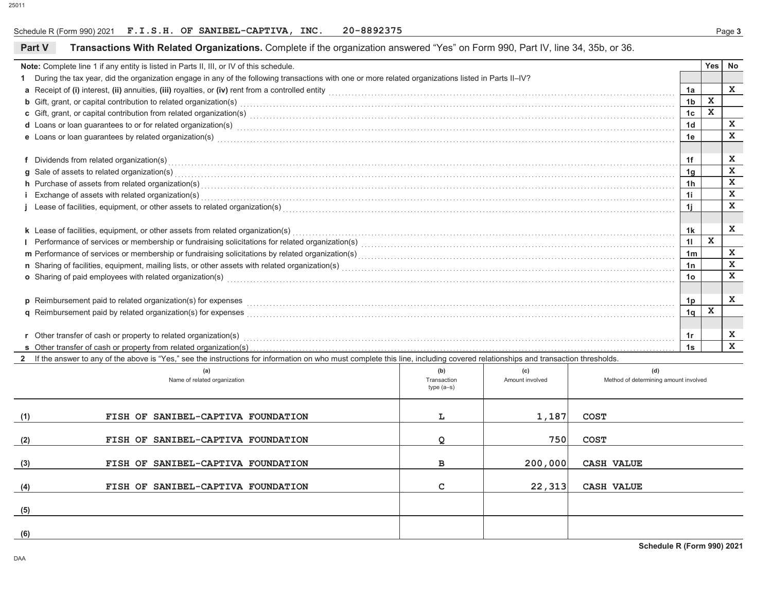#### Schedule R (Form 990) 2021 Page **3 F.I.S.H. OF SANIBEL-CAPTIVA, INC. 20-8892375**

#### **Part V Transactions With Related Organizations.** Complete if the organization answered "Yes" on Form 990, Part IV, line 34, 35b, or 36. **Note:** Complete line 1 if any entity is listed in Parts II, III, or IV of this schedule. **1** During the tax year, did the organization engage in any of the following transactions with one or more related organizations listed in Parts II–IV? **a** Receipt of **(i)** interest, **(ii)** annuities, **(iii)** royalties, or **(iv)** rent from a controlled entity . . . . . . . . . . . . . . . . . . . . . . . . . . . . . . . . . . . . . . . . . . . . . . . . . . . . . . . . . . . . . . . . . . . . . . . . . . . . . . . . . . . . . . . . . . . . . . . . . . . . . . . . . .**b** Gift, grant, or capital contribution to related organization(s) . . . . . . . . . . . . . . . . . . . . . . . . . . . . . . . . . . . . . . . . . . . . . . . . . . . . . . . . . . . . . . . . . . . . . . . . . . . . . . . . . . . . . . . . . . . . . . . . . . . . . . . . . . . . . . . . . . . . . . . . . . . . . . . . . . . . .**c d** Loans or loan guarantees to or for related organization(s) . . . . . . . . . . . . . . . . . . . . . . . . . . . . . . . . . . . . . . . . . . . . . . . . . . . . . . . . . . . . . . . . . . . . . . . . . . . . . . . . . . . . . . . . . . . . . . . . . . . . . . . . . . . . . . . . . . . . . . . . . . . . . . . . . . . . . .**e** Loans or loan guarantees by related organization(s) . . . . . . . . . . . . . . . . . . . . . . . . . . . . . . . . . . . . . . . . . . . . . . . . . . . . . . . . . . . . . . . . . . . . . . . . . . . . . . . . . . . . . . . . . . . . . . . . . . . . . . . . . . . . . . . . . . . . . . . . . . . . . . . . . . . . . . . . . . . .**f** Dividends from related organization(s) . . . . . . . . . . . . . . . . . . . . . . . . . . . . . . . . . . . . . . . . . . . . . . . . . . . . . . . . . . . . . . . . . . . . . . . . . . . . . . . . . . . . . . . . . . . . . . . . . . . . . . . . . . . . . . . . . . . . . . . . . . . . . . . . . . . . . . . . . . . . . . . . . . . . . . . . . . . . ${\sf g}$  . Sale of assets to related organization(s) we conserve a conserve a conserve a conserve a conserve a conserve a conserve a conserve a conserve a conserve a conserve a conserve a conserve a conserve a conserve a co **h i** Exchange of assets with related organization(s) . . . . . . . . . . . . . . . . . . . . . . . . . . . . . . . . . . . . . . . . . . . . . . . . . . . . . . . . . . . . . . . . . . . . . . . . . . . . . . . . . . . . . . . . . . . . . . . . . . . . . . . . . . . . . . . . . . . . . . . . . . . . . . . . . . . . . . . . . . . . . . . . .**j k** Lease of facilities, equipment, or other assets from related organization(s) . . . . . . . . . . . . . . . . . . . . . . . . . . . . . . . . . . . . . . . . . . . . . . . . . . . . . . . . . . . . . . . . . . . . . . . . . . . . . . . . . . . . . . . . . . . . . . . . . . . . . . . . . . . . . . . . . . . . . Performance of services or membership or fundraising solicitations for related organization(s) . . . . . . . . . . . . . . . . . . . . . . . . . . . . . . . . . . . . . . . . . . . . . . . . . . . . . . . . . . . . . . . . . . . . . . . . . . . . . . . . . . . . . . . . . . . . . . . . **m** Performance of services or membership or fundraising solicitations by related organization(s) . . . . . . . . . . . . . . . . . . . . . . . . . . . . . . . . . . . . . . . . . . . . . . . . . . . . . . . . . . . . . . . . . . . . . . . . . . . . . . . . . . . . . . . . . . . . . . . . .**n** Sharing of facilities, equipment, mailing lists, or other assets with related organization(s) **o p** Reimbursement paid to related organization(s) for expenses  $\bm{{\mathsf{q}}}$  . Reimbursement paid by related organization(s) for expenses we conserve the conserver and conserve the conserver and conserver and conserver and conserver and conserver and conserver and conserver and conserv **s** Other transfer of cash or property from related organization(s) . . . . . . . . . . . . . . . . . . . . . . . . . . . . . . . . . . . . . . . . . . . . . . . . . . . . . . . . . . . . . . . . . . . . . . . . . . . . . . . . . . . . . . . . . . . . . . . . . . . . . . . . . . . . . . . . . . . . . . . . . . . . . . . . . . Gift, grant, or capital contribution from related organization(s) . . . . . . . . . . . . . . . . . . . . . . . . . . . . . . . . . . . . . . . . . . . . . . . . . . . . . . . . . . . . . . . . . . . . . . . . . . . . . . . . . . . . . . . . . . . . . . . . . . . . . . . . . . . . . . . . . . . . . . . . . . . . . . . . . . Purchase of assets from related organization(s) . . . . . . . . . . . . . . . . . . . . . . . . . . . . . . . . . . . . . . . . . . . . . . . . . . . . . . . . . . . . . . . . . . . . . . . . . . . . . . . . . . . . . . . . . . . . . . . . . . . . . . . . . . . . . . . . . . . . . . . . . . . . . . . . . . . . . . . . . . . . . . . . . Lease of facilities, equipment, or other assets to related organization(s) . . . . . . . . . . . . . . . . . . . . . . . . . . . . . . . . . . . . . . . . . . . . . . . . . . . . . . . . . . . . . . . . . . . . . . . . . . . . . . . . . . . . . . . . . . . . . . . . . . . . . . . . . . . . . . . . . . . . . . . . . . . . . . . . . . . . . . . . . . . . . . . . . . . . . . . . . . . . . . . . . . . . . . . . . . . . . . . . . . . . . . . . . . . . . . . . . . . . . . . . . . . . . . . . . . . . . . . . . . . . . .Sharing of paid employees with related organization(s) . . . . . . . . . . . . . . . . . . . . . . . . . . . . . . . . . . . . . . . . . . . . . . . . . . . . . . . . . . . . . . . . . . . . . . . . . . . . . . . . . . . . . . . . . . . . . . . . . . . . . . . . . . . . . . . . . . . . . . . . . . . . . . . . . . . . . . . . . $\begin{minipage}{0.9\linewidth} \begin{tabular}{l} \hline \textbf{1} & \textbf{2} & \textbf{3} & \textbf{4} & \textbf{5} & \textbf{5} & \textbf{6} & \textbf{6} & \textbf{7} & \textbf{8} & \textbf{9} & \textbf{10} & \textbf{10} & \textbf{10} & \textbf{10} & \textbf{10} & \textbf{10} & \textbf{10} & \textbf{10} & \textbf{10} & \textbf{10} & \textbf{10} & \textbf{10} & \textbf{10} & \textbf{10} & \textbf{10}$ Other transfer of cash or property to related organization(s) **r1a1b1c1d1e1f1g 1h1i1j 1k1l1m1n1o1p 1q 1sYes No2** If the answer to any of the above is "Yes," see the instructions for information on who must complete this line, including covered relationships and transaction thresholds. **1r XXXXXXXXXXXXXXXXXXX**

|     | (a)<br>Name of related organization | (b)<br>Transaction<br>type (a-s) | (c)<br>Amount involved | (d)<br>Method of determining amount involved |
|-----|-------------------------------------|----------------------------------|------------------------|----------------------------------------------|
| (1) | FISH OF SANIBEL-CAPTIVA FOUNDATION  | L                                | 1,187                  | <b>COST</b>                                  |
| (2) | FISH OF SANIBEL-CAPTIVA FOUNDATION  | O                                | 750                    | <b>COST</b>                                  |
| (3) | FISH OF SANIBEL-CAPTIVA FOUNDATION  | B                                | 200,000                | <b>CASH VALUE</b>                            |
| (4) | FISH OF SANIBEL-CAPTIVA FOUNDATION  | $\mathbf{C}$                     | 22,313                 | <b>CASH VALUE</b>                            |
| (5) |                                     |                                  |                        |                                              |
| (6) |                                     |                                  |                        |                                              |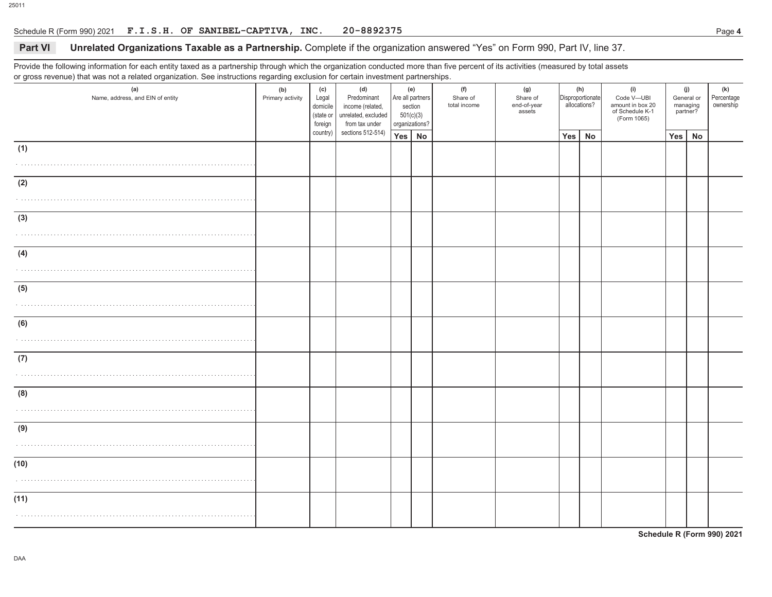#### **Part VI Unrelated Organizations Taxable as a Partnership.** Complete if the organization answered "Yes" on Form 990, Part IV, line 37.

Provide the following information for each entity taxed as a partnership through which the organization conducted more than five percent of its activities (measured by total assets or gross revenue) that was not a related organization. See instructions regarding exclusion for certain investment partnerships.

| (a)<br>Name, address, and EIN of entity | (b)<br>(c)<br>Primary activity<br>Legal<br>${\tt domicile}$<br>(state or<br>foreign |          | (f)<br>(d)<br>(e)<br>Predominant<br>Are all partners<br>Share of<br>total income<br>income (related,<br>section<br>unrelated, excluded<br>501(c)(3)<br>from tax under<br>organizations? |     | (g)<br>Share of<br>end-of-year<br>assets | (h)<br>Disproportionate<br>allocations? |     | (i)<br>Code V-UBI<br>amount in box 20<br>of Schedule K-1<br>(Form 1065) | managing | (j)<br>General or<br>partner? | (k)<br>Percentage<br>ownership |  |
|-----------------------------------------|-------------------------------------------------------------------------------------|----------|-----------------------------------------------------------------------------------------------------------------------------------------------------------------------------------------|-----|------------------------------------------|-----------------------------------------|-----|-------------------------------------------------------------------------|----------|-------------------------------|--------------------------------|--|
|                                         |                                                                                     | country) | sections 512-514)                                                                                                                                                                       | Yes | No                                       |                                         | Yes | <b>No</b>                                                               |          | Yes                           | No                             |  |
| (1)<br>.                                |                                                                                     |          |                                                                                                                                                                                         |     |                                          |                                         |     |                                                                         |          |                               |                                |  |
| (2)                                     |                                                                                     |          |                                                                                                                                                                                         |     |                                          |                                         |     |                                                                         |          |                               |                                |  |
| (3)                                     |                                                                                     |          |                                                                                                                                                                                         |     |                                          |                                         |     |                                                                         |          |                               |                                |  |
| (4)                                     |                                                                                     |          |                                                                                                                                                                                         |     |                                          |                                         |     |                                                                         |          |                               |                                |  |
| (5)                                     |                                                                                     |          |                                                                                                                                                                                         |     |                                          |                                         |     |                                                                         |          |                               |                                |  |
| (6)                                     |                                                                                     |          |                                                                                                                                                                                         |     |                                          |                                         |     |                                                                         |          |                               |                                |  |
| (7)                                     |                                                                                     |          |                                                                                                                                                                                         |     |                                          |                                         |     |                                                                         |          |                               |                                |  |
| (8)                                     |                                                                                     |          |                                                                                                                                                                                         |     |                                          |                                         |     |                                                                         |          |                               |                                |  |
| (9)                                     |                                                                                     |          |                                                                                                                                                                                         |     |                                          |                                         |     |                                                                         |          |                               |                                |  |
| (10)<br>1.1.1.1.1.1                     |                                                                                     |          |                                                                                                                                                                                         |     |                                          |                                         |     |                                                                         |          |                               |                                |  |
| (11)                                    |                                                                                     |          |                                                                                                                                                                                         |     |                                          |                                         |     |                                                                         |          |                               |                                |  |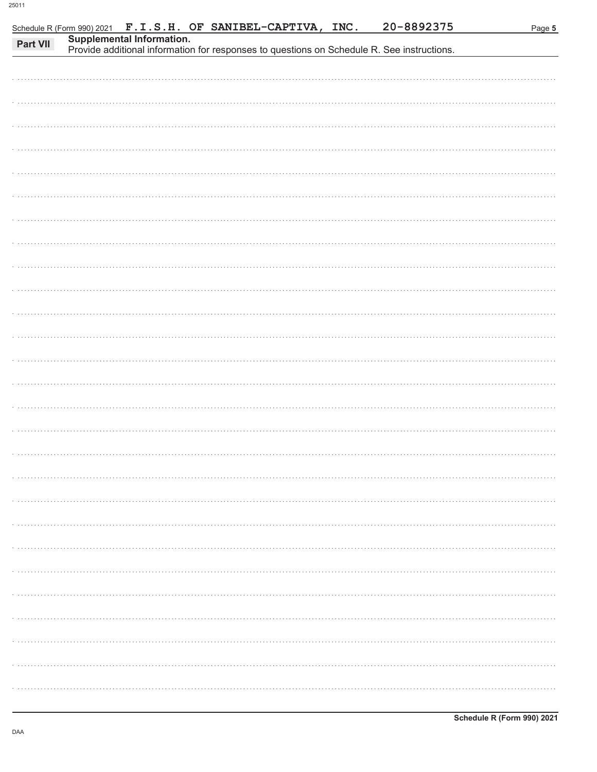|                          | Schedule R (Form 990) 2021 $\mathbf{F}.\mathbf{I}.\mathbf{S}.\mathbf{H}.\mathbf{OF}$ SANIBEL-CAPTIVA, INC. 20-8892375 |  |  |
|--------------------------|-----------------------------------------------------------------------------------------------------------------------|--|--|
| Sunnlomontal Information |                                                                                                                       |  |  |

| Part VII | Supplemental Information.<br>Provide additional information for responses to questions on Schedule R. See instructions. |
|----------|-------------------------------------------------------------------------------------------------------------------------|
|          |                                                                                                                         |
|          |                                                                                                                         |
|          |                                                                                                                         |
|          |                                                                                                                         |
|          |                                                                                                                         |
|          |                                                                                                                         |
|          |                                                                                                                         |
|          |                                                                                                                         |
|          |                                                                                                                         |
|          |                                                                                                                         |
|          |                                                                                                                         |
|          |                                                                                                                         |
|          |                                                                                                                         |
|          |                                                                                                                         |
|          |                                                                                                                         |
|          |                                                                                                                         |
|          |                                                                                                                         |
|          |                                                                                                                         |
|          |                                                                                                                         |
|          |                                                                                                                         |
|          |                                                                                                                         |
|          |                                                                                                                         |
|          |                                                                                                                         |
|          |                                                                                                                         |
|          |                                                                                                                         |
|          |                                                                                                                         |
|          |                                                                                                                         |
|          |                                                                                                                         |
|          |                                                                                                                         |
|          |                                                                                                                         |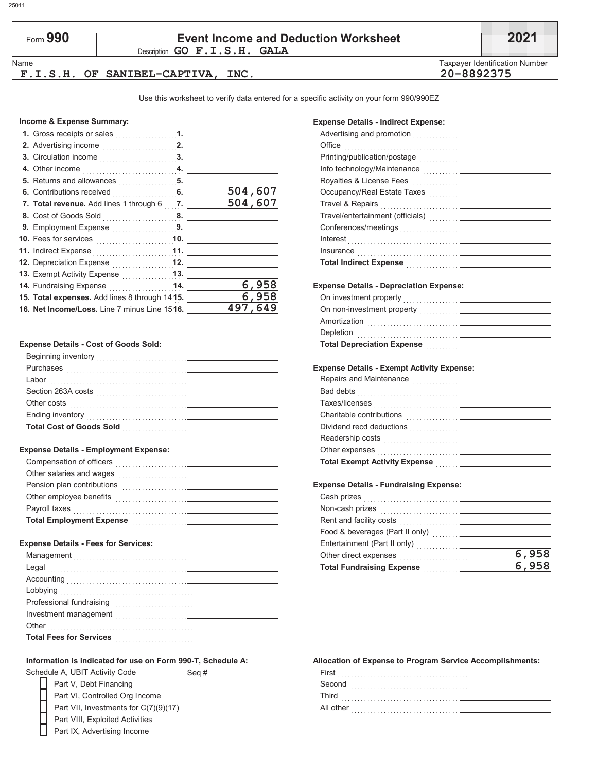| ٠<br>٠ |  |
|--------|--|

| Form 990 | <b>Event Income and Deduction Worksheet</b><br>Description GO F.I.S.H. GALA | 2021                                                |
|----------|-----------------------------------------------------------------------------|-----------------------------------------------------|
| Name     | F.I.S.H. OF SANIBEL-CAPTIVA, INC.                                           | <b>Taxpayer Identification Number</b><br>20-8892375 |

Use this worksheet to verify data entered for a specific activity on your form 990/990EZ

#### **Income & Expense Summary:**

|                                                              | 504,607 |
|--------------------------------------------------------------|---------|
| 7. Total revenue. Add lines 1 through 6 7.                   | 504,607 |
|                                                              |         |
|                                                              |         |
|                                                              |         |
|                                                              |         |
| 12. Depreciation Expense 12.                                 |         |
|                                                              |         |
| 14. Fundraising Expense  14.                                 | 6,958   |
| <b>15. Total expenses.</b> Add lines 8 through 14 <b>15.</b> | 6,958   |
| 16. Net Income/Loss. Line 7 minus Line 1516.                 | 497,649 |
|                                                              |         |

#### **Expense Details - Cost of Goods Sold:**

#### **Expense Details - Employment Expense:**

#### **Expense Details - Fees for Services:**

### **Information is indicated for use on Form 990-T, Schedule A:**

| Schedule A, UBIT Activity Code        | Sea # |
|---------------------------------------|-------|
| Part V, Debt Financing                |       |
| Part VI, Controlled Org Income        |       |
| Part VII, Investments for C(7)(9)(17) |       |
| Part VIII, Exploited Activities       |       |
| Part IX, Advertising Income           |       |

| Part IX, Advertising Income |  |  |  |
|-----------------------------|--|--|--|
|-----------------------------|--|--|--|

#### **Expense Details - Indirect Expense:**

| Total Indirect Expense <b>Manual Accord Contract Property</b> |
|---------------------------------------------------------------|

#### **Expense Details - Depreciation Expense:**

#### **Expense Details - Exempt Activity Expense:**

| Repairs and Maintenance                                         |
|-----------------------------------------------------------------|
| <b>Bad debts</b>                                                |
| Taxes/licenses                                                  |
| Charitable contributions                                        |
| Dividend recd deductions                                        |
| Readership costs                                                |
| Other expenses                                                  |
| Total Exempt Activity Expense <b>Fig. 100 Contract Property</b> |
|                                                                 |

#### **Expense Details - Fundraising Expense:**

| Cash prizes                                                                                                                                                                                                                      |       |
|----------------------------------------------------------------------------------------------------------------------------------------------------------------------------------------------------------------------------------|-------|
| Non-cash prizes                                                                                                                                                                                                                  |       |
| Rent and facility costs<br>in the cost and the cost of the cost of the cost of the cost of the cost of the cost of the cost of the cost of the cost of the cost of the cost of the cost of the cost of the cost of the cost of t |       |
| Food & beverages (Part II only)                                                                                                                                                                                                  |       |
| Entertainment (Part II only)<br>expressive extension of the contract of the contract of the contract of the contract of the contract of the contract of the contract of the contract of the contract of the contract of the cont |       |
| Other direct expenses                                                                                                                                                                                                            | 6,958 |
| <b>Total Fundraising Expense</b>                                                                                                                                                                                                 | 6,958 |

#### **Allocation of Expense to Program Service Accomplishments:**

| First        |
|--------------|
| Second       |
| <b>Third</b> |
| All other    |
|              |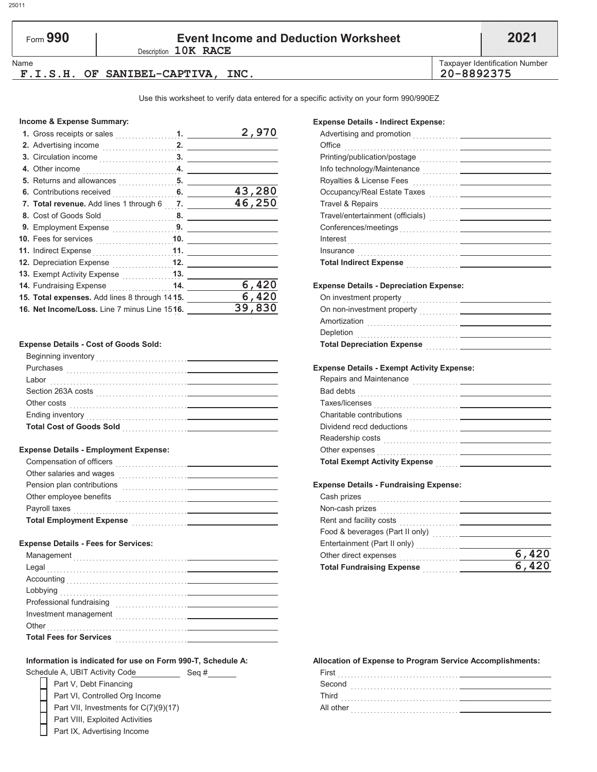| Form 990                                     | <b>Event Income and Deduction Worksheet</b><br>Description 10K RACE                                                                                                                                                            |        |                                                                                                                                                                                                                                      | 2021                           |  |
|----------------------------------------------|--------------------------------------------------------------------------------------------------------------------------------------------------------------------------------------------------------------------------------|--------|--------------------------------------------------------------------------------------------------------------------------------------------------------------------------------------------------------------------------------------|--------------------------------|--|
| Name                                         |                                                                                                                                                                                                                                |        |                                                                                                                                                                                                                                      | Taxpayer Identification Number |  |
|                                              | F.I.S.H. OF SANIBEL-CAPTIVA, INC.                                                                                                                                                                                              |        |                                                                                                                                                                                                                                      | 20-8892375                     |  |
|                                              |                                                                                                                                                                                                                                |        | Use this worksheet to verify data entered for a specific activity on your form 990/990EZ                                                                                                                                             |                                |  |
| Income & Expense Summary:                    |                                                                                                                                                                                                                                |        | <b>Expense Details - Indirect Expense:</b>                                                                                                                                                                                           |                                |  |
|                                              |                                                                                                                                                                                                                                | 2,970  |                                                                                                                                                                                                                                      |                                |  |
|                                              |                                                                                                                                                                                                                                |        |                                                                                                                                                                                                                                      |                                |  |
|                                              |                                                                                                                                                                                                                                |        |                                                                                                                                                                                                                                      |                                |  |
|                                              |                                                                                                                                                                                                                                |        |                                                                                                                                                                                                                                      |                                |  |
|                                              |                                                                                                                                                                                                                                |        |                                                                                                                                                                                                                                      |                                |  |
| 6. Contributions received                    | 6. $\qquad \qquad$                                                                                                                                                                                                             | 43,280 |                                                                                                                                                                                                                                      |                                |  |
|                                              |                                                                                                                                                                                                                                |        |                                                                                                                                                                                                                                      |                                |  |
|                                              |                                                                                                                                                                                                                                |        |                                                                                                                                                                                                                                      |                                |  |
|                                              |                                                                                                                                                                                                                                |        |                                                                                                                                                                                                                                      |                                |  |
|                                              |                                                                                                                                                                                                                                |        |                                                                                                                                                                                                                                      |                                |  |
|                                              |                                                                                                                                                                                                                                |        |                                                                                                                                                                                                                                      |                                |  |
|                                              |                                                                                                                                                                                                                                |        |                                                                                                                                                                                                                                      |                                |  |
|                                              |                                                                                                                                                                                                                                |        | Total Indirect Expense [11] March 1999 March 1999 March 1999 March 1999 March 1999 March 1999 March 1999 March 1999                                                                                                                  |                                |  |
|                                              |                                                                                                                                                                                                                                |        |                                                                                                                                                                                                                                      |                                |  |
|                                              |                                                                                                                                                                                                                                | 6,420  | <b>Expense Details - Depreciation Expense:</b>                                                                                                                                                                                       |                                |  |
|                                              | 15. Total expenses. Add lines 8 through 1415.                                                                                                                                                                                  | 6,420  | On investment property <b>container and the contract of the contract of the contract of the contract of the contract of the contract of the contract of the contract of the contract of the contract of the contract of the cont</b> |                                |  |
|                                              | 16. Net Income/Loss. Line 7 minus Line 1516.                                                                                                                                                                                   | 39,830 |                                                                                                                                                                                                                                      |                                |  |
|                                              |                                                                                                                                                                                                                                |        |                                                                                                                                                                                                                                      |                                |  |
|                                              |                                                                                                                                                                                                                                |        |                                                                                                                                                                                                                                      |                                |  |
| <b>Expense Details - Cost of Goods Sold:</b> |                                                                                                                                                                                                                                |        | Total Depreciation Expense Manual According to the United States of the United States and District Order                                                                                                                             |                                |  |
|                                              | Beginning inventory electron and the control of the control of the control of the control of the control of the control of the control of the control of the control of the control of the control of the control of the contr |        |                                                                                                                                                                                                                                      |                                |  |
|                                              |                                                                                                                                                                                                                                |        | <b>Expense Details - Exempt Activity Expense:</b>                                                                                                                                                                                    |                                |  |
|                                              |                                                                                                                                                                                                                                |        |                                                                                                                                                                                                                                      |                                |  |
|                                              |                                                                                                                                                                                                                                |        |                                                                                                                                                                                                                                      |                                |  |
|                                              | Other costs <u>contains and a series of the series of the series of the series of the series of the series of</u>                                                                                                              |        |                                                                                                                                                                                                                                      |                                |  |
|                                              |                                                                                                                                                                                                                                |        |                                                                                                                                                                                                                                      |                                |  |
|                                              |                                                                                                                                                                                                                                |        |                                                                                                                                                                                                                                      |                                |  |
|                                              |                                                                                                                                                                                                                                |        |                                                                                                                                                                                                                                      |                                |  |
| <b>Expense Details - Employment Expense:</b> |                                                                                                                                                                                                                                |        |                                                                                                                                                                                                                                      |                                |  |
|                                              |                                                                                                                                                                                                                                |        | Total Exempt Activity Expense <b>Constant Control</b>                                                                                                                                                                                |                                |  |
|                                              |                                                                                                                                                                                                                                |        |                                                                                                                                                                                                                                      |                                |  |
|                                              |                                                                                                                                                                                                                                |        | <b>Expense Details - Fundraising Expense:</b>                                                                                                                                                                                        |                                |  |
|                                              |                                                                                                                                                                                                                                |        |                                                                                                                                                                                                                                      |                                |  |
|                                              |                                                                                                                                                                                                                                |        | Cash prizes <b>contract the contract of the contract of the contract of the contract of the contract of the contract of the contract of the contract of the contract of the contract of the contract of the contract of the cont</b> |                                |  |
|                                              |                                                                                                                                                                                                                                |        |                                                                                                                                                                                                                                      |                                |  |
|                                              |                                                                                                                                                                                                                                |        |                                                                                                                                                                                                                                      |                                |  |
|                                              |                                                                                                                                                                                                                                |        |                                                                                                                                                                                                                                      |                                |  |
| <b>Expense Details - Fees for Services:</b>  |                                                                                                                                                                                                                                |        | Entertainment (Part II only)                                                                                                                                                                                                         | 6,420                          |  |
|                                              |                                                                                                                                                                                                                                |        | Other direct expenses<br>Total Fundraising Expense Material Account                                                                                                                                                                  | 6,420                          |  |
|                                              |                                                                                                                                                                                                                                |        |                                                                                                                                                                                                                                      |                                |  |

**Information is indicated for use on Form 990-T, Schedule A:**

**Total Fees for Services** . . . . . . . . . . . . . . . . . . . . . . . .

Other . . . . . . . . . . . . . . . . . . . . . . . . . . . . . . . . . . . . . . . . . . . . . Investment management . . . . . . . . . . . . . . . . . . . . . . . .

Professional fundraising . . . . . . . . . . . . . . . . . . . . . . . .

| Schedule A, UBIT Activity Code        | Seq # |
|---------------------------------------|-------|
| Part V, Debt Financing                |       |
| Part VI, Controlled Org Income        |       |
| Part VII, Investments for C(7)(9)(17) |       |
| Part VIII, Exploited Activities       |       |

| Part IX, Advertising Income |  |
|-----------------------------|--|

**Allocation of Expense to Program Service Accomplishments:**

| First     |  |
|-----------|--|
| Second    |  |
| Third     |  |
| All other |  |
|           |  |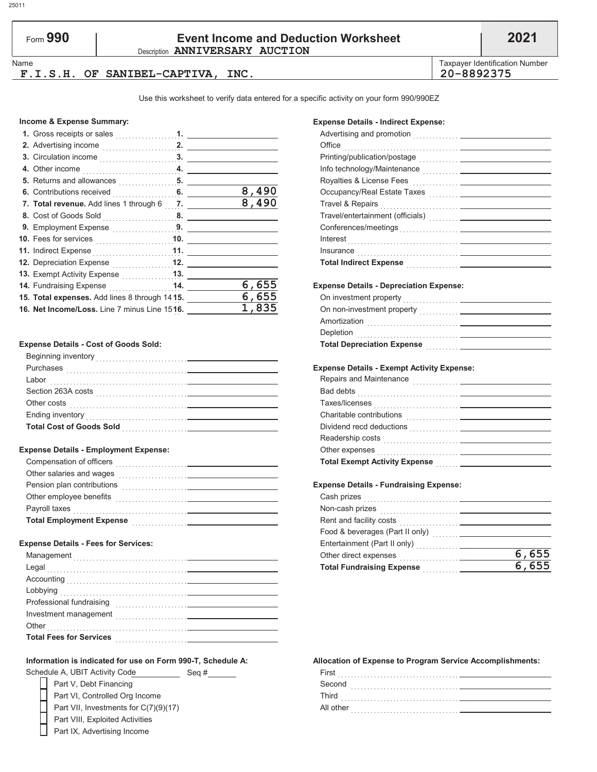| $\sim$<br>۰.<br>× |  |
|-------------------|--|
|                   |  |

| nrm |  |
|-----|--|
|     |  |

## Description **ANNIVERSARY AUCTION** Form **990 Event Income and Deduction Worksheet 2021**

## **F.I.S.H. OF SANIBEL-CAPTIVA, INC. 20-8892375**

Use this worksheet to verify data entered for a specific activity on your form 990/990EZ

#### **Income & Expense Summary:**

|                                                              | 8,490 |
|--------------------------------------------------------------|-------|
| 7. Total revenue. Add lines 1 through 6 7.                   | 8,490 |
|                                                              |       |
| 9. Employment Expense 9. ___________                         |       |
|                                                              |       |
|                                                              |       |
| 12. Depreciation Expense 12.                                 |       |
| 13. Exempt Activity Expense 13.                              |       |
|                                                              | 6,655 |
| <b>15. Total expenses.</b> Add lines 8 through 14 <b>15.</b> | 6,655 |
| 16. Net Income/Loss. Line 7 minus Line 1516.                 | 1,835 |
|                                                              |       |

#### **Expense Details - Cost of Goods Sold:**

| Beginning inventory             |  |
|---------------------------------|--|
| Purchases                       |  |
| Labor                           |  |
| Section 263A costs              |  |
| Other costs                     |  |
|                                 |  |
| <b>Total Cost of Goods Sold</b> |  |
|                                 |  |

#### **Expense Details - Employment Expense:**

| Compensation of officers        |  |
|---------------------------------|--|
| Other salaries and wages        |  |
| Pension plan contributions      |  |
| Other employee benefits         |  |
| Payroll taxes                   |  |
| <b>Total Employment Expense</b> |  |
|                                 |  |

#### **Expense Details - Fees for Services:**

| Management                     |  |
|--------------------------------|--|
| Legal                          |  |
| Accounting                     |  |
|                                |  |
| Professional fundraising       |  |
| Investment management          |  |
| Other                          |  |
| <b>Total Fees for Services</b> |  |

#### **Information is indicated for use on Form 990-T, Schedule A:**

| Schedule A, UBIT Activity Code        | Seq# |
|---------------------------------------|------|
| Part V, Debt Financing                |      |
| Part VI, Controlled Org Income        |      |
| Part VII, Investments for C(7)(9)(17) |      |
| Part VIII, Exploited Activities       |      |
| Part IX, Advertising Income           |      |

|  | Part IX, Advertising Income |  |
|--|-----------------------------|--|
|  |                             |  |

#### **Expense Details - Indirect Expense:**

| Office                                                                                                                                                                                                                        |  |
|-------------------------------------------------------------------------------------------------------------------------------------------------------------------------------------------------------------------------------|--|
|                                                                                                                                                                                                                               |  |
| Info technology/Maintenance contains a series of the contact of the series of the series of the series of the series of the series of the series of the series of the series of the series of the series of the series of the |  |
|                                                                                                                                                                                                                               |  |
|                                                                                                                                                                                                                               |  |
|                                                                                                                                                                                                                               |  |
|                                                                                                                                                                                                                               |  |
|                                                                                                                                                                                                                               |  |
|                                                                                                                                                                                                                               |  |
|                                                                                                                                                                                                                               |  |
|                                                                                                                                                                                                                               |  |

#### **Expense Details - Depreciation Expense:**

| On non-investment property <b>contained a material container and property</b> |  |
|-------------------------------------------------------------------------------|--|
| Amortization                                                                  |  |
| Depletion                                                                     |  |
| <b>Total Depreciation Expense</b>                                             |  |

#### **Expense Details - Exempt Activity Expense:**

| Repairs and Maintenance                                 |  |
|---------------------------------------------------------|--|
| <b>Bad debts</b>                                        |  |
| Taxes/licenses                                          |  |
| Charitable contributions                                |  |
| Dividend recd deductions                                |  |
| Readership costs                                        |  |
| Other expenses                                          |  |
| Total Exempt Activity Expense <b>Fig. 100 Fig. 2016</b> |  |
|                                                         |  |

#### **Expense Details - Fundraising Expense:**

| Cash prizes                                                                                                                                                                                                                      |       |
|----------------------------------------------------------------------------------------------------------------------------------------------------------------------------------------------------------------------------------|-------|
| Non-cash prizes                                                                                                                                                                                                                  |       |
| Rent and facility costs<br>in the contract of the contract of the contract of the contract of the contract of the contract of the contract of the contract of the contract of the contract of the contract of the contract of th |       |
| Food & beverages (Part II only) [100] [100] [100] [100] [100] [100] [100] [100] [100] [100] [100] [100] [100] [100] [100] [100] [100] [100] [100] [100] [100] [100] [100] [100] [100] [100] [100] [100] [100] [100] [100] [100   |       |
| Entertainment (Part II only)<br>expressive production of the contract of the contract of the contract of the contract of the contract of the contract of the contract of the contract of the contract of the contract of the con |       |
| Other direct expenses<br>. <u>.</u>                                                                                                                                                                                              | 6,655 |
| <b>Total Fundraising Expense</b>                                                                                                                                                                                                 | 6,655 |
|                                                                                                                                                                                                                                  |       |

#### **Allocation of Expense to Program Service Accomplishments:**

| First        |
|--------------|
| Second<br>.  |
| <b>Third</b> |
| All other    |
|              |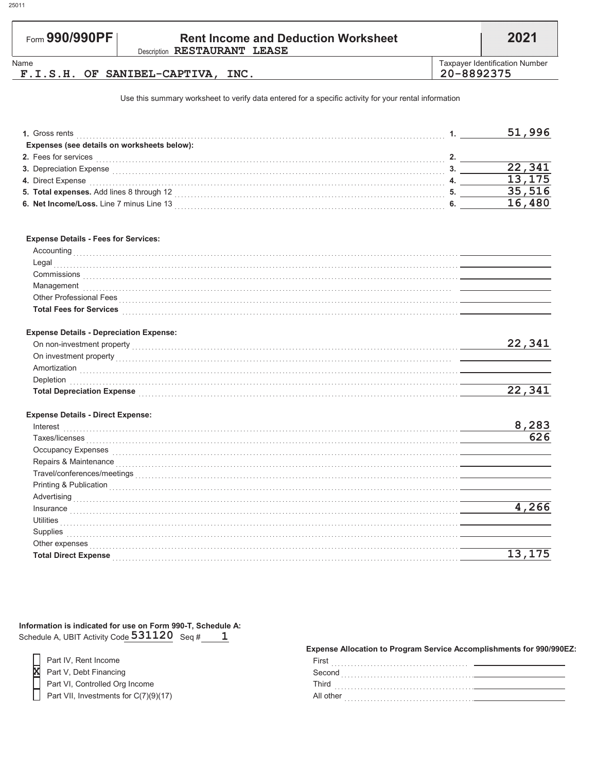$\Gamma$ 

| $F_{\text{form}}$ 990/990PF | <b>Rent Income and Deduction Worksheet</b><br>Description <b>RESTAURANT LEASE</b> | 2021                                                |
|-----------------------------|-----------------------------------------------------------------------------------|-----------------------------------------------------|
| Name                        | F.I.S.H. OF SANIBEL-CAPTIVA, INC.                                                 | <b>Taxpayer Identification Number</b><br>20-8892375 |

Use this summary worksheet to verify data entered for a specific activity for your rental information

| <b>1.</b> Gross rents                       |  |
|---------------------------------------------|--|
| Expenses (see details on worksheets below): |  |
| 2. Fees for services                        |  |
| <b>3. Depreciation Expense</b>              |  |
| 4. Direct Expense                           |  |
| 5. Total expenses. Add lines 8 through 12   |  |
| 6. Net Income/Loss. Line 7 minus Line 13    |  |

#### **Expense Details - Fees for Services:**

| Legal                               |  |
|-------------------------------------|--|
| Commissions                         |  |
| ำemen.                              |  |
| Other Professional Fees             |  |
| <b>Total Fees for Services</b><br>. |  |

#### **Expense Details - Depreciation Expense:**

| On non-investment property<br>.        |  |
|----------------------------------------|--|
| On investment property                 |  |
| ∖mortizatior<br>.                      |  |
|                                        |  |
| <b>Total Depreciation Expense</b><br>. |  |

#### **Expense Details - Direct Expense:**

| Interes                     |     |
|-----------------------------|-----|
| Taxes/licenses              | 626 |
| Occupancy Expenses          |     |
| Repairs & Maintenance       |     |
| Travel/conferences/meetings |     |
| Printing & Publication      |     |
| Advertising                 |     |
| Insurance                   |     |
| <b>Utilities</b>            |     |
| Supplies                    |     |
| Other expenses              |     |
| <b>Total Direct Expense</b> |     |

Information is indicated for use on Form 990-T, Schedule A: Schedule A, UBIT Activity Code 531120 Seq # 1

| á<br>H |
|--------|
| í<br>H |
| á<br>н |
| i      |
|        |

art IV, Rent Income art V, Debt Financing art VI, Controlled Org Income art VII, Investments for C(7)(9)(17)

| <b>Expense Allocation to Program Service Accomplishments for 990/990EZ:</b> |
|-----------------------------------------------------------------------------|
|                                                                             |

| <b>FIRST</b> |  |
|--------------|--|
| Second<br>.  |  |
| Third        |  |
| All other    |  |